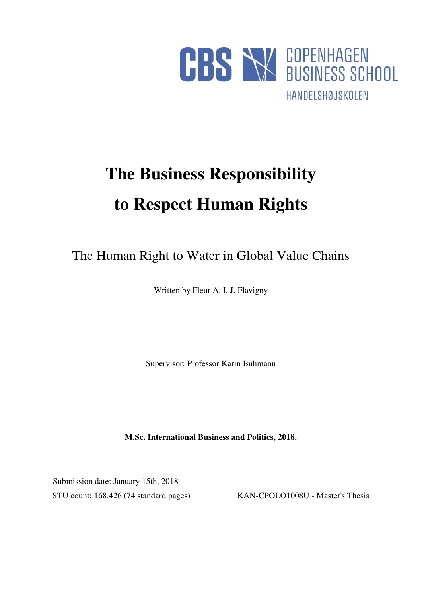

# **The Business Responsibility to Respect Human Rights**

The Human Right to Water in Global Value Chains

Written by Fleur A. I. J. Flavigny

Supervisor: Professor Karin Buhmann

**M.Sc. International Business and Politics, 2018.** 

 Submission date: January 15th, 2018 STU count: 168.426 (74 standard pages) KAN-CPOLO1008U - Master's Thesis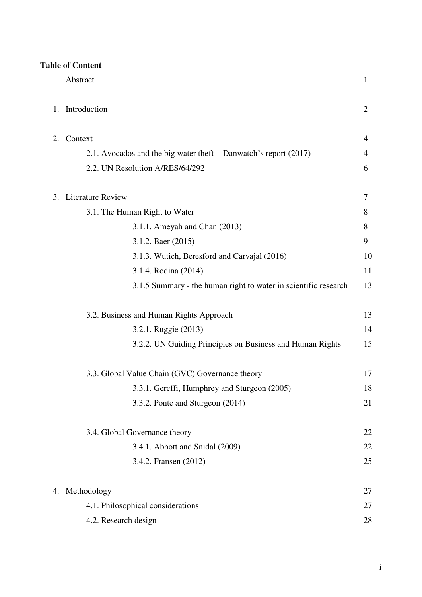|  | <b>Table of Content</b> |
|--|-------------------------|
|  |                         |

|    | Abstract                                                         | $\mathbf{1}$   |
|----|------------------------------------------------------------------|----------------|
| 1. | Introduction                                                     | $\overline{2}$ |
| 2. | Context                                                          | 4              |
|    | 2.1. Avocados and the big water theft - Danwatch's report (2017) | 4              |
|    | 2.2. UN Resolution A/RES/64/292                                  | 6              |
| 3. | <b>Literature Review</b>                                         | 7              |
|    | 3.1. The Human Right to Water                                    | 8              |
|    | 3.1.1. Ameyah and Chan (2013)                                    | 8              |
|    | 3.1.2. Baer (2015)                                               | 9              |
|    | 3.1.3. Wutich, Beresford and Carvajal (2016)                     | 10             |
|    | 3.1.4. Rodina (2014)                                             | 11             |
|    | 3.1.5 Summary - the human right to water in scientific research  | 13             |
|    | 3.2. Business and Human Rights Approach                          | 13             |
|    | 3.2.1. Ruggie (2013)                                             | 14             |
|    | 3.2.2. UN Guiding Principles on Business and Human Rights        | 15             |
|    | 3.3. Global Value Chain (GVC) Governance theory                  | 17             |
|    | 3.3.1. Gereffi, Humphrey and Sturgeon (2005)                     | 18             |
|    | 3.3.2. Ponte and Sturgeon (2014)                                 | 21             |
|    | 3.4. Global Governance theory                                    | 22             |
|    | 3.4.1. Abbott and Snidal (2009)                                  | 22             |
|    | 3.4.2. Fransen (2012)                                            | 25             |
| 4. | Methodology                                                      | 27             |
|    | 4.1. Philosophical considerations                                | 27             |
|    | 4.2. Research design                                             | 28             |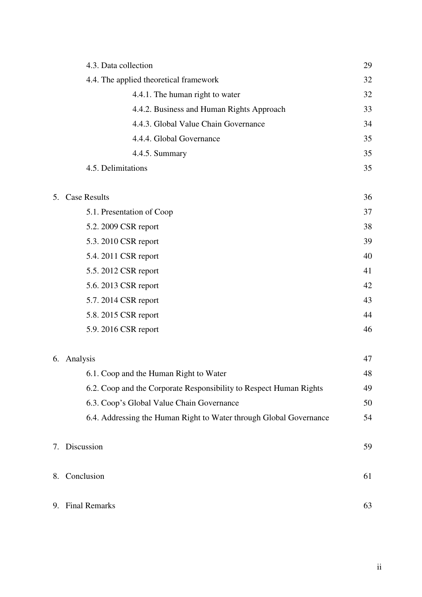| 4.3. Data collection                                               | 29 |
|--------------------------------------------------------------------|----|
| 4.4. The applied theoretical framework                             | 32 |
| 4.4.1. The human right to water                                    | 32 |
| 4.4.2. Business and Human Rights Approach                          | 33 |
| 4.4.3. Global Value Chain Governance                               | 34 |
| 4.4.4. Global Governance                                           | 35 |
| 4.4.5. Summary                                                     | 35 |
| 4.5. Delimitations                                                 | 35 |
| 5.<br><b>Case Results</b>                                          | 36 |
| 5.1. Presentation of Coop                                          | 37 |
| 5.2. 2009 CSR report                                               | 38 |
| 5.3. 2010 CSR report                                               | 39 |
| 5.4. 2011 CSR report                                               | 40 |
| 5.5. 2012 CSR report                                               | 41 |
| 5.6. 2013 CSR report                                               | 42 |
| 5.7. 2014 CSR report                                               | 43 |
| 5.8. 2015 CSR report                                               | 44 |
| 5.9. 2016 CSR report                                               | 46 |
| Analysis<br>6.                                                     | 47 |
| 6.1. Coop and the Human Right to Water                             | 48 |
| 6.2. Coop and the Corporate Responsibility to Respect Human Rights | 49 |
| 6.3. Coop's Global Value Chain Governance                          | 50 |
| 6.4. Addressing the Human Right to Water through Global Governance | 54 |
| Discussion<br>7.                                                   | 59 |
| Conclusion<br>8.                                                   | 61 |
| <b>Final Remarks</b><br>9.                                         | 63 |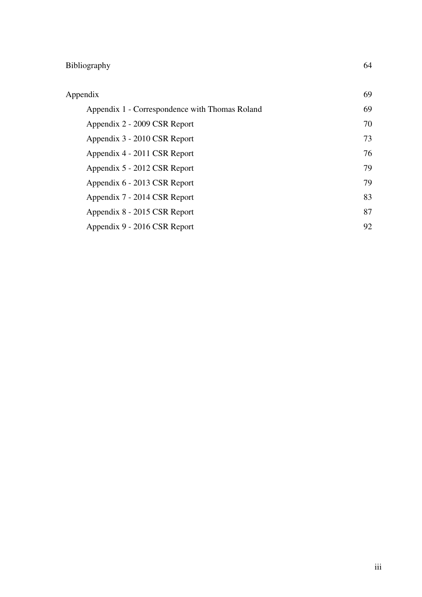# Bibliography 64

| Appendix                                       | 69 |
|------------------------------------------------|----|
| Appendix 1 - Correspondence with Thomas Roland | 69 |
| Appendix 2 - 2009 CSR Report                   | 70 |
| Appendix 3 - 2010 CSR Report                   | 73 |
| Appendix 4 - 2011 CSR Report                   | 76 |
| Appendix 5 - 2012 CSR Report                   | 79 |
| Appendix 6 - 2013 CSR Report                   | 79 |
| Appendix 7 - 2014 CSR Report                   | 83 |
| Appendix 8 - 2015 CSR Report                   | 87 |
| Appendix 9 - 2016 CSR Report                   | 92 |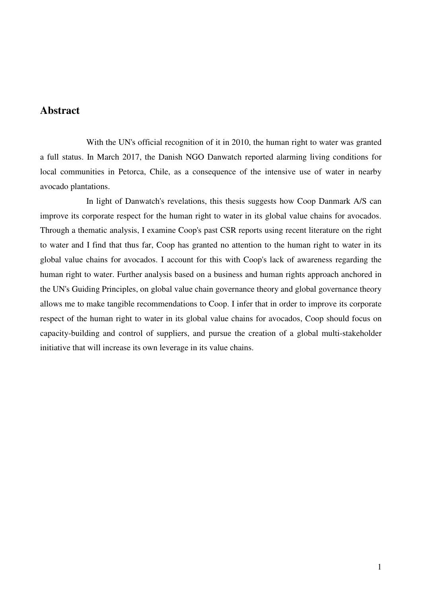# **Abstract**

 With the UN's official recognition of it in 2010, the human right to water was granted a full status. In March 2017, the Danish NGO Danwatch reported alarming living conditions for local communities in Petorca, Chile, as a consequence of the intensive use of water in nearby avocado plantations.

 In light of Danwatch's revelations, this thesis suggests how Coop Danmark A/S can improve its corporate respect for the human right to water in its global value chains for avocados. Through a thematic analysis, I examine Coop's past CSR reports using recent literature on the right to water and I find that thus far, Coop has granted no attention to the human right to water in its global value chains for avocados. I account for this with Coop's lack of awareness regarding the human right to water. Further analysis based on a business and human rights approach anchored in the UN's Guiding Principles, on global value chain governance theory and global governance theory allows me to make tangible recommendations to Coop. I infer that in order to improve its corporate respect of the human right to water in its global value chains for avocados, Coop should focus on capacity-building and control of suppliers, and pursue the creation of a global multi-stakeholder initiative that will increase its own leverage in its value chains.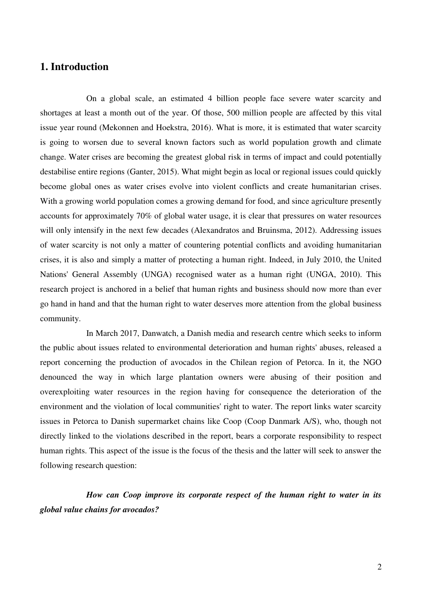# **1. Introduction**

 On a global scale, an estimated 4 billion people face severe water scarcity and shortages at least a month out of the year. Of those, 500 million people are affected by this vital issue year round (Mekonnen and Hoekstra, 2016). What is more, it is estimated that water scarcity is going to worsen due to several known factors such as world population growth and climate change. Water crises are becoming the greatest global risk in terms of impact and could potentially destabilise entire regions (Ganter, 2015). What might begin as local or regional issues could quickly become global ones as water crises evolve into violent conflicts and create humanitarian crises. With a growing world population comes a growing demand for food, and since agriculture presently accounts for approximately 70% of global water usage, it is clear that pressures on water resources will only intensify in the next few decades (Alexandratos and Bruinsma, 2012). Addressing issues of water scarcity is not only a matter of countering potential conflicts and avoiding humanitarian crises, it is also and simply a matter of protecting a human right. Indeed, in July 2010, the United Nations' General Assembly (UNGA) recognised water as a human right (UNGA, 2010). This research project is anchored in a belief that human rights and business should now more than ever go hand in hand and that the human right to water deserves more attention from the global business community.

 In March 2017, Danwatch, a Danish media and research centre which seeks to inform the public about issues related to environmental deterioration and human rights' abuses, released a report concerning the production of avocados in the Chilean region of Petorca. In it, the NGO denounced the way in which large plantation owners were abusing of their position and overexploiting water resources in the region having for consequence the deterioration of the environment and the violation of local communities' right to water. The report links water scarcity issues in Petorca to Danish supermarket chains like Coop (Coop Danmark A/S), who, though not directly linked to the violations described in the report, bears a corporate responsibility to respect human rights. This aspect of the issue is the focus of the thesis and the latter will seek to answer the following research question:

 *How can Coop improve its corporate respect of the human right to water in its global value chains for avocados?*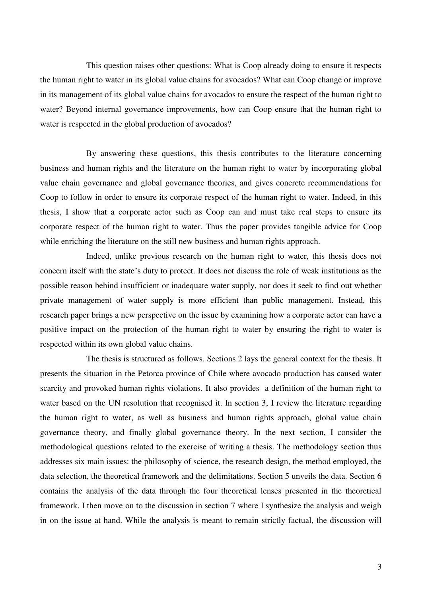This question raises other questions: What is Coop already doing to ensure it respects the human right to water in its global value chains for avocados? What can Coop change or improve in its management of its global value chains for avocados to ensure the respect of the human right to water? Beyond internal governance improvements, how can Coop ensure that the human right to water is respected in the global production of avocados?

By answering these questions, this thesis contributes to the literature concerning business and human rights and the literature on the human right to water by incorporating global value chain governance and global governance theories, and gives concrete recommendations for Coop to follow in order to ensure its corporate respect of the human right to water. Indeed, in this thesis, I show that a corporate actor such as Coop can and must take real steps to ensure its corporate respect of the human right to water. Thus the paper provides tangible advice for Coop while enriching the literature on the still new business and human rights approach.

 Indeed, unlike previous research on the human right to water, this thesis does not concern itself with the state's duty to protect. It does not discuss the role of weak institutions as the possible reason behind insufficient or inadequate water supply, nor does it seek to find out whether private management of water supply is more efficient than public management. Instead, this research paper brings a new perspective on the issue by examining how a corporate actor can have a positive impact on the protection of the human right to water by ensuring the right to water is respected within its own global value chains.

 The thesis is structured as follows. Sections 2 lays the general context for the thesis. It presents the situation in the Petorca province of Chile where avocado production has caused water scarcity and provoked human rights violations. It also provides a definition of the human right to water based on the UN resolution that recognised it. In section 3, I review the literature regarding the human right to water, as well as business and human rights approach, global value chain governance theory, and finally global governance theory. In the next section, I consider the methodological questions related to the exercise of writing a thesis. The methodology section thus addresses six main issues: the philosophy of science, the research design, the method employed, the data selection, the theoretical framework and the delimitations. Section 5 unveils the data. Section 6 contains the analysis of the data through the four theoretical lenses presented in the theoretical framework. I then move on to the discussion in section 7 where I synthesize the analysis and weigh in on the issue at hand. While the analysis is meant to remain strictly factual, the discussion will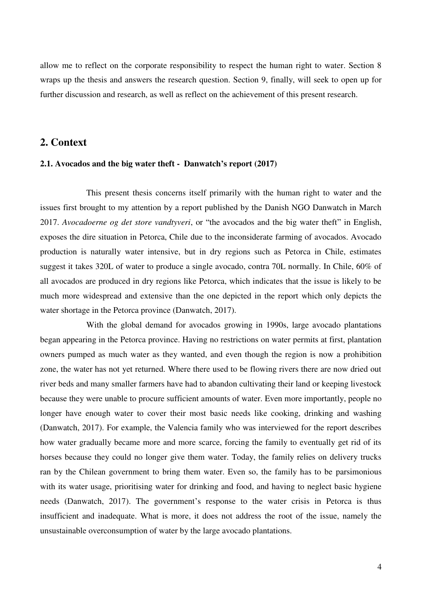allow me to reflect on the corporate responsibility to respect the human right to water. Section 8 wraps up the thesis and answers the research question. Section 9, finally, will seek to open up for further discussion and research, as well as reflect on the achievement of this present research.

# **2. Context**

## **2.1. Avocados and the big water theft - Danwatch's report (2017)**

 This present thesis concerns itself primarily with the human right to water and the issues first brought to my attention by a report published by the Danish NGO Danwatch in March 2017. *Avocadoerne og det store vandtyveri*, or "the avocados and the big water theft" in English, exposes the dire situation in Petorca, Chile due to the inconsiderate farming of avocados. Avocado production is naturally water intensive, but in dry regions such as Petorca in Chile, estimates suggest it takes 320L of water to produce a single avocado, contra 70L normally. In Chile, 60% of all avocados are produced in dry regions like Petorca, which indicates that the issue is likely to be much more widespread and extensive than the one depicted in the report which only depicts the water shortage in the Petorca province (Danwatch, 2017).

 With the global demand for avocados growing in 1990s, large avocado plantations began appearing in the Petorca province. Having no restrictions on water permits at first, plantation owners pumped as much water as they wanted, and even though the region is now a prohibition zone, the water has not yet returned. Where there used to be flowing rivers there are now dried out river beds and many smaller farmers have had to abandon cultivating their land or keeping livestock because they were unable to procure sufficient amounts of water. Even more importantly, people no longer have enough water to cover their most basic needs like cooking, drinking and washing (Danwatch, 2017). For example, the Valencia family who was interviewed for the report describes how water gradually became more and more scarce, forcing the family to eventually get rid of its horses because they could no longer give them water. Today, the family relies on delivery trucks ran by the Chilean government to bring them water. Even so, the family has to be parsimonious with its water usage, prioritising water for drinking and food, and having to neglect basic hygiene needs (Danwatch, 2017). The government's response to the water crisis in Petorca is thus insufficient and inadequate. What is more, it does not address the root of the issue, namely the unsustainable overconsumption of water by the large avocado plantations.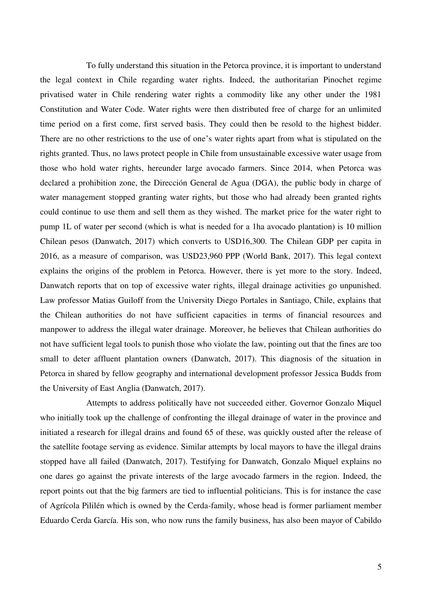To fully understand this situation in the Petorca province, it is important to understand the legal context in Chile regarding water rights. Indeed, the authoritarian Pinochet regime privatised water in Chile rendering water rights a commodity like any other under the 1981 Constitution and Water Code. Water rights were then distributed free of charge for an unlimited time period on a first come, first served basis. They could then be resold to the highest bidder. There are no other restrictions to the use of one's water rights apart from what is stipulated on the rights granted. Thus, no laws protect people in Chile from unsustainable excessive water usage from those who hold water rights, hereunder large avocado farmers. Since 2014, when Petorca was declared a prohibition zone, the Dirección General de Agua (DGA), the public body in charge of water management stopped granting water rights, but those who had already been granted rights could continue to use them and sell them as they wished. The market price for the water right to pump 1L of water per second (which is what is needed for a 1ha avocado plantation) is 10 million Chilean pesos (Danwatch, 2017) which converts to USD16,300. The Chilean GDP per capita in 2016, as a measure of comparison, was USD23,960 PPP (World Bank, 2017). This legal context explains the origins of the problem in Petorca. However, there is yet more to the story. Indeed, Danwatch reports that on top of excessive water rights, illegal drainage activities go unpunished. Law professor Matias Guiloff from the University Diego Portales in Santiago, Chile, explains that the Chilean authorities do not have sufficient capacities in terms of financial resources and manpower to address the illegal water drainage. Moreover, he believes that Chilean authorities do not have sufficient legal tools to punish those who violate the law, pointing out that the fines are too small to deter affluent plantation owners (Danwatch, 2017). This diagnosis of the situation in Petorca in shared by fellow geography and international development professor Jessica Budds from the University of East Anglia (Danwatch, 2017).

 Attempts to address politically have not succeeded either. Governor Gonzalo Miquel who initially took up the challenge of confronting the illegal drainage of water in the province and initiated a research for illegal drains and found 65 of these, was quickly ousted after the release of the satellite footage serving as evidence. Similar attempts by local mayors to have the illegal drains stopped have all failed (Danwatch, 2017). Testifying for Danwatch, Gonzalo Miquel explains no one dares go against the private interests of the large avocado farmers in the region. Indeed, the report points out that the big farmers are tied to influential politicians. This is for instance the case of Agrícola Pililén which is owned by the Cerda-family, whose head is former parliament member Eduardo Cerda García. His son, who now runs the family business, has also been mayor of Cabildo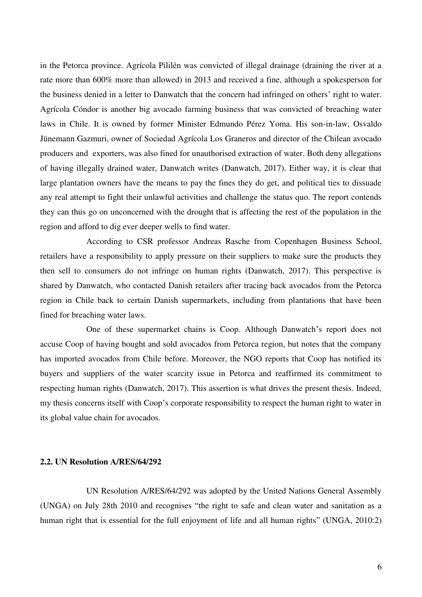in the Petorca province. Agrícola Pililén was convicted of illegal drainage (draining the river at a rate more than 600% more than allowed) in 2013 and received a fine, although a spokesperson for the business denied in a letter to Danwatch that the concern had infringed on others' right to water. Agrícola Cóndor is another big avocado farming business that was convicted of breaching water laws in Chile. It is owned by former Minister Edmundo Pérez Yoma. His son-in-law, Osvaldo Jünemann Gazmuri, owner of Sociedad Agrícola Los Graneros and director of the Chilean avocado producers and exporters, was also fined for unauthorised extraction of water. Both deny allegations of having illegally drained water, Danwatch writes (Danwatch, 2017). Either way, it is clear that large plantation owners have the means to pay the fines they do get, and political ties to dissuade any real attempt to fight their unlawful activities and challenge the status quo. The report contends they can thus go on unconcerned with the drought that is affecting the rest of the population in the region and afford to dig ever deeper wells to find water.

 According to CSR professor Andreas Rasche from Copenhagen Business School, retailers have a responsibility to apply pressure on their suppliers to make sure the products they then sell to consumers do not infringe on human rights (Danwatch, 2017). This perspective is shared by Danwatch, who contacted Danish retailers after tracing back avocados from the Petorca region in Chile back to certain Danish supermarkets, including from plantations that have been fined for breaching water laws.

 One of these supermarket chains is Coop. Although Danwatch's report does not accuse Coop of having bought and sold avocados from Petorca region, but notes that the company has imported avocados from Chile before. Moreover, the NGO reports that Coop has notified its buyers and suppliers of the water scarcity issue in Petorca and reaffirmed its commitment to respecting human rights (Danwatch, 2017). This assertion is what drives the present thesis. Indeed, my thesis concerns itself with Coop's corporate responsibility to respect the human right to water in its global value chain for avocados.

## **2.2. UN Resolution A/RES/64/292**

 UN Resolution A/RES/64/292 was adopted by the United Nations General Assembly (UNGA) on July 28th 2010 and recognises "the right to safe and clean water and sanitation as a human right that is essential for the full enjoyment of life and all human rights" (UNGA, 2010:2)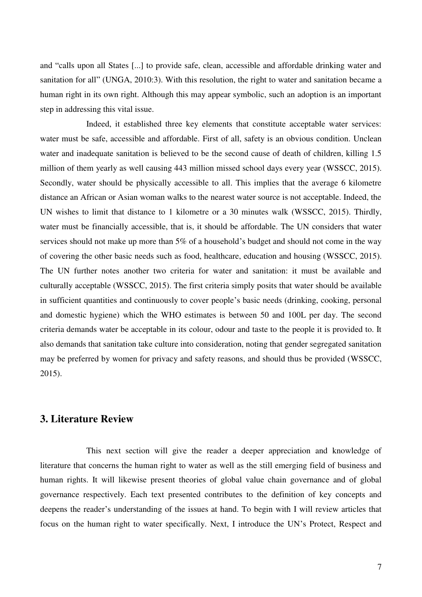and "calls upon all States [...] to provide safe, clean, accessible and affordable drinking water and sanitation for all" (UNGA, 2010:3). With this resolution, the right to water and sanitation became a human right in its own right. Although this may appear symbolic, such an adoption is an important step in addressing this vital issue.

 Indeed, it established three key elements that constitute acceptable water services: water must be safe, accessible and affordable. First of all, safety is an obvious condition. Unclean water and inadequate sanitation is believed to be the second cause of death of children, killing 1.5 million of them yearly as well causing 443 million missed school days every year (WSSCC, 2015). Secondly, water should be physically accessible to all. This implies that the average 6 kilometre distance an African or Asian woman walks to the nearest water source is not acceptable. Indeed, the UN wishes to limit that distance to 1 kilometre or a 30 minutes walk (WSSCC, 2015). Thirdly, water must be financially accessible, that is, it should be affordable. The UN considers that water services should not make up more than 5% of a household's budget and should not come in the way of covering the other basic needs such as food, healthcare, education and housing (WSSCC, 2015). The UN further notes another two criteria for water and sanitation: it must be available and culturally acceptable (WSSCC, 2015). The first criteria simply posits that water should be available in sufficient quantities and continuously to cover people's basic needs (drinking, cooking, personal and domestic hygiene) which the WHO estimates is between 50 and 100L per day. The second criteria demands water be acceptable in its colour, odour and taste to the people it is provided to. It also demands that sanitation take culture into consideration, noting that gender segregated sanitation may be preferred by women for privacy and safety reasons, and should thus be provided (WSSCC, 2015).

# **3. Literature Review**

 This next section will give the reader a deeper appreciation and knowledge of literature that concerns the human right to water as well as the still emerging field of business and human rights. It will likewise present theories of global value chain governance and of global governance respectively. Each text presented contributes to the definition of key concepts and deepens the reader's understanding of the issues at hand. To begin with I will review articles that focus on the human right to water specifically. Next, I introduce the UN's Protect, Respect and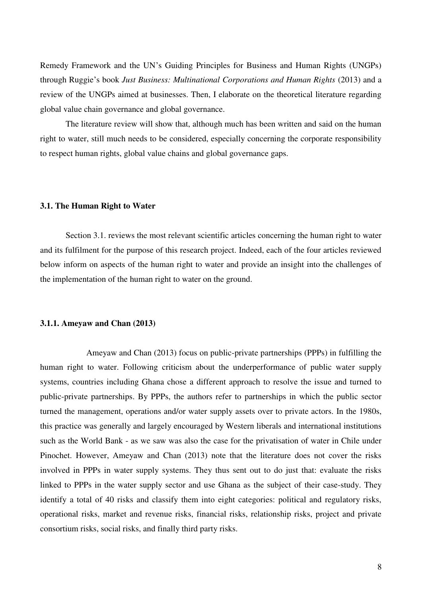Remedy Framework and the UN's Guiding Principles for Business and Human Rights (UNGPs) through Ruggie's book *Just Business: Multinational Corporations and Human Rights* (2013) and a review of the UNGPs aimed at businesses. Then, I elaborate on the theoretical literature regarding global value chain governance and global governance.

The literature review will show that, although much has been written and said on the human right to water, still much needs to be considered, especially concerning the corporate responsibility to respect human rights, global value chains and global governance gaps.

# **3.1. The Human Right to Water**

Section 3.1. reviews the most relevant scientific articles concerning the human right to water and its fulfilment for the purpose of this research project. Indeed, each of the four articles reviewed below inform on aspects of the human right to water and provide an insight into the challenges of the implementation of the human right to water on the ground.

# **3.1.1. Ameyaw and Chan (2013)**

 Ameyaw and Chan (2013) focus on public-private partnerships (PPPs) in fulfilling the human right to water. Following criticism about the underperformance of public water supply systems, countries including Ghana chose a different approach to resolve the issue and turned to public-private partnerships. By PPPs, the authors refer to partnerships in which the public sector turned the management, operations and/or water supply assets over to private actors. In the 1980s, this practice was generally and largely encouraged by Western liberals and international institutions such as the World Bank - as we saw was also the case for the privatisation of water in Chile under Pinochet. However, Ameyaw and Chan (2013) note that the literature does not cover the risks involved in PPPs in water supply systems. They thus sent out to do just that: evaluate the risks linked to PPPs in the water supply sector and use Ghana as the subject of their case-study. They identify a total of 40 risks and classify them into eight categories: political and regulatory risks, operational risks, market and revenue risks, financial risks, relationship risks, project and private consortium risks, social risks, and finally third party risks.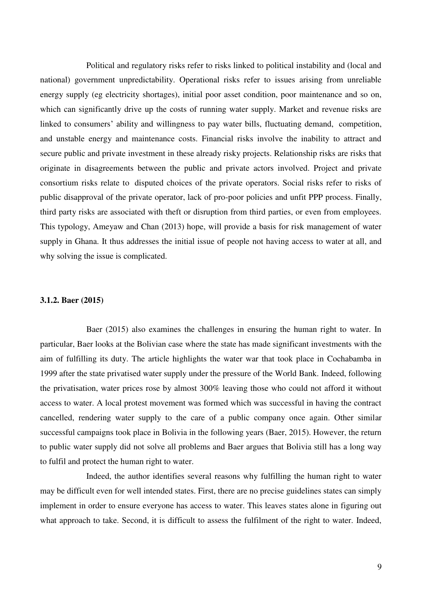Political and regulatory risks refer to risks linked to political instability and (local and national) government unpredictability. Operational risks refer to issues arising from unreliable energy supply (eg electricity shortages), initial poor asset condition, poor maintenance and so on, which can significantly drive up the costs of running water supply. Market and revenue risks are linked to consumers' ability and willingness to pay water bills, fluctuating demand, competition, and unstable energy and maintenance costs. Financial risks involve the inability to attract and secure public and private investment in these already risky projects. Relationship risks are risks that originate in disagreements between the public and private actors involved. Project and private consortium risks relate to disputed choices of the private operators. Social risks refer to risks of public disapproval of the private operator, lack of pro-poor policies and unfit PPP process. Finally, third party risks are associated with theft or disruption from third parties, or even from employees. This typology, Ameyaw and Chan (2013) hope, will provide a basis for risk management of water supply in Ghana. It thus addresses the initial issue of people not having access to water at all, and why solving the issue is complicated.

# **3.1.2. Baer (2015)**

 Baer (2015) also examines the challenges in ensuring the human right to water. In particular, Baer looks at the Bolivian case where the state has made significant investments with the aim of fulfilling its duty. The article highlights the water war that took place in Cochabamba in 1999 after the state privatised water supply under the pressure of the World Bank. Indeed, following the privatisation, water prices rose by almost 300% leaving those who could not afford it without access to water. A local protest movement was formed which was successful in having the contract cancelled, rendering water supply to the care of a public company once again. Other similar successful campaigns took place in Bolivia in the following years (Baer, 2015). However, the return to public water supply did not solve all problems and Baer argues that Bolivia still has a long way to fulfil and protect the human right to water.

 Indeed, the author identifies several reasons why fulfilling the human right to water may be difficult even for well intended states. First, there are no precise guidelines states can simply implement in order to ensure everyone has access to water. This leaves states alone in figuring out what approach to take. Second, it is difficult to assess the fulfilment of the right to water. Indeed,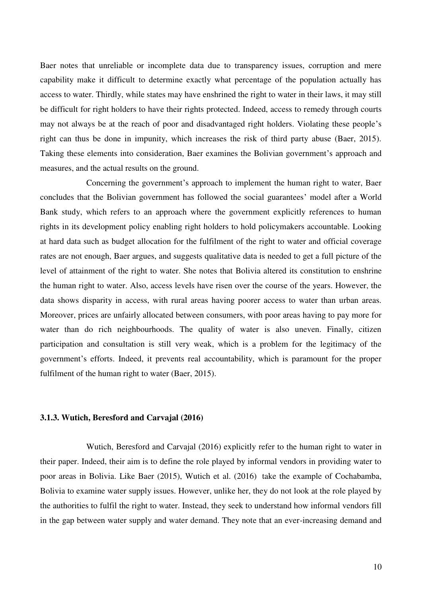Baer notes that unreliable or incomplete data due to transparency issues, corruption and mere capability make it difficult to determine exactly what percentage of the population actually has access to water. Thirdly, while states may have enshrined the right to water in their laws, it may still be difficult for right holders to have their rights protected. Indeed, access to remedy through courts may not always be at the reach of poor and disadvantaged right holders. Violating these people's right can thus be done in impunity, which increases the risk of third party abuse (Baer, 2015). Taking these elements into consideration, Baer examines the Bolivian government's approach and measures, and the actual results on the ground.

 Concerning the government's approach to implement the human right to water, Baer concludes that the Bolivian government has followed the social guarantees' model after a World Bank study, which refers to an approach where the government explicitly references to human rights in its development policy enabling right holders to hold policymakers accountable. Looking at hard data such as budget allocation for the fulfilment of the right to water and official coverage rates are not enough, Baer argues, and suggests qualitative data is needed to get a full picture of the level of attainment of the right to water. She notes that Bolivia altered its constitution to enshrine the human right to water. Also, access levels have risen over the course of the years. However, the data shows disparity in access, with rural areas having poorer access to water than urban areas. Moreover, prices are unfairly allocated between consumers, with poor areas having to pay more for water than do rich neighbourhoods. The quality of water is also uneven. Finally, citizen participation and consultation is still very weak, which is a problem for the legitimacy of the government's efforts. Indeed, it prevents real accountability, which is paramount for the proper fulfilment of the human right to water (Baer, 2015).

# **3.1.3. Wutich, Beresford and Carvajal (2016)**

 Wutich, Beresford and Carvajal (2016) explicitly refer to the human right to water in their paper. Indeed, their aim is to define the role played by informal vendors in providing water to poor areas in Bolivia. Like Baer (2015), Wutich et al. (2016) take the example of Cochabamba, Bolivia to examine water supply issues. However, unlike her, they do not look at the role played by the authorities to fulfil the right to water. Instead, they seek to understand how informal vendors fill in the gap between water supply and water demand. They note that an ever-increasing demand and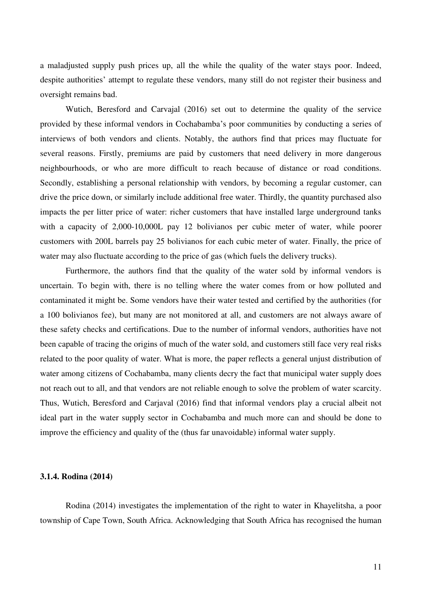a maladjusted supply push prices up, all the while the quality of the water stays poor. Indeed, despite authorities' attempt to regulate these vendors, many still do not register their business and oversight remains bad.

Wutich, Beresford and Carvajal (2016) set out to determine the quality of the service provided by these informal vendors in Cochabamba's poor communities by conducting a series of interviews of both vendors and clients. Notably, the authors find that prices may fluctuate for several reasons. Firstly, premiums are paid by customers that need delivery in more dangerous neighbourhoods, or who are more difficult to reach because of distance or road conditions. Secondly, establishing a personal relationship with vendors, by becoming a regular customer, can drive the price down, or similarly include additional free water. Thirdly, the quantity purchased also impacts the per litter price of water: richer customers that have installed large underground tanks with a capacity of 2,000-10,000L pay 12 bolivianos per cubic meter of water, while poorer customers with 200L barrels pay 25 bolivianos for each cubic meter of water. Finally, the price of water may also fluctuate according to the price of gas (which fuels the delivery trucks).

Furthermore, the authors find that the quality of the water sold by informal vendors is uncertain. To begin with, there is no telling where the water comes from or how polluted and contaminated it might be. Some vendors have their water tested and certified by the authorities (for a 100 bolivianos fee), but many are not monitored at all, and customers are not always aware of these safety checks and certifications. Due to the number of informal vendors, authorities have not been capable of tracing the origins of much of the water sold, and customers still face very real risks related to the poor quality of water. What is more, the paper reflects a general unjust distribution of water among citizens of Cochabamba, many clients decry the fact that municipal water supply does not reach out to all, and that vendors are not reliable enough to solve the problem of water scarcity. Thus, Wutich, Beresford and Carjaval (2016) find that informal vendors play a crucial albeit not ideal part in the water supply sector in Cochabamba and much more can and should be done to improve the efficiency and quality of the (thus far unavoidable) informal water supply.

#### **3.1.4. Rodina (2014)**

Rodina (2014) investigates the implementation of the right to water in Khayelitsha, a poor township of Cape Town, South Africa. Acknowledging that South Africa has recognised the human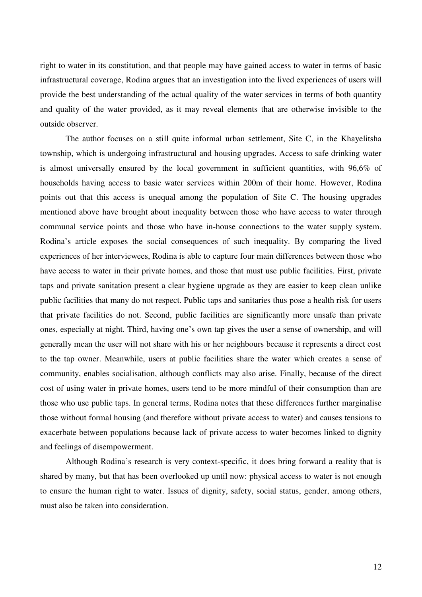right to water in its constitution, and that people may have gained access to water in terms of basic infrastructural coverage, Rodina argues that an investigation into the lived experiences of users will provide the best understanding of the actual quality of the water services in terms of both quantity and quality of the water provided, as it may reveal elements that are otherwise invisible to the outside observer.

The author focuses on a still quite informal urban settlement, Site C, in the Khayelitsha township, which is undergoing infrastructural and housing upgrades. Access to safe drinking water is almost universally ensured by the local government in sufficient quantities, with 96,6% of households having access to basic water services within 200m of their home. However, Rodina points out that this access is unequal among the population of Site C. The housing upgrades mentioned above have brought about inequality between those who have access to water through communal service points and those who have in-house connections to the water supply system. Rodina's article exposes the social consequences of such inequality. By comparing the lived experiences of her interviewees, Rodina is able to capture four main differences between those who have access to water in their private homes, and those that must use public facilities. First, private taps and private sanitation present a clear hygiene upgrade as they are easier to keep clean unlike public facilities that many do not respect. Public taps and sanitaries thus pose a health risk for users that private facilities do not. Second, public facilities are significantly more unsafe than private ones, especially at night. Third, having one's own tap gives the user a sense of ownership, and will generally mean the user will not share with his or her neighbours because it represents a direct cost to the tap owner. Meanwhile, users at public facilities share the water which creates a sense of community, enables socialisation, although conflicts may also arise. Finally, because of the direct cost of using water in private homes, users tend to be more mindful of their consumption than are those who use public taps. In general terms, Rodina notes that these differences further marginalise those without formal housing (and therefore without private access to water) and causes tensions to exacerbate between populations because lack of private access to water becomes linked to dignity and feelings of disempowerment.

Although Rodina's research is very context-specific, it does bring forward a reality that is shared by many, but that has been overlooked up until now: physical access to water is not enough to ensure the human right to water. Issues of dignity, safety, social status, gender, among others, must also be taken into consideration.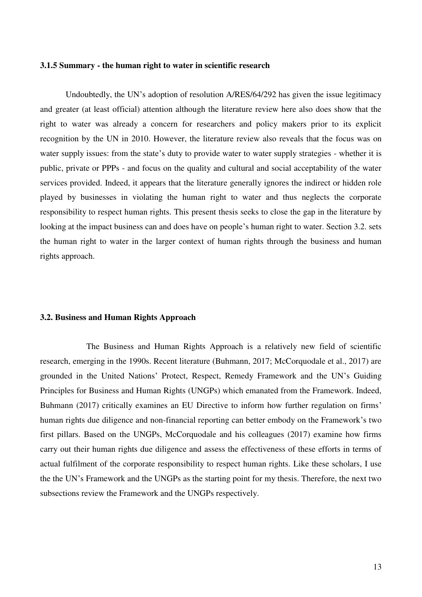#### **3.1.5 Summary - the human right to water in scientific research**

Undoubtedly, the UN's adoption of resolution A/RES/64/292 has given the issue legitimacy and greater (at least official) attention although the literature review here also does show that the right to water was already a concern for researchers and policy makers prior to its explicit recognition by the UN in 2010. However, the literature review also reveals that the focus was on water supply issues: from the state's duty to provide water to water supply strategies - whether it is public, private or PPPs - and focus on the quality and cultural and social acceptability of the water services provided. Indeed, it appears that the literature generally ignores the indirect or hidden role played by businesses in violating the human right to water and thus neglects the corporate responsibility to respect human rights. This present thesis seeks to close the gap in the literature by looking at the impact business can and does have on people's human right to water. Section 3.2. sets the human right to water in the larger context of human rights through the business and human rights approach.

## **3.2. Business and Human Rights Approach**

 The Business and Human Rights Approach is a relatively new field of scientific research, emerging in the 1990s. Recent literature (Buhmann, 2017; McCorquodale et al., 2017) are grounded in the United Nations' Protect, Respect, Remedy Framework and the UN's Guiding Principles for Business and Human Rights (UNGPs) which emanated from the Framework. Indeed, Buhmann (2017) critically examines an EU Directive to inform how further regulation on firms' human rights due diligence and non-financial reporting can better embody on the Framework's two first pillars. Based on the UNGPs, McCorquodale and his colleagues (2017) examine how firms carry out their human rights due diligence and assess the effectiveness of these efforts in terms of actual fulfilment of the corporate responsibility to respect human rights. Like these scholars, I use the the UN's Framework and the UNGPs as the starting point for my thesis. Therefore, the next two subsections review the Framework and the UNGPs respectively.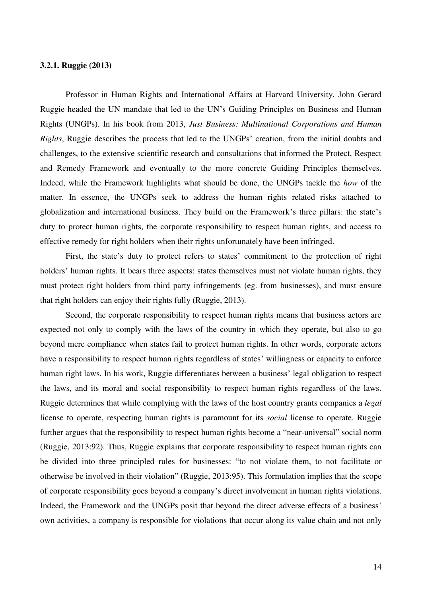# **3.2.1. Ruggie (2013)**

Professor in Human Rights and International Affairs at Harvard University, John Gerard Ruggie headed the UN mandate that led to the UN's Guiding Principles on Business and Human Rights (UNGPs). In his book from 2013, *Just Business: Multinational Corporations and Human Rights*, Ruggie describes the process that led to the UNGPs' creation, from the initial doubts and challenges, to the extensive scientific research and consultations that informed the Protect, Respect and Remedy Framework and eventually to the more concrete Guiding Principles themselves. Indeed, while the Framework highlights what should be done, the UNGPs tackle the *how* of the matter. In essence, the UNGPs seek to address the human rights related risks attached to globalization and international business. They build on the Framework's three pillars: the state's duty to protect human rights, the corporate responsibility to respect human rights, and access to effective remedy for right holders when their rights unfortunately have been infringed.

First, the state's duty to protect refers to states' commitment to the protection of right holders' human rights. It bears three aspects: states themselves must not violate human rights, they must protect right holders from third party infringements (eg. from businesses), and must ensure that right holders can enjoy their rights fully (Ruggie, 2013).

Second, the corporate responsibility to respect human rights means that business actors are expected not only to comply with the laws of the country in which they operate, but also to go beyond mere compliance when states fail to protect human rights. In other words, corporate actors have a responsibility to respect human rights regardless of states' willingness or capacity to enforce human right laws. In his work, Ruggie differentiates between a business' legal obligation to respect the laws, and its moral and social responsibility to respect human rights regardless of the laws. Ruggie determines that while complying with the laws of the host country grants companies a *legal* license to operate, respecting human rights is paramount for its *social* license to operate. Ruggie further argues that the responsibility to respect human rights become a "near-universal" social norm (Ruggie, 2013:92). Thus, Ruggie explains that corporate responsibility to respect human rights can be divided into three principled rules for businesses: "to not violate them, to not facilitate or otherwise be involved in their violation" (Ruggie, 2013:95). This formulation implies that the scope of corporate responsibility goes beyond a company's direct involvement in human rights violations. Indeed, the Framework and the UNGPs posit that beyond the direct adverse effects of a business' own activities, a company is responsible for violations that occur along its value chain and not only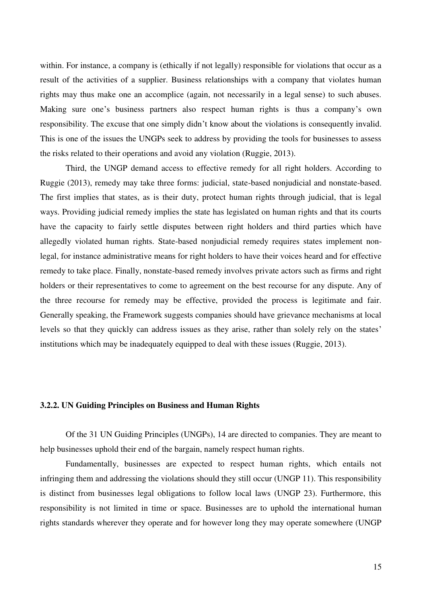within. For instance, a company is (ethically if not legally) responsible for violations that occur as a result of the activities of a supplier. Business relationships with a company that violates human rights may thus make one an accomplice (again, not necessarily in a legal sense) to such abuses. Making sure one's business partners also respect human rights is thus a company's own responsibility. The excuse that one simply didn't know about the violations is consequently invalid. This is one of the issues the UNGPs seek to address by providing the tools for businesses to assess the risks related to their operations and avoid any violation (Ruggie, 2013).

Third, the UNGP demand access to effective remedy for all right holders. According to Ruggie (2013), remedy may take three forms: judicial, state-based nonjudicial and nonstate-based. The first implies that states, as is their duty, protect human rights through judicial, that is legal ways. Providing judicial remedy implies the state has legislated on human rights and that its courts have the capacity to fairly settle disputes between right holders and third parties which have allegedly violated human rights. State-based nonjudicial remedy requires states implement nonlegal, for instance administrative means for right holders to have their voices heard and for effective remedy to take place. Finally, nonstate-based remedy involves private actors such as firms and right holders or their representatives to come to agreement on the best recourse for any dispute. Any of the three recourse for remedy may be effective, provided the process is legitimate and fair. Generally speaking, the Framework suggests companies should have grievance mechanisms at local levels so that they quickly can address issues as they arise, rather than solely rely on the states' institutions which may be inadequately equipped to deal with these issues (Ruggie, 2013).

#### **3.2.2. UN Guiding Principles on Business and Human Rights**

Of the 31 UN Guiding Principles (UNGPs), 14 are directed to companies. They are meant to help businesses uphold their end of the bargain, namely respect human rights.

Fundamentally, businesses are expected to respect human rights, which entails not infringing them and addressing the violations should they still occur (UNGP 11). This responsibility is distinct from businesses legal obligations to follow local laws (UNGP 23). Furthermore, this responsibility is not limited in time or space. Businesses are to uphold the international human rights standards wherever they operate and for however long they may operate somewhere (UNGP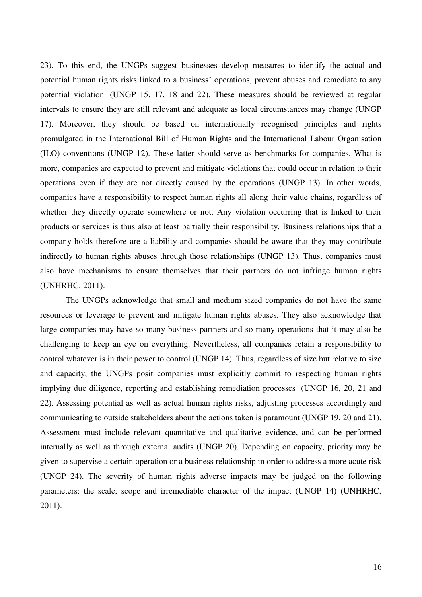23). To this end, the UNGPs suggest businesses develop measures to identify the actual and potential human rights risks linked to a business' operations, prevent abuses and remediate to any potential violation (UNGP 15, 17, 18 and 22). These measures should be reviewed at regular intervals to ensure they are still relevant and adequate as local circumstances may change (UNGP 17). Moreover, they should be based on internationally recognised principles and rights promulgated in the International Bill of Human Rights and the International Labour Organisation (ILO) conventions (UNGP 12). These latter should serve as benchmarks for companies. What is more, companies are expected to prevent and mitigate violations that could occur in relation to their operations even if they are not directly caused by the operations (UNGP 13). In other words, companies have a responsibility to respect human rights all along their value chains, regardless of whether they directly operate somewhere or not. Any violation occurring that is linked to their products or services is thus also at least partially their responsibility. Business relationships that a company holds therefore are a liability and companies should be aware that they may contribute indirectly to human rights abuses through those relationships (UNGP 13). Thus, companies must also have mechanisms to ensure themselves that their partners do not infringe human rights (UNHRHC, 2011).

The UNGPs acknowledge that small and medium sized companies do not have the same resources or leverage to prevent and mitigate human rights abuses. They also acknowledge that large companies may have so many business partners and so many operations that it may also be challenging to keep an eye on everything. Nevertheless, all companies retain a responsibility to control whatever is in their power to control (UNGP 14). Thus, regardless of size but relative to size and capacity, the UNGPs posit companies must explicitly commit to respecting human rights implying due diligence, reporting and establishing remediation processes (UNGP 16, 20, 21 and 22). Assessing potential as well as actual human rights risks, adjusting processes accordingly and communicating to outside stakeholders about the actions taken is paramount (UNGP 19, 20 and 21). Assessment must include relevant quantitative and qualitative evidence, and can be performed internally as well as through external audits (UNGP 20). Depending on capacity, priority may be given to supervise a certain operation or a business relationship in order to address a more acute risk (UNGP 24). The severity of human rights adverse impacts may be judged on the following parameters: the scale, scope and irremediable character of the impact (UNGP 14) (UNHRHC, 2011).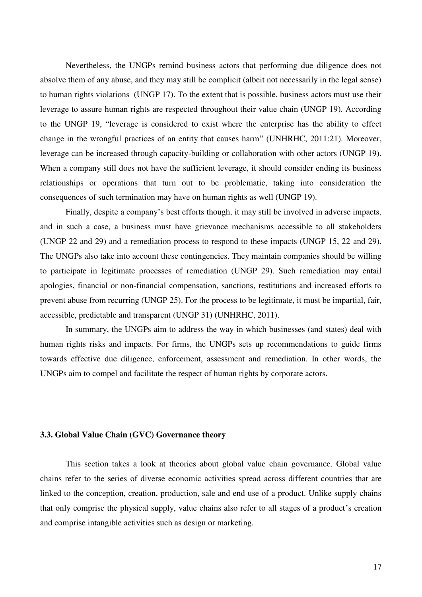Nevertheless, the UNGPs remind business actors that performing due diligence does not absolve them of any abuse, and they may still be complicit (albeit not necessarily in the legal sense) to human rights violations (UNGP 17). To the extent that is possible, business actors must use their leverage to assure human rights are respected throughout their value chain (UNGP 19). According to the UNGP 19, "leverage is considered to exist where the enterprise has the ability to effect change in the wrongful practices of an entity that causes harm" (UNHRHC, 2011:21). Moreover, leverage can be increased through capacity-building or collaboration with other actors (UNGP 19). When a company still does not have the sufficient leverage, it should consider ending its business relationships or operations that turn out to be problematic, taking into consideration the consequences of such termination may have on human rights as well (UNGP 19).

Finally, despite a company's best efforts though, it may still be involved in adverse impacts, and in such a case, a business must have grievance mechanisms accessible to all stakeholders (UNGP 22 and 29) and a remediation process to respond to these impacts (UNGP 15, 22 and 29). The UNGPs also take into account these contingencies. They maintain companies should be willing to participate in legitimate processes of remediation (UNGP 29). Such remediation may entail apologies, financial or non-financial compensation, sanctions, restitutions and increased efforts to prevent abuse from recurring (UNGP 25). For the process to be legitimate, it must be impartial, fair, accessible, predictable and transparent (UNGP 31) (UNHRHC, 2011).

In summary, the UNGPs aim to address the way in which businesses (and states) deal with human rights risks and impacts. For firms, the UNGPs sets up recommendations to guide firms towards effective due diligence, enforcement, assessment and remediation. In other words, the UNGPs aim to compel and facilitate the respect of human rights by corporate actors.

## **3.3. Global Value Chain (GVC) Governance theory**

This section takes a look at theories about global value chain governance. Global value chains refer to the series of diverse economic activities spread across different countries that are linked to the conception, creation, production, sale and end use of a product. Unlike supply chains that only comprise the physical supply, value chains also refer to all stages of a product's creation and comprise intangible activities such as design or marketing.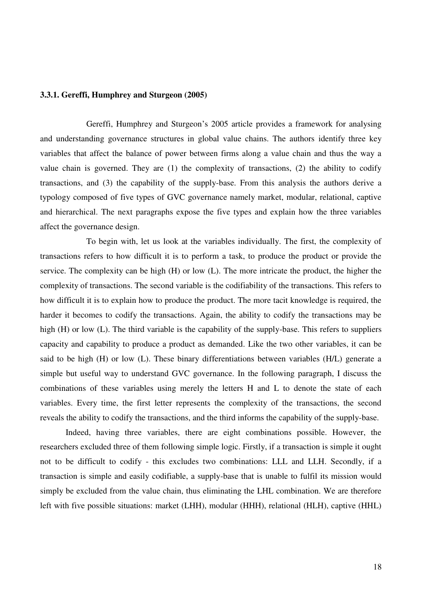# **3.3.1. Gereffi, Humphrey and Sturgeon (2005)**

Gereffi, Humphrey and Sturgeon's 2005 article provides a framework for analysing and understanding governance structures in global value chains. The authors identify three key variables that affect the balance of power between firms along a value chain and thus the way a value chain is governed. They are (1) the complexity of transactions, (2) the ability to codify transactions, and (3) the capability of the supply-base. From this analysis the authors derive a typology composed of five types of GVC governance namely market, modular, relational, captive and hierarchical. The next paragraphs expose the five types and explain how the three variables affect the governance design.

 To begin with, let us look at the variables individually. The first, the complexity of transactions refers to how difficult it is to perform a task, to produce the product or provide the service. The complexity can be high (H) or low (L). The more intricate the product, the higher the complexity of transactions. The second variable is the codifiability of the transactions. This refers to how difficult it is to explain how to produce the product. The more tacit knowledge is required, the harder it becomes to codify the transactions. Again, the ability to codify the transactions may be high (H) or low (L). The third variable is the capability of the supply-base. This refers to suppliers capacity and capability to produce a product as demanded. Like the two other variables, it can be said to be high (H) or low (L). These binary differentiations between variables (H/L) generate a simple but useful way to understand GVC governance. In the following paragraph, I discuss the combinations of these variables using merely the letters H and L to denote the state of each variables. Every time, the first letter represents the complexity of the transactions, the second reveals the ability to codify the transactions, and the third informs the capability of the supply-base.

Indeed, having three variables, there are eight combinations possible. However, the researchers excluded three of them following simple logic. Firstly, if a transaction is simple it ought not to be difficult to codify - this excludes two combinations: LLL and LLH. Secondly, if a transaction is simple and easily codifiable, a supply-base that is unable to fulfil its mission would simply be excluded from the value chain, thus eliminating the LHL combination. We are therefore left with five possible situations: market (LHH), modular (HHH), relational (HLH), captive (HHL)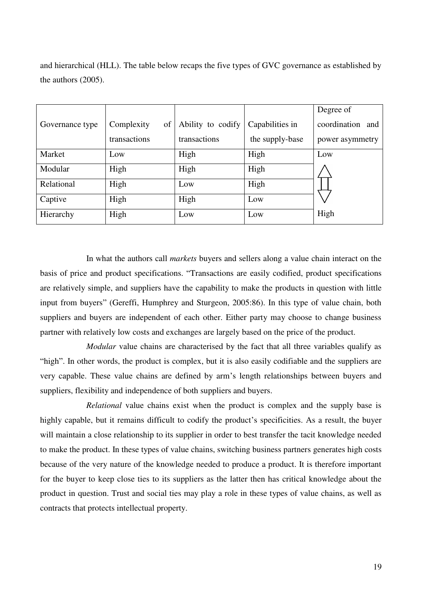and hierarchical (HLL). The table below recaps the five types of GVC governance as established by the authors (2005).

|                 |                  |                   |                 | Degree of        |
|-----------------|------------------|-------------------|-----------------|------------------|
|                 |                  |                   |                 |                  |
| Governance type | Complexity<br>of | Ability to codify | Capabilities in | coordination and |
|                 |                  |                   |                 |                  |
|                 | transactions     | transactions      | the supply-base | power asymmetry  |
|                 |                  |                   |                 |                  |
| Market          | Low              | High              | High            | Low              |
|                 |                  |                   |                 |                  |
| Modular         | High             | High              | High            |                  |
|                 |                  |                   |                 |                  |
| Relational      | High             | Low               | High            |                  |
|                 |                  |                   |                 |                  |
| Captive         | High             | High              | Low             |                  |
|                 |                  |                   |                 |                  |
|                 |                  |                   | Low             | High             |
| Hierarchy       | High             | Low               |                 |                  |
|                 |                  |                   |                 |                  |

 In what the authors call *markets* buyers and sellers along a value chain interact on the basis of price and product specifications. "Transactions are easily codified, product specifications are relatively simple, and suppliers have the capability to make the products in question with little input from buyers" (Gereffi, Humphrey and Sturgeon, 2005:86). In this type of value chain, both suppliers and buyers are independent of each other. Either party may choose to change business partner with relatively low costs and exchanges are largely based on the price of the product.

*Modular* value chains are characterised by the fact that all three variables qualify as "high". In other words, the product is complex, but it is also easily codifiable and the suppliers are very capable. These value chains are defined by arm's length relationships between buyers and suppliers, flexibility and independence of both suppliers and buyers.

 *Relational* value chains exist when the product is complex and the supply base is highly capable, but it remains difficult to codify the product's specificities. As a result, the buyer will maintain a close relationship to its supplier in order to best transfer the tacit knowledge needed to make the product. In these types of value chains, switching business partners generates high costs because of the very nature of the knowledge needed to produce a product. It is therefore important for the buyer to keep close ties to its suppliers as the latter then has critical knowledge about the product in question. Trust and social ties may play a role in these types of value chains, as well as contracts that protects intellectual property.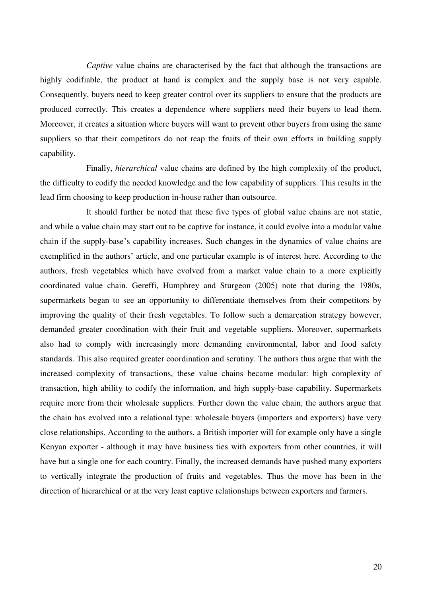*Captive* value chains are characterised by the fact that although the transactions are highly codifiable, the product at hand is complex and the supply base is not very capable. Consequently, buyers need to keep greater control over its suppliers to ensure that the products are produced correctly. This creates a dependence where suppliers need their buyers to lead them. Moreover, it creates a situation where buyers will want to prevent other buyers from using the same suppliers so that their competitors do not reap the fruits of their own efforts in building supply capability.

Finally, *hierarchical* value chains are defined by the high complexity of the product, the difficulty to codify the needed knowledge and the low capability of suppliers. This results in the lead firm choosing to keep production in-house rather than outsource.

 It should further be noted that these five types of global value chains are not static, and while a value chain may start out to be captive for instance, it could evolve into a modular value chain if the supply-base's capability increases. Such changes in the dynamics of value chains are exemplified in the authors' article, and one particular example is of interest here. According to the authors, fresh vegetables which have evolved from a market value chain to a more explicitly coordinated value chain. Gereffi, Humphrey and Sturgeon (2005) note that during the 1980s, supermarkets began to see an opportunity to differentiate themselves from their competitors by improving the quality of their fresh vegetables. To follow such a demarcation strategy however, demanded greater coordination with their fruit and vegetable suppliers. Moreover, supermarkets also had to comply with increasingly more demanding environmental, labor and food safety standards. This also required greater coordination and scrutiny. The authors thus argue that with the increased complexity of transactions, these value chains became modular: high complexity of transaction, high ability to codify the information, and high supply-base capability. Supermarkets require more from their wholesale suppliers. Further down the value chain, the authors argue that the chain has evolved into a relational type: wholesale buyers (importers and exporters) have very close relationships. According to the authors, a British importer will for example only have a single Kenyan exporter - although it may have business ties with exporters from other countries, it will have but a single one for each country. Finally, the increased demands have pushed many exporters to vertically integrate the production of fruits and vegetables. Thus the move has been in the direction of hierarchical or at the very least captive relationships between exporters and farmers.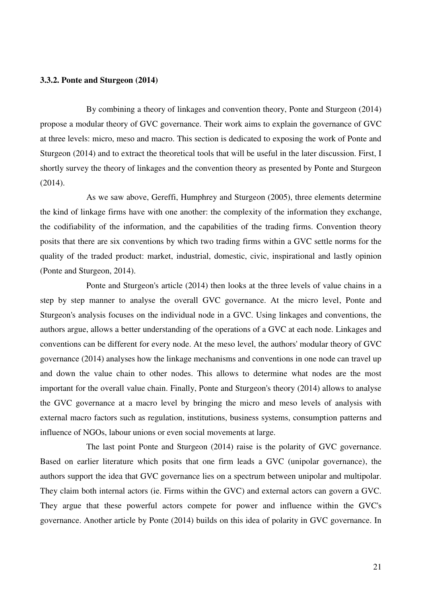## **3.3.2. Ponte and Sturgeon (2014)**

By combining a theory of linkages and convention theory, Ponte and Sturgeon (2014) propose a modular theory of GVC governance. Their work aims to explain the governance of GVC at three levels: micro, meso and macro. This section is dedicated to exposing the work of Ponte and Sturgeon (2014) and to extract the theoretical tools that will be useful in the later discussion. First, I shortly survey the theory of linkages and the convention theory as presented by Ponte and Sturgeon (2014).

 As we saw above, Gereffi, Humphrey and Sturgeon (2005), three elements determine the kind of linkage firms have with one another: the complexity of the information they exchange, the codifiability of the information, and the capabilities of the trading firms. Convention theory posits that there are six conventions by which two trading firms within a GVC settle norms for the quality of the traded product: market, industrial, domestic, civic, inspirational and lastly opinion (Ponte and Sturgeon, 2014).

 Ponte and Sturgeon's article (2014) then looks at the three levels of value chains in a step by step manner to analyse the overall GVC governance. At the micro level, Ponte and Sturgeon's analysis focuses on the individual node in a GVC. Using linkages and conventions, the authors argue, allows a better understanding of the operations of a GVC at each node. Linkages and conventions can be different for every node. At the meso level, the authors' modular theory of GVC governance (2014) analyses how the linkage mechanisms and conventions in one node can travel up and down the value chain to other nodes. This allows to determine what nodes are the most important for the overall value chain. Finally, Ponte and Sturgeon's theory (2014) allows to analyse the GVC governance at a macro level by bringing the micro and meso levels of analysis with external macro factors such as regulation, institutions, business systems, consumption patterns and influence of NGOs, labour unions or even social movements at large.

 The last point Ponte and Sturgeon (2014) raise is the polarity of GVC governance. Based on earlier literature which posits that one firm leads a GVC (unipolar governance), the authors support the idea that GVC governance lies on a spectrum between unipolar and multipolar. They claim both internal actors (ie. Firms within the GVC) and external actors can govern a GVC. They argue that these powerful actors compete for power and influence within the GVC's governance. Another article by Ponte (2014) builds on this idea of polarity in GVC governance. In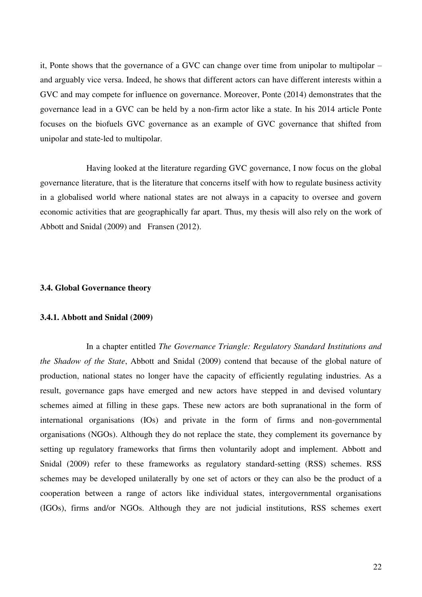it, Ponte shows that the governance of a GVC can change over time from unipolar to multipolar – and arguably vice versa. Indeed, he shows that different actors can have different interests within a GVC and may compete for influence on governance. Moreover, Ponte (2014) demonstrates that the governance lead in a GVC can be held by a non-firm actor like a state. In his 2014 article Ponte focuses on the biofuels GVC governance as an example of GVC governance that shifted from unipolar and state-led to multipolar.

 Having looked at the literature regarding GVC governance, I now focus on the global governance literature, that is the literature that concerns itself with how to regulate business activity in a globalised world where national states are not always in a capacity to oversee and govern economic activities that are geographically far apart. Thus, my thesis will also rely on the work of Abbott and Snidal (2009) and Fransen (2012).

## **3.4. Global Governance theory**

#### **3.4.1. Abbott and Snidal (2009)**

 In a chapter entitled *The Governance Triangle: Regulatory Standard Institutions and the Shadow of the State*, Abbott and Snidal (2009) contend that because of the global nature of production, national states no longer have the capacity of efficiently regulating industries. As a result, governance gaps have emerged and new actors have stepped in and devised voluntary schemes aimed at filling in these gaps. These new actors are both supranational in the form of international organisations (IOs) and private in the form of firms and non-governmental organisations (NGOs). Although they do not replace the state, they complement its governance by setting up regulatory frameworks that firms then voluntarily adopt and implement. Abbott and Snidal (2009) refer to these frameworks as regulatory standard-setting (RSS) schemes. RSS schemes may be developed unilaterally by one set of actors or they can also be the product of a cooperation between a range of actors like individual states, intergovernmental organisations (IGOs), firms and/or NGOs. Although they are not judicial institutions, RSS schemes exert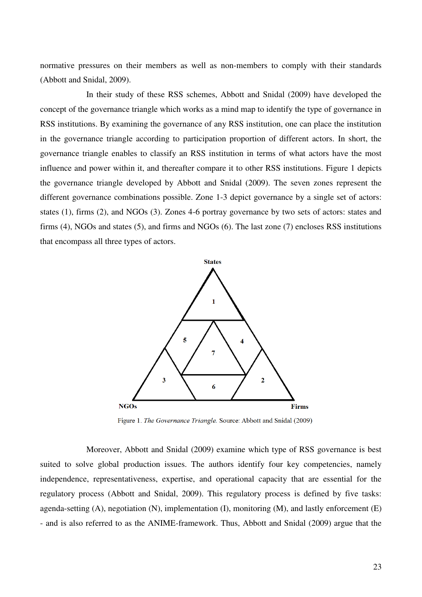normative pressures on their members as well as non-members to comply with their standards (Abbott and Snidal, 2009).

 In their study of these RSS schemes, Abbott and Snidal (2009) have developed the concept of the governance triangle which works as a mind map to identify the type of governance in RSS institutions. By examining the governance of any RSS institution, one can place the institution in the governance triangle according to participation proportion of different actors. In short, the governance triangle enables to classify an RSS institution in terms of what actors have the most influence and power within it, and thereafter compare it to other RSS institutions. Figure 1 depicts the governance triangle developed by Abbott and Snidal (2009). The seven zones represent the different governance combinations possible. Zone 1-3 depict governance by a single set of actors: states (1), firms (2), and NGOs (3). Zones 4-6 portray governance by two sets of actors: states and firms (4), NGOs and states (5), and firms and NGOs (6). The last zone (7) encloses RSS institutions that encompass all three types of actors.



Figure 1. The Governance Triangle. Source: Abbott and Snidal (2009)

 Moreover, Abbott and Snidal (2009) examine which type of RSS governance is best suited to solve global production issues. The authors identify four key competencies, namely independence, representativeness, expertise, and operational capacity that are essential for the regulatory process (Abbott and Snidal, 2009). This regulatory process is defined by five tasks: agenda-setting  $(A)$ , negotiation  $(N)$ , implementation  $(I)$ , monitoring  $(M)$ , and lastly enforcement  $(E)$ - and is also referred to as the ANIME-framework. Thus, Abbott and Snidal (2009) argue that the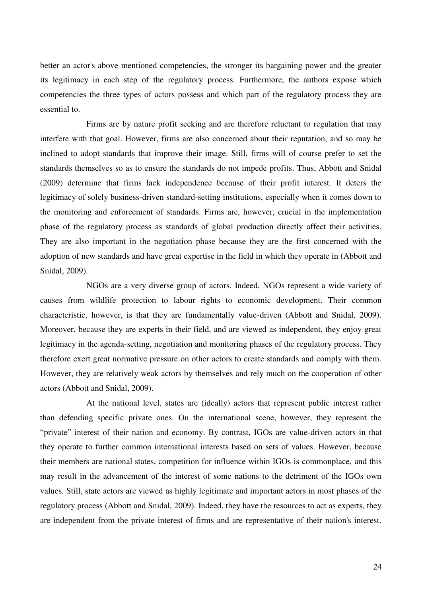better an actor's above mentioned competencies, the stronger its bargaining power and the greater its legitimacy in each step of the regulatory process. Furthermore, the authors expose which competencies the three types of actors possess and which part of the regulatory process they are essential to.

 Firms are by nature profit seeking and are therefore reluctant to regulation that may interfere with that goal. However, firms are also concerned about their reputation, and so may be inclined to adopt standards that improve their image. Still, firms will of course prefer to set the standards themselves so as to ensure the standards do not impede profits. Thus, Abbott and Snidal (2009) determine that firms lack independence because of their profit interest. It deters the legitimacy of solely business-driven standard-setting institutions, especially when it comes down to the monitoring and enforcement of standards. Firms are, however, crucial in the implementation phase of the regulatory process as standards of global production directly affect their activities. They are also important in the negotiation phase because they are the first concerned with the adoption of new standards and have great expertise in the field in which they operate in (Abbott and Snidal, 2009).

 NGOs are a very diverse group of actors. Indeed, NGOs represent a wide variety of causes from wildlife protection to labour rights to economic development. Their common characteristic, however, is that they are fundamentally value-driven (Abbott and Snidal, 2009). Moreover, because they are experts in their field, and are viewed as independent, they enjoy great legitimacy in the agenda-setting, negotiation and monitoring phases of the regulatory process. They therefore exert great normative pressure on other actors to create standards and comply with them. However, they are relatively weak actors by themselves and rely much on the cooperation of other actors (Abbott and Snidal, 2009).

 At the national level, states are (ideally) actors that represent public interest rather than defending specific private ones. On the international scene, however, they represent the "private" interest of their nation and economy. By contrast, IGOs are value-driven actors in that they operate to further common international interests based on sets of values. However, because their members are national states, competition for influence within IGOs is commonplace, and this may result in the advancement of the interest of some nations to the detriment of the IGOs own values. Still, state actors are viewed as highly legitimate and important actors in most phases of the regulatory process (Abbott and Snidal, 2009). Indeed, they have the resources to act as experts, they are independent from the private interest of firms and are representative of their nation's interest.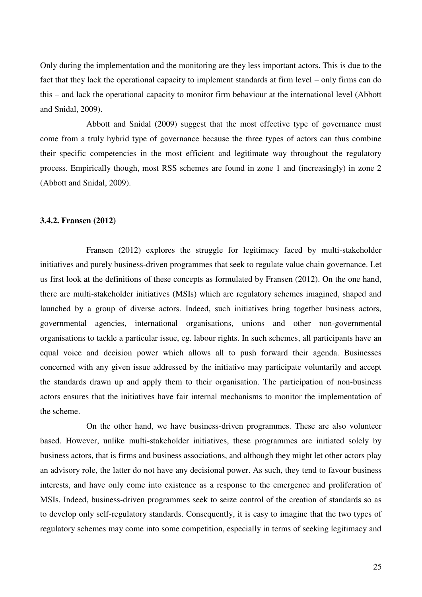Only during the implementation and the monitoring are they less important actors. This is due to the fact that they lack the operational capacity to implement standards at firm level – only firms can do this – and lack the operational capacity to monitor firm behaviour at the international level (Abbott and Snidal, 2009).

 Abbott and Snidal (2009) suggest that the most effective type of governance must come from a truly hybrid type of governance because the three types of actors can thus combine their specific competencies in the most efficient and legitimate way throughout the regulatory process. Empirically though, most RSS schemes are found in zone 1 and (increasingly) in zone 2 (Abbott and Snidal, 2009).

## **3.4.2. Fransen (2012)**

 Fransen (2012) explores the struggle for legitimacy faced by multi-stakeholder initiatives and purely business-driven programmes that seek to regulate value chain governance. Let us first look at the definitions of these concepts as formulated by Fransen (2012). On the one hand, there are multi-stakeholder initiatives (MSIs) which are regulatory schemes imagined, shaped and launched by a group of diverse actors. Indeed, such initiatives bring together business actors, governmental agencies, international organisations, unions and other non-governmental organisations to tackle a particular issue, eg. labour rights. In such schemes, all participants have an equal voice and decision power which allows all to push forward their agenda. Businesses concerned with any given issue addressed by the initiative may participate voluntarily and accept the standards drawn up and apply them to their organisation. The participation of non-business actors ensures that the initiatives have fair internal mechanisms to monitor the implementation of the scheme.

 On the other hand, we have business-driven programmes. These are also volunteer based. However, unlike multi-stakeholder initiatives, these programmes are initiated solely by business actors, that is firms and business associations, and although they might let other actors play an advisory role, the latter do not have any decisional power. As such, they tend to favour business interests, and have only come into existence as a response to the emergence and proliferation of MSIs. Indeed, business-driven programmes seek to seize control of the creation of standards so as to develop only self-regulatory standards. Consequently, it is easy to imagine that the two types of regulatory schemes may come into some competition, especially in terms of seeking legitimacy and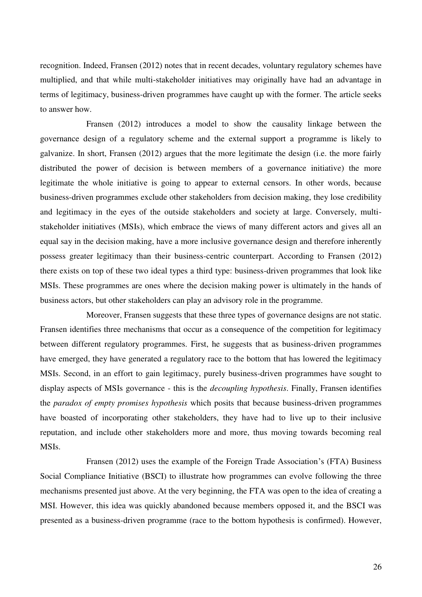recognition. Indeed, Fransen (2012) notes that in recent decades, voluntary regulatory schemes have multiplied, and that while multi-stakeholder initiatives may originally have had an advantage in terms of legitimacy, business-driven programmes have caught up with the former. The article seeks to answer how.

 Fransen (2012) introduces a model to show the causality linkage between the governance design of a regulatory scheme and the external support a programme is likely to galvanize. In short, Fransen (2012) argues that the more legitimate the design (i.e. the more fairly distributed the power of decision is between members of a governance initiative) the more legitimate the whole initiative is going to appear to external censors. In other words, because business-driven programmes exclude other stakeholders from decision making, they lose credibility and legitimacy in the eyes of the outside stakeholders and society at large. Conversely, multistakeholder initiatives (MSIs), which embrace the views of many different actors and gives all an equal say in the decision making, have a more inclusive governance design and therefore inherently possess greater legitimacy than their business-centric counterpart. According to Fransen (2012) there exists on top of these two ideal types a third type: business-driven programmes that look like MSIs. These programmes are ones where the decision making power is ultimately in the hands of business actors, but other stakeholders can play an advisory role in the programme.

 Moreover, Fransen suggests that these three types of governance designs are not static. Fransen identifies three mechanisms that occur as a consequence of the competition for legitimacy between different regulatory programmes. First, he suggests that as business-driven programmes have emerged, they have generated a regulatory race to the bottom that has lowered the legitimacy MSIs. Second, in an effort to gain legitimacy, purely business-driven programmes have sought to display aspects of MSIs governance - this is the *decoupling hypothesis*. Finally, Fransen identifies the *paradox of empty promises hypothesis* which posits that because business-driven programmes have boasted of incorporating other stakeholders, they have had to live up to their inclusive reputation, and include other stakeholders more and more, thus moving towards becoming real MSIs.

 Fransen (2012) uses the example of the Foreign Trade Association's (FTA) Business Social Compliance Initiative (BSCI) to illustrate how programmes can evolve following the three mechanisms presented just above. At the very beginning, the FTA was open to the idea of creating a MSI. However, this idea was quickly abandoned because members opposed it, and the BSCI was presented as a business-driven programme (race to the bottom hypothesis is confirmed). However,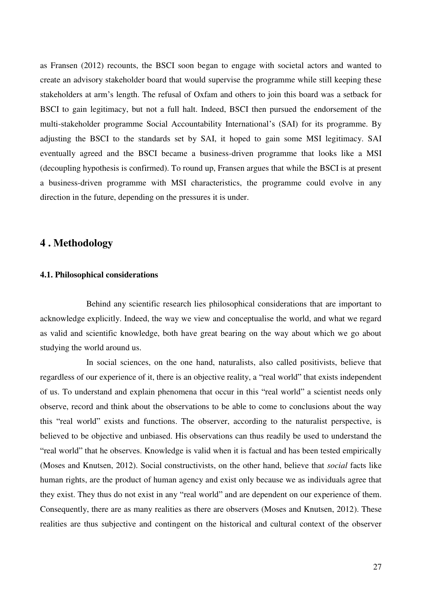as Fransen (2012) recounts, the BSCI soon began to engage with societal actors and wanted to create an advisory stakeholder board that would supervise the programme while still keeping these stakeholders at arm's length. The refusal of Oxfam and others to join this board was a setback for BSCI to gain legitimacy, but not a full halt. Indeed, BSCI then pursued the endorsement of the multi-stakeholder programme Social Accountability International's (SAI) for its programme. By adjusting the BSCI to the standards set by SAI, it hoped to gain some MSI legitimacy. SAI eventually agreed and the BSCI became a business-driven programme that looks like a MSI (decoupling hypothesis is confirmed). To round up, Fransen argues that while the BSCI is at present a business-driven programme with MSI characteristics, the programme could evolve in any direction in the future, depending on the pressures it is under.

# **4 . Methodology**

## **4.1. Philosophical considerations**

 Behind any scientific research lies philosophical considerations that are important to acknowledge explicitly. Indeed, the way we view and conceptualise the world, and what we regard as valid and scientific knowledge, both have great bearing on the way about which we go about studying the world around us.

 In social sciences, on the one hand, naturalists, also called positivists, believe that regardless of our experience of it, there is an objective reality, a "real world" that exists independent of us. To understand and explain phenomena that occur in this "real world" a scientist needs only observe, record and think about the observations to be able to come to conclusions about the way this "real world" exists and functions. The observer, according to the naturalist perspective, is believed to be objective and unbiased. His observations can thus readily be used to understand the "real world" that he observes. Knowledge is valid when it is factual and has been tested empirically (Moses and Knutsen, 2012). Social constructivists, on the other hand, believe that *social* facts like human rights, are the product of human agency and exist only because we as individuals agree that they exist. They thus do not exist in any "real world" and are dependent on our experience of them. Consequently, there are as many realities as there are observers (Moses and Knutsen, 2012). These realities are thus subjective and contingent on the historical and cultural context of the observer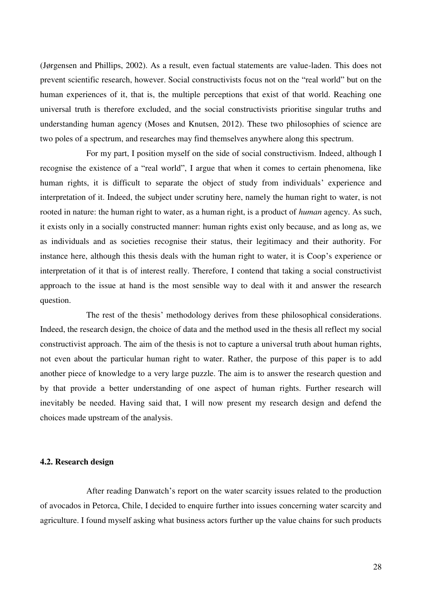(Jørgensen and Phillips, 2002). As a result, even factual statements are value-laden. This does not prevent scientific research, however. Social constructivists focus not on the "real world" but on the human experiences of it, that is, the multiple perceptions that exist of that world. Reaching one universal truth is therefore excluded, and the social constructivists prioritise singular truths and understanding human agency (Moses and Knutsen, 2012). These two philosophies of science are two poles of a spectrum, and researches may find themselves anywhere along this spectrum.

 For my part, I position myself on the side of social constructivism. Indeed, although I recognise the existence of a "real world", I argue that when it comes to certain phenomena, like human rights, it is difficult to separate the object of study from individuals' experience and interpretation of it. Indeed, the subject under scrutiny here, namely the human right to water, is not rooted in nature: the human right to water, as a human right, is a product of *human* agency. As such, it exists only in a socially constructed manner: human rights exist only because, and as long as, we as individuals and as societies recognise their status, their legitimacy and their authority. For instance here, although this thesis deals with the human right to water, it is Coop's experience or interpretation of it that is of interest really. Therefore, I contend that taking a social constructivist approach to the issue at hand is the most sensible way to deal with it and answer the research question.

 The rest of the thesis' methodology derives from these philosophical considerations. Indeed, the research design, the choice of data and the method used in the thesis all reflect my social constructivist approach. The aim of the thesis is not to capture a universal truth about human rights, not even about the particular human right to water. Rather, the purpose of this paper is to add another piece of knowledge to a very large puzzle. The aim is to answer the research question and by that provide a better understanding of one aspect of human rights. Further research will inevitably be needed. Having said that, I will now present my research design and defend the choices made upstream of the analysis.

# **4.2. Research design**

 After reading Danwatch's report on the water scarcity issues related to the production of avocados in Petorca, Chile, I decided to enquire further into issues concerning water scarcity and agriculture. I found myself asking what business actors further up the value chains for such products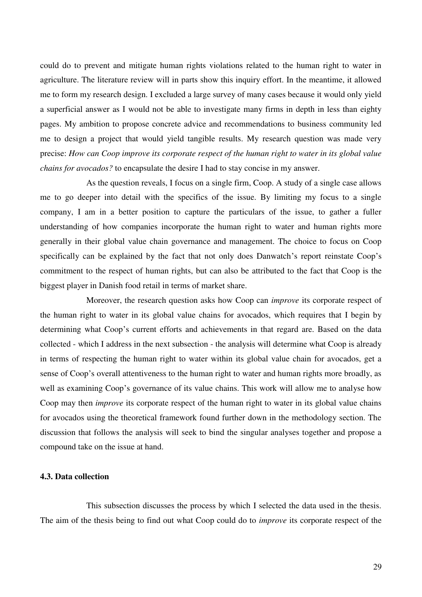could do to prevent and mitigate human rights violations related to the human right to water in agriculture. The literature review will in parts show this inquiry effort. In the meantime, it allowed me to form my research design. I excluded a large survey of many cases because it would only yield a superficial answer as I would not be able to investigate many firms in depth in less than eighty pages. My ambition to propose concrete advice and recommendations to business community led me to design a project that would yield tangible results. My research question was made very precise: *How can Coop improve its corporate respect of the human right to water in its global value chains for avocados?* to encapsulate the desire I had to stay concise in my answer.

 As the question reveals, I focus on a single firm, Coop. A study of a single case allows me to go deeper into detail with the specifics of the issue. By limiting my focus to a single company, I am in a better position to capture the particulars of the issue, to gather a fuller understanding of how companies incorporate the human right to water and human rights more generally in their global value chain governance and management. The choice to focus on Coop specifically can be explained by the fact that not only does Danwatch's report reinstate Coop's commitment to the respect of human rights, but can also be attributed to the fact that Coop is the biggest player in Danish food retail in terms of market share.

 Moreover, the research question asks how Coop can *improve* its corporate respect of the human right to water in its global value chains for avocados, which requires that I begin by determining what Coop's current efforts and achievements in that regard are. Based on the data collected - which I address in the next subsection - the analysis will determine what Coop is already in terms of respecting the human right to water within its global value chain for avocados, get a sense of Coop's overall attentiveness to the human right to water and human rights more broadly, as well as examining Coop's governance of its value chains. This work will allow me to analyse how Coop may then *improve* its corporate respect of the human right to water in its global value chains for avocados using the theoretical framework found further down in the methodology section. The discussion that follows the analysis will seek to bind the singular analyses together and propose a compound take on the issue at hand.

# **4.3. Data collection**

 This subsection discusses the process by which I selected the data used in the thesis. The aim of the thesis being to find out what Coop could do to *improve* its corporate respect of the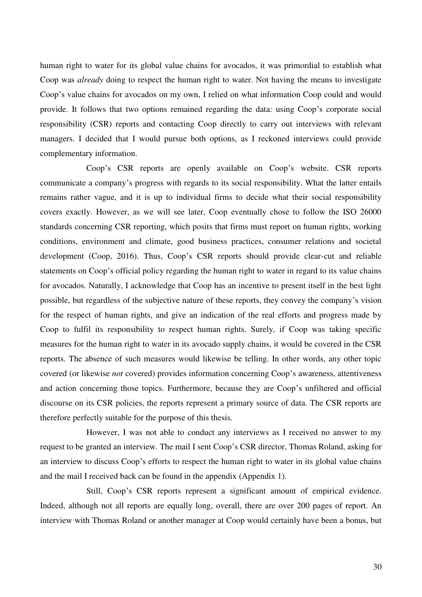human right to water for its global value chains for avocados, it was primordial to establish what Coop was *already* doing to respect the human right to water. Not having the means to investigate Coop's value chains for avocados on my own, I relied on what information Coop could and would provide. It follows that two options remained regarding the data: using Coop's corporate social responsibility (CSR) reports and contacting Coop directly to carry out interviews with relevant managers. I decided that I would pursue both options, as I reckoned interviews could provide complementary information.

 Coop's CSR reports are openly available on Coop's website. CSR reports communicate a company's progress with regards to its social responsibility. What the latter entails remains rather vague, and it is up to individual firms to decide what their social responsibility covers exactly. However, as we will see later, Coop eventually chose to follow the ISO 26000 standards concerning CSR reporting, which posits that firms must report on human rights, working conditions, environment and climate, good business practices, consumer relations and societal development (Coop, 2016). Thus, Coop's CSR reports should provide clear-cut and reliable statements on Coop's official policy regarding the human right to water in regard to its value chains for avocados. Naturally, I acknowledge that Coop has an incentive to present itself in the best light possible, but regardless of the subjective nature of these reports, they convey the company's vision for the respect of human rights, and give an indication of the real efforts and progress made by Coop to fulfil its responsibility to respect human rights. Surely, if Coop was taking specific measures for the human right to water in its avocado supply chains, it would be covered in the CSR reports. The absence of such measures would likewise be telling. In other words, any other topic covered (or likewise *not* covered) provides information concerning Coop's awareness, attentiveness and action concerning those topics. Furthermore, because they are Coop's unfiltered and official discourse on its CSR policies, the reports represent a primary source of data. The CSR reports are therefore perfectly suitable for the purpose of this thesis.

 However, I was not able to conduct any interviews as I received no answer to my request to be granted an interview. The mail I sent Coop's CSR director, Thomas Roland, asking for an interview to discuss Coop's efforts to respect the human right to water in its global value chains and the mail I received back can be found in the appendix (Appendix 1).

 Still, Coop's CSR reports represent a significant amount of empirical evidence. Indeed, although not all reports are equally long, overall, there are over 200 pages of report. An interview with Thomas Roland or another manager at Coop would certainly have been a bonus, but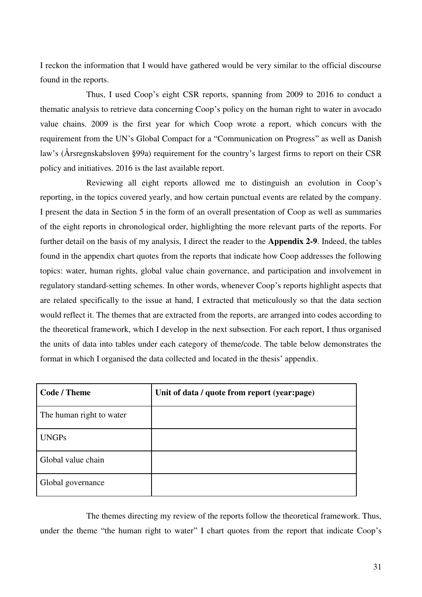I reckon the information that I would have gathered would be very similar to the official discourse found in the reports.

 Thus, I used Coop's eight CSR reports, spanning from 2009 to 2016 to conduct a thematic analysis to retrieve data concerning Coop's policy on the human right to water in avocado value chains. 2009 is the first year for which Coop wrote a report, which concurs with the requirement from the UN's Global Compact for a "Communication on Progress" as well as Danish law's (Årsregnskabsloven §99a) requirement for the country's largest firms to report on their CSR policy and initiatives. 2016 is the last available report.

 Reviewing all eight reports allowed me to distinguish an evolution in Coop's reporting, in the topics covered yearly, and how certain punctual events are related by the company. I present the data in Section 5 in the form of an overall presentation of Coop as well as summaries of the eight reports in chronological order, highlighting the more relevant parts of the reports. For further detail on the basis of my analysis, I direct the reader to the **Appendix 2-9**. Indeed, the tables found in the appendix chart quotes from the reports that indicate how Coop addresses the following topics: water, human rights, global value chain governance, and participation and involvement in regulatory standard-setting schemes. In other words, whenever Coop's reports highlight aspects that are related specifically to the issue at hand, I extracted that meticulously so that the data section would reflect it. The themes that are extracted from the reports, are arranged into codes according to the theoretical framework, which I develop in the next subsection. For each report, I thus organised the units of data into tables under each category of theme/code. The table below demonstrates the format in which I organised the data collected and located in the thesis' appendix.

| <b>Code / Theme</b>      | Unit of data / quote from report (year:page) |
|--------------------------|----------------------------------------------|
| The human right to water |                                              |
| <b>UNGPs</b>             |                                              |
| Global value chain       |                                              |
| Global governance        |                                              |

 The themes directing my review of the reports follow the theoretical framework. Thus, under the theme "the human right to water" I chart quotes from the report that indicate Coop's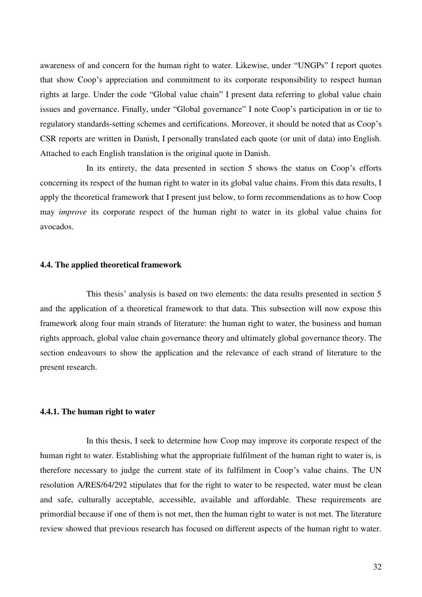awareness of and concern for the human right to water. Likewise, under "UNGPs" I report quotes that show Coop's appreciation and commitment to its corporate responsibility to respect human rights at large. Under the code "Global value chain" I present data referring to global value chain issues and governance. Finally, under "Global governance" I note Coop's participation in or tie to regulatory standards-setting schemes and certifications. Moreover, it should be noted that as Coop's CSR reports are written in Danish, I personally translated each quote (or unit of data) into English. Attached to each English translation is the original quote in Danish.

 In its entirety, the data presented in section 5 shows the status on Coop's efforts concerning its respect of the human right to water in its global value chains. From this data results, I apply the theoretical framework that I present just below, to form recommendations as to how Coop may *improve* its corporate respect of the human right to water in its global value chains for avocados.

## **4.4. The applied theoretical framework**

 This thesis' analysis is based on two elements: the data results presented in section 5 and the application of a theoretical framework to that data. This subsection will now expose this framework along four main strands of literature: the human right to water, the business and human rights approach, global value chain governance theory and ultimately global governance theory. The section endeavours to show the application and the relevance of each strand of literature to the present research.

## **4.4.1. The human right to water**

 In this thesis, I seek to determine how Coop may improve its corporate respect of the human right to water. Establishing what the appropriate fulfilment of the human right to water is, is therefore necessary to judge the current state of its fulfilment in Coop's value chains. The UN resolution A/RES/64/292 stipulates that for the right to water to be respected, water must be clean and safe, culturally acceptable, accessible, available and affordable. These requirements are primordial because if one of them is not met, then the human right to water is not met. The literature review showed that previous research has focused on different aspects of the human right to water.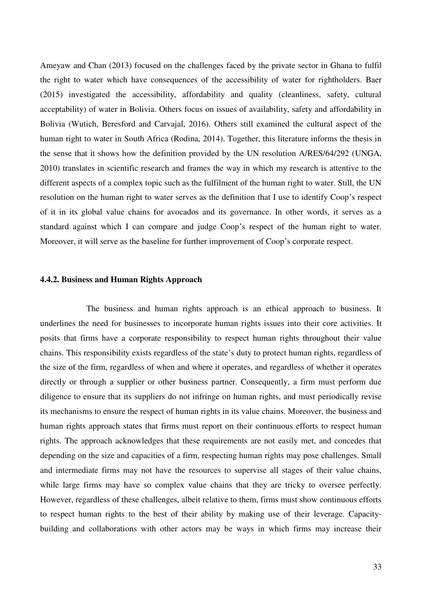Ameyaw and Chan (2013) focused on the challenges faced by the private sector in Ghana to fulfil the right to water which have consequences of the accessibility of water for rightholders. Baer (2015) investigated the accessibility, affordability and quality (cleanliness, safety, cultural acceptability) of water in Bolivia. Others focus on issues of availability, safety and affordability in Bolivia (Wutich, Beresford and Carvajal, 2016). Others still examined the cultural aspect of the human right to water in South Africa (Rodina, 2014). Together, this literature informs the thesis in the sense that it shows how the definition provided by the UN resolution A/RES/64/292 (UNGA, 2010) translates in scientific research and frames the way in which my research is attentive to the different aspects of a complex topic such as the fulfilment of the human right to water. Still, the UN resolution on the human right to water serves as the definition that I use to identify Coop's respect of it in its global value chains for avocados and its governance. In other words, it serves as a standard against which I can compare and judge Coop's respect of the human right to water. Moreover, it will serve as the baseline for further improvement of Coop's corporate respect.

#### **4.4.2. Business and Human Rights Approach**

 The business and human rights approach is an ethical approach to business. It underlines the need for businesses to incorporate human rights issues into their core activities. It posits that firms have a corporate responsibility to respect human rights throughout their value chains. This responsibility exists regardless of the state's duty to protect human rights, regardless of the size of the firm, regardless of when and where it operates, and regardless of whether it operates directly or through a supplier or other business partner. Consequently, a firm must perform due diligence to ensure that its suppliers do not infringe on human rights, and must periodically revise its mechanisms to ensure the respect of human rights in its value chains. Moreover, the business and human rights approach states that firms must report on their continuous efforts to respect human rights. The approach acknowledges that these requirements are not easily met, and concedes that depending on the size and capacities of a firm, respecting human rights may pose challenges. Small and intermediate firms may not have the resources to supervise all stages of their value chains, while large firms may have so complex value chains that they are tricky to oversee perfectly. However, regardless of these challenges, albeit relative to them, firms must show continuous efforts to respect human rights to the best of their ability by making use of their leverage. Capacitybuilding and collaborations with other actors may be ways in which firms may increase their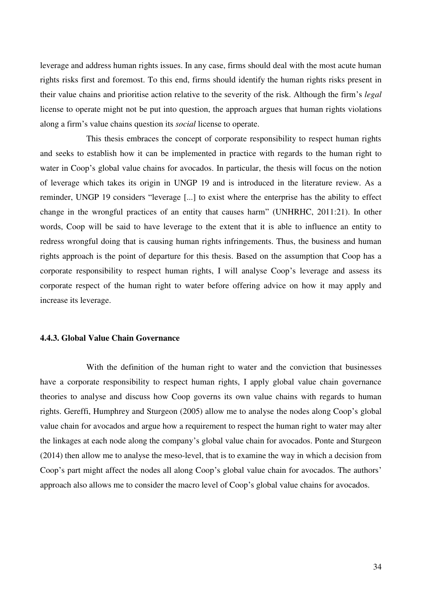leverage and address human rights issues. In any case, firms should deal with the most acute human rights risks first and foremost. To this end, firms should identify the human rights risks present in their value chains and prioritise action relative to the severity of the risk. Although the firm's *legal*  license to operate might not be put into question, the approach argues that human rights violations along a firm's value chains question its *social* license to operate.

 This thesis embraces the concept of corporate responsibility to respect human rights and seeks to establish how it can be implemented in practice with regards to the human right to water in Coop's global value chains for avocados. In particular, the thesis will focus on the notion of leverage which takes its origin in UNGP 19 and is introduced in the literature review. As a reminder, UNGP 19 considers "leverage [...] to exist where the enterprise has the ability to effect change in the wrongful practices of an entity that causes harm" (UNHRHC, 2011:21). In other words, Coop will be said to have leverage to the extent that it is able to influence an entity to redress wrongful doing that is causing human rights infringements. Thus, the business and human rights approach is the point of departure for this thesis. Based on the assumption that Coop has a corporate responsibility to respect human rights, I will analyse Coop's leverage and assess its corporate respect of the human right to water before offering advice on how it may apply and increase its leverage.

#### **4.4.3. Global Value Chain Governance**

 With the definition of the human right to water and the conviction that businesses have a corporate responsibility to respect human rights, I apply global value chain governance theories to analyse and discuss how Coop governs its own value chains with regards to human rights. Gereffi, Humphrey and Sturgeon (2005) allow me to analyse the nodes along Coop's global value chain for avocados and argue how a requirement to respect the human right to water may alter the linkages at each node along the company's global value chain for avocados. Ponte and Sturgeon (2014) then allow me to analyse the meso-level, that is to examine the way in which a decision from Coop's part might affect the nodes all along Coop's global value chain for avocados. The authors' approach also allows me to consider the macro level of Coop's global value chains for avocados.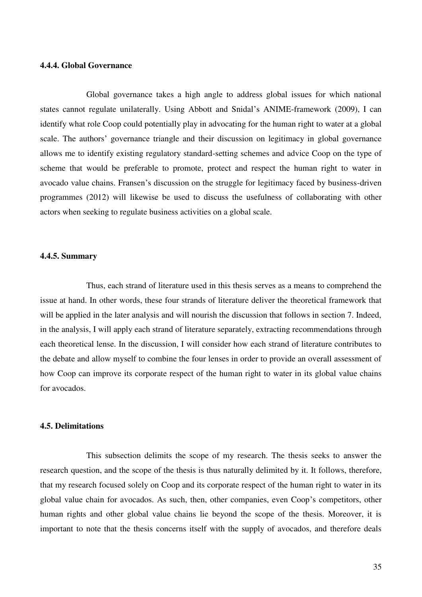#### **4.4.4. Global Governance**

 Global governance takes a high angle to address global issues for which national states cannot regulate unilaterally. Using Abbott and Snidal's ANIME-framework (2009), I can identify what role Coop could potentially play in advocating for the human right to water at a global scale. The authors' governance triangle and their discussion on legitimacy in global governance allows me to identify existing regulatory standard-setting schemes and advice Coop on the type of scheme that would be preferable to promote, protect and respect the human right to water in avocado value chains. Fransen's discussion on the struggle for legitimacy faced by business-driven programmes (2012) will likewise be used to discuss the usefulness of collaborating with other actors when seeking to regulate business activities on a global scale.

#### **4.4.5. Summary**

 Thus, each strand of literature used in this thesis serves as a means to comprehend the issue at hand. In other words, these four strands of literature deliver the theoretical framework that will be applied in the later analysis and will nourish the discussion that follows in section 7. Indeed, in the analysis, I will apply each strand of literature separately, extracting recommendations through each theoretical lense. In the discussion, I will consider how each strand of literature contributes to the debate and allow myself to combine the four lenses in order to provide an overall assessment of how Coop can improve its corporate respect of the human right to water in its global value chains for avocados.

#### **4.5. Delimitations**

 This subsection delimits the scope of my research. The thesis seeks to answer the research question, and the scope of the thesis is thus naturally delimited by it. It follows, therefore, that my research focused solely on Coop and its corporate respect of the human right to water in its global value chain for avocados. As such, then, other companies, even Coop's competitors, other human rights and other global value chains lie beyond the scope of the thesis. Moreover, it is important to note that the thesis concerns itself with the supply of avocados, and therefore deals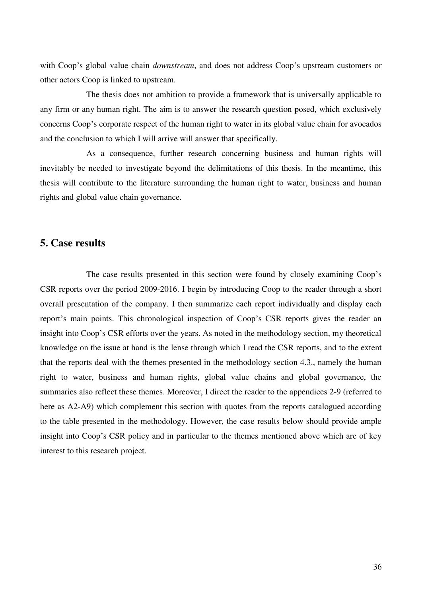with Coop's global value chain *downstream*, and does not address Coop's upstream customers or other actors Coop is linked to upstream.

 The thesis does not ambition to provide a framework that is universally applicable to any firm or any human right. The aim is to answer the research question posed, which exclusively concerns Coop's corporate respect of the human right to water in its global value chain for avocados and the conclusion to which I will arrive will answer that specifically.

 As a consequence, further research concerning business and human rights will inevitably be needed to investigate beyond the delimitations of this thesis. In the meantime, this thesis will contribute to the literature surrounding the human right to water, business and human rights and global value chain governance.

# **5. Case results**

 The case results presented in this section were found by closely examining Coop's CSR reports over the period 2009-2016. I begin by introducing Coop to the reader through a short overall presentation of the company. I then summarize each report individually and display each report's main points. This chronological inspection of Coop's CSR reports gives the reader an insight into Coop's CSR efforts over the years. As noted in the methodology section, my theoretical knowledge on the issue at hand is the lense through which I read the CSR reports, and to the extent that the reports deal with the themes presented in the methodology section 4.3., namely the human right to water, business and human rights, global value chains and global governance, the summaries also reflect these themes. Moreover, I direct the reader to the appendices 2-9 (referred to here as A2-A9) which complement this section with quotes from the reports catalogued according to the table presented in the methodology. However, the case results below should provide ample insight into Coop's CSR policy and in particular to the themes mentioned above which are of key interest to this research project.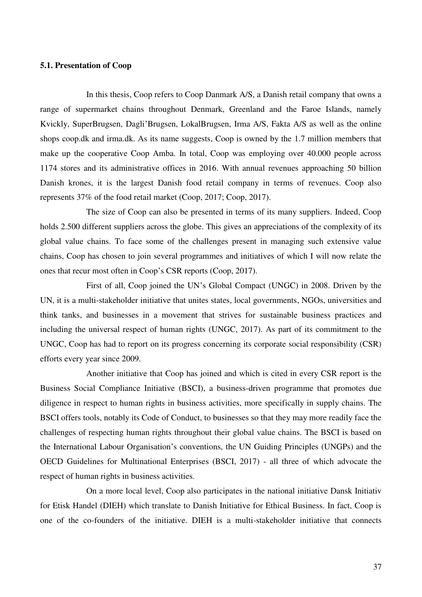#### **5.1. Presentation of Coop**

 In this thesis, Coop refers to Coop Danmark A/S, a Danish retail company that owns a range of supermarket chains throughout Denmark, Greenland and the Faroe Islands, namely Kvickly, SuperBrugsen, Dagli'Brugsen, LokalBrugsen, Irma A/S, Fakta A/S as well as the online shops coop.dk and irma.dk. As its name suggests, Coop is owned by the 1.7 million members that make up the cooperative Coop Amba. In total, Coop was employing over 40.000 people across 1174 stores and its administrative offices in 2016. With annual revenues approaching 50 billion Danish krones, it is the largest Danish food retail company in terms of revenues. Coop also represents 37% of the food retail market (Coop, 2017; Coop, 2017).

 The size of Coop can also be presented in terms of its many suppliers. Indeed, Coop holds 2.500 different suppliers across the globe. This gives an appreciations of the complexity of its global value chains. To face some of the challenges present in managing such extensive value chains, Coop has chosen to join several programmes and initiatives of which I will now relate the ones that recur most often in Coop's CSR reports (Coop, 2017).

 First of all, Coop joined the UN's Global Compact (UNGC) in 2008. Driven by the UN, it is a multi-stakeholder initiative that unites states, local governments, NGOs, universities and think tanks, and businesses in a movement that strives for sustainable business practices and including the universal respect of human rights (UNGC, 2017). As part of its commitment to the UNGC, Coop has had to report on its progress concerning its corporate social responsibility (CSR) efforts every year since 2009.

 Another initiative that Coop has joined and which is cited in every CSR report is the Business Social Compliance Initiative (BSCI), a business-driven programme that promotes due diligence in respect to human rights in business activities, more specifically in supply chains. The BSCI offers tools, notably its Code of Conduct, to businesses so that they may more readily face the challenges of respecting human rights throughout their global value chains. The BSCI is based on the International Labour Organisation's conventions, the UN Guiding Principles (UNGPs) and the OECD Guidelines for Multinational Enterprises (BSCI, 2017) - all three of which advocate the respect of human rights in business activities.

 On a more local level, Coop also participates in the national initiative Dansk Initiativ for Etisk Handel (DIEH) which translate to Danish Initiative for Ethical Business. In fact, Coop is one of the co-founders of the initiative. DIEH is a multi-stakeholder initiative that connects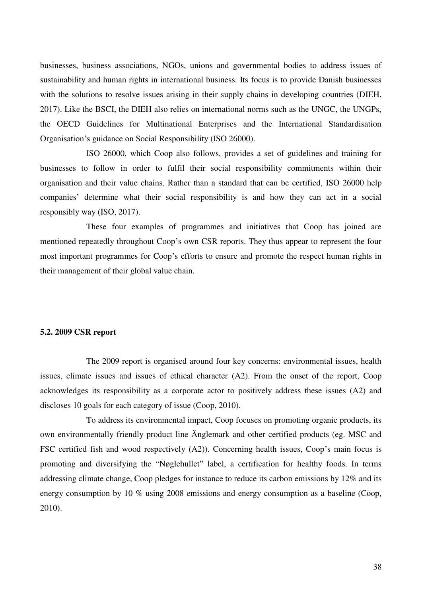businesses, business associations, NGOs, unions and governmental bodies to address issues of sustainability and human rights in international business. Its focus is to provide Danish businesses with the solutions to resolve issues arising in their supply chains in developing countries (DIEH, 2017). Like the BSCI, the DIEH also relies on international norms such as the UNGC, the UNGPs, the OECD Guidelines for Multinational Enterprises and the International Standardisation Organisation's guidance on Social Responsibility (ISO 26000).

 ISO 26000, which Coop also follows, provides a set of guidelines and training for businesses to follow in order to fulfil their social responsibility commitments within their organisation and their value chains. Rather than a standard that can be certified, ISO 26000 help companies' determine what their social responsibility is and how they can act in a social responsibly way (ISO, 2017).

 These four examples of programmes and initiatives that Coop has joined are mentioned repeatedly throughout Coop's own CSR reports. They thus appear to represent the four most important programmes for Coop's efforts to ensure and promote the respect human rights in their management of their global value chain.

#### **5.2. 2009 CSR report**

 The 2009 report is organised around four key concerns: environmental issues, health issues, climate issues and issues of ethical character (A2). From the onset of the report, Coop acknowledges its responsibility as a corporate actor to positively address these issues (A2) and discloses 10 goals for each category of issue (Coop, 2010).

 To address its environmental impact, Coop focuses on promoting organic products, its own environmentally friendly product line Änglemark and other certified products (eg. MSC and FSC certified fish and wood respectively (A2)). Concerning health issues, Coop's main focus is promoting and diversifying the "Nøglehullet" label, a certification for healthy foods. In terms addressing climate change, Coop pledges for instance to reduce its carbon emissions by 12% and its energy consumption by 10 % using 2008 emissions and energy consumption as a baseline (Coop, 2010).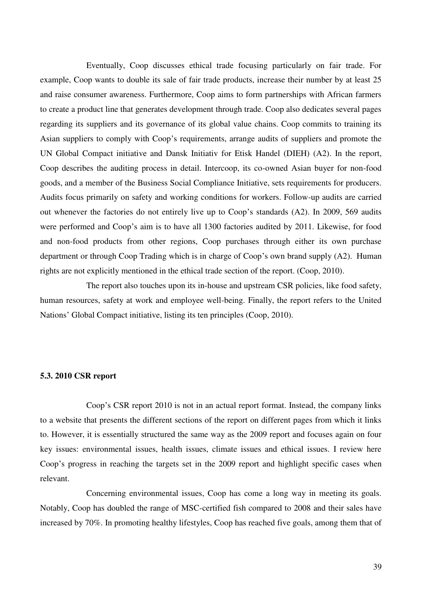Eventually, Coop discusses ethical trade focusing particularly on fair trade. For example, Coop wants to double its sale of fair trade products, increase their number by at least 25 and raise consumer awareness. Furthermore, Coop aims to form partnerships with African farmers to create a product line that generates development through trade. Coop also dedicates several pages regarding its suppliers and its governance of its global value chains. Coop commits to training its Asian suppliers to comply with Coop's requirements, arrange audits of suppliers and promote the UN Global Compact initiative and Dansk Initiativ for Etisk Handel (DIEH) (A2). In the report, Coop describes the auditing process in detail. Intercoop, its co-owned Asian buyer for non-food goods, and a member of the Business Social Compliance Initiative, sets requirements for producers. Audits focus primarily on safety and working conditions for workers. Follow-up audits are carried out whenever the factories do not entirely live up to Coop's standards (A2). In 2009, 569 audits were performed and Coop's aim is to have all 1300 factories audited by 2011. Likewise, for food and non-food products from other regions, Coop purchases through either its own purchase department or through Coop Trading which is in charge of Coop's own brand supply (A2). Human rights are not explicitly mentioned in the ethical trade section of the report. (Coop, 2010).

 The report also touches upon its in-house and upstream CSR policies, like food safety, human resources, safety at work and employee well-being. Finally, the report refers to the United Nations' Global Compact initiative, listing its ten principles (Coop, 2010).

#### **5.3. 2010 CSR report**

 Coop's CSR report 2010 is not in an actual report format. Instead, the company links to a website that presents the different sections of the report on different pages from which it links to. However, it is essentially structured the same way as the 2009 report and focuses again on four key issues: environmental issues, health issues, climate issues and ethical issues. I review here Coop's progress in reaching the targets set in the 2009 report and highlight specific cases when relevant.

 Concerning environmental issues, Coop has come a long way in meeting its goals. Notably, Coop has doubled the range of MSC-certified fish compared to 2008 and their sales have increased by 70%. In promoting healthy lifestyles, Coop has reached five goals, among them that of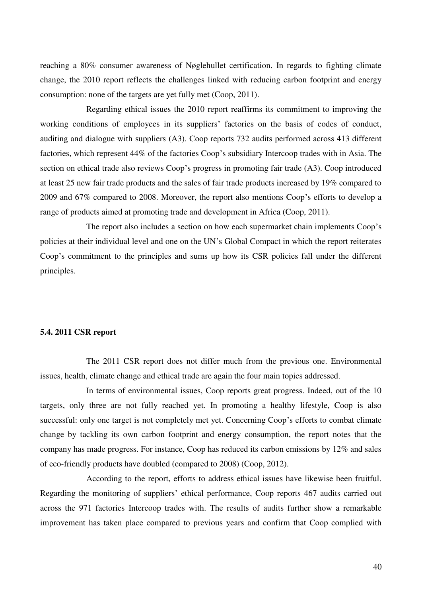reaching a 80% consumer awareness of Nøglehullet certification. In regards to fighting climate change, the 2010 report reflects the challenges linked with reducing carbon footprint and energy consumption: none of the targets are yet fully met (Coop, 2011).

 Regarding ethical issues the 2010 report reaffirms its commitment to improving the working conditions of employees in its suppliers' factories on the basis of codes of conduct, auditing and dialogue with suppliers (A3). Coop reports 732 audits performed across 413 different factories, which represent 44% of the factories Coop's subsidiary Intercoop trades with in Asia. The section on ethical trade also reviews Coop's progress in promoting fair trade (A3). Coop introduced at least 25 new fair trade products and the sales of fair trade products increased by 19% compared to 2009 and 67% compared to 2008. Moreover, the report also mentions Coop's efforts to develop a range of products aimed at promoting trade and development in Africa (Coop, 2011).

 The report also includes a section on how each supermarket chain implements Coop's policies at their individual level and one on the UN's Global Compact in which the report reiterates Coop's commitment to the principles and sums up how its CSR policies fall under the different principles.

#### **5.4. 2011 CSR report**

 The 2011 CSR report does not differ much from the previous one. Environmental issues, health, climate change and ethical trade are again the four main topics addressed.

In terms of environmental issues, Coop reports great progress. Indeed, out of the 10 targets, only three are not fully reached yet. In promoting a healthy lifestyle, Coop is also successful: only one target is not completely met yet. Concerning Coop's efforts to combat climate change by tackling its own carbon footprint and energy consumption, the report notes that the company has made progress. For instance, Coop has reduced its carbon emissions by 12% and sales of eco-friendly products have doubled (compared to 2008) (Coop, 2012).

 According to the report, efforts to address ethical issues have likewise been fruitful. Regarding the monitoring of suppliers' ethical performance, Coop reports 467 audits carried out across the 971 factories Intercoop trades with. The results of audits further show a remarkable improvement has taken place compared to previous years and confirm that Coop complied with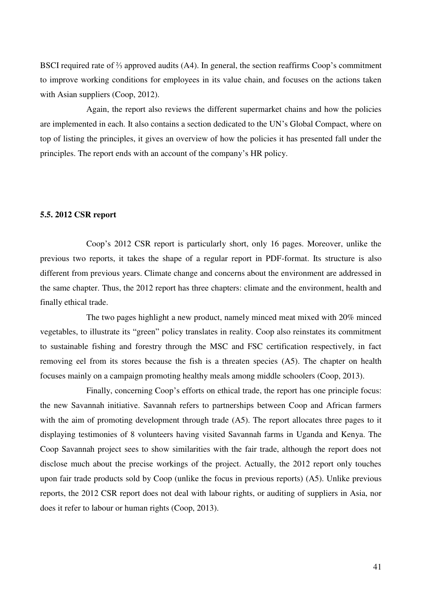BSCI required rate of ⅔ approved audits (A4). In general, the section reaffirms Coop's commitment to improve working conditions for employees in its value chain, and focuses on the actions taken with Asian suppliers (Coop, 2012).

 Again, the report also reviews the different supermarket chains and how the policies are implemented in each. It also contains a section dedicated to the UN's Global Compact, where on top of listing the principles, it gives an overview of how the policies it has presented fall under the principles. The report ends with an account of the company's HR policy.

#### **5.5. 2012 CSR report**

Coop's 2012 CSR report is particularly short, only 16 pages. Moreover, unlike the previous two reports, it takes the shape of a regular report in PDF-format. Its structure is also different from previous years. Climate change and concerns about the environment are addressed in the same chapter. Thus, the 2012 report has three chapters: climate and the environment, health and finally ethical trade.

 The two pages highlight a new product, namely minced meat mixed with 20% minced vegetables, to illustrate its "green" policy translates in reality. Coop also reinstates its commitment to sustainable fishing and forestry through the MSC and FSC certification respectively, in fact removing eel from its stores because the fish is a threaten species (A5). The chapter on health focuses mainly on a campaign promoting healthy meals among middle schoolers (Coop, 2013).

 Finally, concerning Coop's efforts on ethical trade, the report has one principle focus: the new Savannah initiative. Savannah refers to partnerships between Coop and African farmers with the aim of promoting development through trade (A5). The report allocates three pages to it displaying testimonies of 8 volunteers having visited Savannah farms in Uganda and Kenya. The Coop Savannah project sees to show similarities with the fair trade, although the report does not disclose much about the precise workings of the project. Actually, the 2012 report only touches upon fair trade products sold by Coop (unlike the focus in previous reports) (A5). Unlike previous reports, the 2012 CSR report does not deal with labour rights, or auditing of suppliers in Asia, nor does it refer to labour or human rights (Coop, 2013).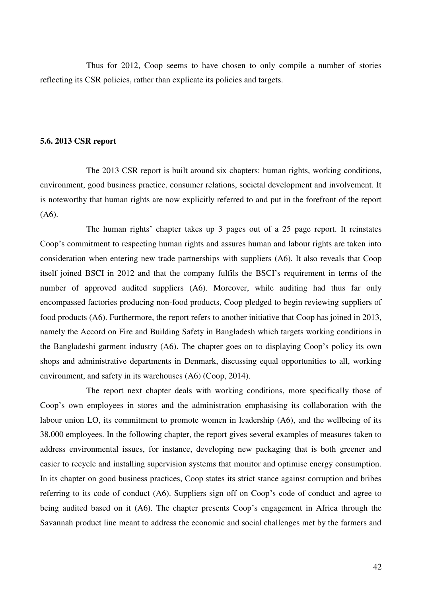Thus for 2012, Coop seems to have chosen to only compile a number of stories reflecting its CSR policies, rather than explicate its policies and targets.

#### **5.6. 2013 CSR report**

The 2013 CSR report is built around six chapters: human rights, working conditions, environment, good business practice, consumer relations, societal development and involvement. It is noteworthy that human rights are now explicitly referred to and put in the forefront of the report (A6).

 The human rights' chapter takes up 3 pages out of a 25 page report. It reinstates Coop's commitment to respecting human rights and assures human and labour rights are taken into consideration when entering new trade partnerships with suppliers (A6). It also reveals that Coop itself joined BSCI in 2012 and that the company fulfils the BSCI's requirement in terms of the number of approved audited suppliers (A6). Moreover, while auditing had thus far only encompassed factories producing non-food products, Coop pledged to begin reviewing suppliers of food products (A6). Furthermore, the report refers to another initiative that Coop has joined in 2013, namely the Accord on Fire and Building Safety in Bangladesh which targets working conditions in the Bangladeshi garment industry (A6). The chapter goes on to displaying Coop's policy its own shops and administrative departments in Denmark, discussing equal opportunities to all, working environment, and safety in its warehouses (A6) (Coop, 2014).

 The report next chapter deals with working conditions, more specifically those of Coop's own employees in stores and the administration emphasising its collaboration with the labour union LO, its commitment to promote women in leadership (A6), and the wellbeing of its 38,000 employees. In the following chapter, the report gives several examples of measures taken to address environmental issues, for instance, developing new packaging that is both greener and easier to recycle and installing supervision systems that monitor and optimise energy consumption. In its chapter on good business practices, Coop states its strict stance against corruption and bribes referring to its code of conduct (A6). Suppliers sign off on Coop's code of conduct and agree to being audited based on it (A6). The chapter presents Coop's engagement in Africa through the Savannah product line meant to address the economic and social challenges met by the farmers and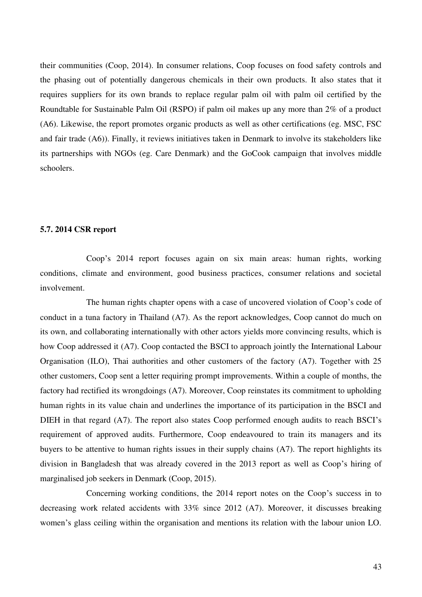their communities (Coop, 2014). In consumer relations, Coop focuses on food safety controls and the phasing out of potentially dangerous chemicals in their own products. It also states that it requires suppliers for its own brands to replace regular palm oil with palm oil certified by the Roundtable for Sustainable Palm Oil (RSPO) if palm oil makes up any more than 2% of a product (A6). Likewise, the report promotes organic products as well as other certifications (eg. MSC, FSC and fair trade (A6)). Finally, it reviews initiatives taken in Denmark to involve its stakeholders like its partnerships with NGOs (eg. Care Denmark) and the GoCook campaign that involves middle schoolers.

#### **5.7. 2014 CSR report**

Coop's 2014 report focuses again on six main areas: human rights, working conditions, climate and environment, good business practices, consumer relations and societal involvement.

 The human rights chapter opens with a case of uncovered violation of Coop's code of conduct in a tuna factory in Thailand (A7). As the report acknowledges, Coop cannot do much on its own, and collaborating internationally with other actors yields more convincing results, which is how Coop addressed it (A7). Coop contacted the BSCI to approach jointly the International Labour Organisation (ILO), Thai authorities and other customers of the factory (A7). Together with 25 other customers, Coop sent a letter requiring prompt improvements. Within a couple of months, the factory had rectified its wrongdoings (A7). Moreover, Coop reinstates its commitment to upholding human rights in its value chain and underlines the importance of its participation in the BSCI and DIEH in that regard (A7). The report also states Coop performed enough audits to reach BSCI's requirement of approved audits. Furthermore, Coop endeavoured to train its managers and its buyers to be attentive to human rights issues in their supply chains (A7). The report highlights its division in Bangladesh that was already covered in the 2013 report as well as Coop's hiring of marginalised job seekers in Denmark (Coop, 2015).

 Concerning working conditions, the 2014 report notes on the Coop's success in to decreasing work related accidents with 33% since 2012 (A7). Moreover, it discusses breaking women's glass ceiling within the organisation and mentions its relation with the labour union LO.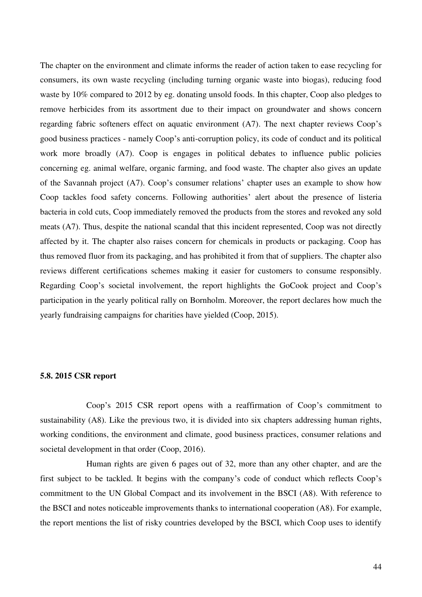The chapter on the environment and climate informs the reader of action taken to ease recycling for consumers, its own waste recycling (including turning organic waste into biogas), reducing food waste by 10% compared to 2012 by eg. donating unsold foods. In this chapter, Coop also pledges to remove herbicides from its assortment due to their impact on groundwater and shows concern regarding fabric softeners effect on aquatic environment (A7). The next chapter reviews Coop's good business practices - namely Coop's anti-corruption policy, its code of conduct and its political work more broadly (A7). Coop is engages in political debates to influence public policies concerning eg. animal welfare, organic farming, and food waste. The chapter also gives an update of the Savannah project (A7). Coop's consumer relations' chapter uses an example to show how Coop tackles food safety concerns. Following authorities' alert about the presence of listeria bacteria in cold cuts, Coop immediately removed the products from the stores and revoked any sold meats (A7). Thus, despite the national scandal that this incident represented, Coop was not directly affected by it. The chapter also raises concern for chemicals in products or packaging. Coop has thus removed fluor from its packaging, and has prohibited it from that of suppliers. The chapter also reviews different certifications schemes making it easier for customers to consume responsibly. Regarding Coop's societal involvement, the report highlights the GoCook project and Coop's participation in the yearly political rally on Bornholm. Moreover, the report declares how much the yearly fundraising campaigns for charities have yielded (Coop, 2015).

#### **5.8. 2015 CSR report**

Coop's 2015 CSR report opens with a reaffirmation of Coop's commitment to sustainability (A8). Like the previous two, it is divided into six chapters addressing human rights, working conditions, the environment and climate, good business practices, consumer relations and societal development in that order (Coop, 2016).

 Human rights are given 6 pages out of 32, more than any other chapter, and are the first subject to be tackled. It begins with the company's code of conduct which reflects Coop's commitment to the UN Global Compact and its involvement in the BSCI (A8). With reference to the BSCI and notes noticeable improvements thanks to international cooperation (A8). For example, the report mentions the list of risky countries developed by the BSCI, which Coop uses to identify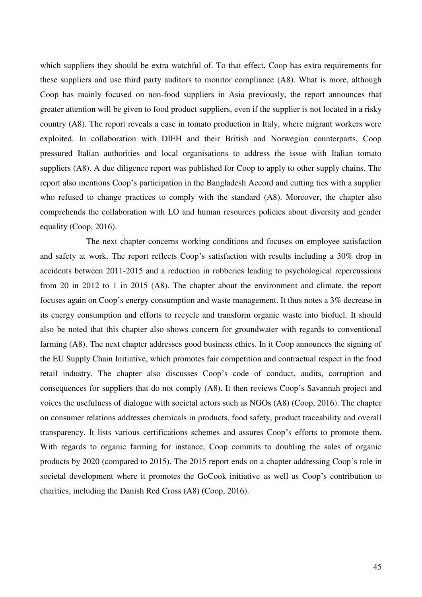which suppliers they should be extra watchful of. To that effect, Coop has extra requirements for these suppliers and use third party auditors to monitor compliance (A8). What is more, although Coop has mainly focused on non-food suppliers in Asia previously, the report announces that greater attention will be given to food product suppliers, even if the supplier is not located in a risky country (A8). The report reveals a case in tomato production in Italy, where migrant workers were exploited. In collaboration with DIEH and their British and Norwegian counterparts, Coop pressured Italian authorities and local organisations to address the issue with Italian tomato suppliers (A8). A due diligence report was published for Coop to apply to other supply chains. The report also mentions Coop's participation in the Bangladesh Accord and cutting ties with a supplier who refused to change practices to comply with the standard (A8). Moreover, the chapter also comprehends the collaboration with LO and human resources policies about diversity and gender equality (Coop, 2016).

 The next chapter concerns working conditions and focuses on employee satisfaction and safety at work. The report reflects Coop's satisfaction with results including a 30% drop in accidents between 2011-2015 and a reduction in robberies leading to psychological repercussions from 20 in 2012 to 1 in 2015 (A8). The chapter about the environment and climate, the report focuses again on Coop's energy consumption and waste management. It thus notes a 3% decrease in its energy consumption and efforts to recycle and transform organic waste into biofuel. It should also be noted that this chapter also shows concern for groundwater with regards to conventional farming (A8). The next chapter addresses good business ethics. In it Coop announces the signing of the EU Supply Chain Initiative, which promotes fair competition and contractual respect in the food retail industry. The chapter also discusses Coop's code of conduct, audits, corruption and consequences for suppliers that do not comply (A8). It then reviews Coop's Savannah project and voices the usefulness of dialogue with societal actors such as NGOs (A8) (Coop, 2016). The chapter on consumer relations addresses chemicals in products, food safety, product traceability and overall transparency. It lists various certifications schemes and assures Coop's efforts to promote them. With regards to organic farming for instance, Coop commits to doubling the sales of organic products by 2020 (compared to 2015). The 2015 report ends on a chapter addressing Coop's role in societal development where it promotes the GoCook initiative as well as Coop's contribution to charities, including the Danish Red Cross (A8) (Coop, 2016).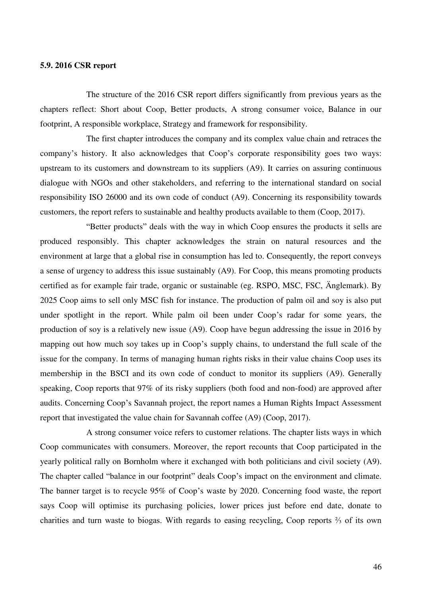#### **5.9. 2016 CSR report**

 The structure of the 2016 CSR report differs significantly from previous years as the chapters reflect: Short about Coop, Better products, A strong consumer voice, Balance in our footprint, A responsible workplace, Strategy and framework for responsibility.

 The first chapter introduces the company and its complex value chain and retraces the company's history. It also acknowledges that Coop's corporate responsibility goes two ways: upstream to its customers and downstream to its suppliers (A9). It carries on assuring continuous dialogue with NGOs and other stakeholders, and referring to the international standard on social responsibility ISO 26000 and its own code of conduct (A9). Concerning its responsibility towards customers, the report refers to sustainable and healthy products available to them (Coop, 2017).

"Better products" deals with the way in which Coop ensures the products it sells are produced responsibly. This chapter acknowledges the strain on natural resources and the environment at large that a global rise in consumption has led to. Consequently, the report conveys a sense of urgency to address this issue sustainably (A9). For Coop, this means promoting products certified as for example fair trade, organic or sustainable (eg. RSPO, MSC, FSC, Änglemark). By 2025 Coop aims to sell only MSC fish for instance. The production of palm oil and soy is also put under spotlight in the report. While palm oil been under Coop's radar for some years, the production of soy is a relatively new issue (A9). Coop have begun addressing the issue in 2016 by mapping out how much soy takes up in Coop's supply chains, to understand the full scale of the issue for the company. In terms of managing human rights risks in their value chains Coop uses its membership in the BSCI and its own code of conduct to monitor its suppliers (A9). Generally speaking, Coop reports that 97% of its risky suppliers (both food and non-food) are approved after audits. Concerning Coop's Savannah project, the report names a Human Rights Impact Assessment report that investigated the value chain for Savannah coffee (A9) (Coop, 2017).

 A strong consumer voice refers to customer relations. The chapter lists ways in which Coop communicates with consumers. Moreover, the report recounts that Coop participated in the yearly political rally on Bornholm where it exchanged with both politicians and civil society (A9). The chapter called "balance in our footprint" deals Coop's impact on the environment and climate. The banner target is to recycle 95% of Coop's waste by 2020. Concerning food waste, the report says Coop will optimise its purchasing policies, lower prices just before end date, donate to charities and turn waste to biogas. With regards to easing recycling, Coop reports ⅔ of its own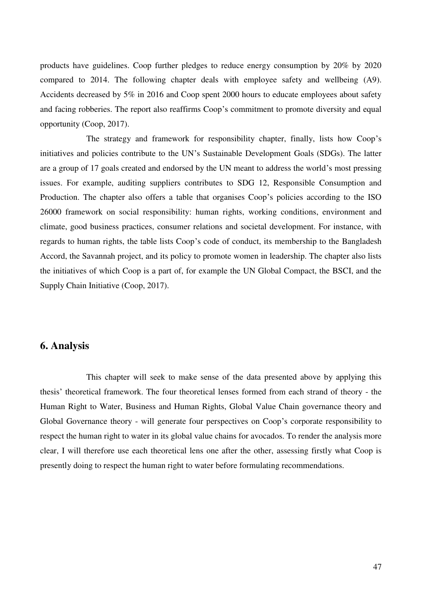products have guidelines. Coop further pledges to reduce energy consumption by 20% by 2020 compared to 2014. The following chapter deals with employee safety and wellbeing (A9). Accidents decreased by 5% in 2016 and Coop spent 2000 hours to educate employees about safety and facing robberies. The report also reaffirms Coop's commitment to promote diversity and equal opportunity (Coop, 2017).

 The strategy and framework for responsibility chapter, finally, lists how Coop's initiatives and policies contribute to the UN's Sustainable Development Goals (SDGs). The latter are a group of 17 goals created and endorsed by the UN meant to address the world's most pressing issues. For example, auditing suppliers contributes to SDG 12, Responsible Consumption and Production. The chapter also offers a table that organises Coop's policies according to the ISO 26000 framework on social responsibility: human rights, working conditions, environment and climate, good business practices, consumer relations and societal development. For instance, with regards to human rights, the table lists Coop's code of conduct, its membership to the Bangladesh Accord, the Savannah project, and its policy to promote women in leadership. The chapter also lists the initiatives of which Coop is a part of, for example the UN Global Compact, the BSCI, and the Supply Chain Initiative (Coop, 2017).

## **6. Analysis**

 This chapter will seek to make sense of the data presented above by applying this thesis' theoretical framework. The four theoretical lenses formed from each strand of theory - the Human Right to Water, Business and Human Rights, Global Value Chain governance theory and Global Governance theory - will generate four perspectives on Coop's corporate responsibility to respect the human right to water in its global value chains for avocados. To render the analysis more clear, I will therefore use each theoretical lens one after the other, assessing firstly what Coop is presently doing to respect the human right to water before formulating recommendations.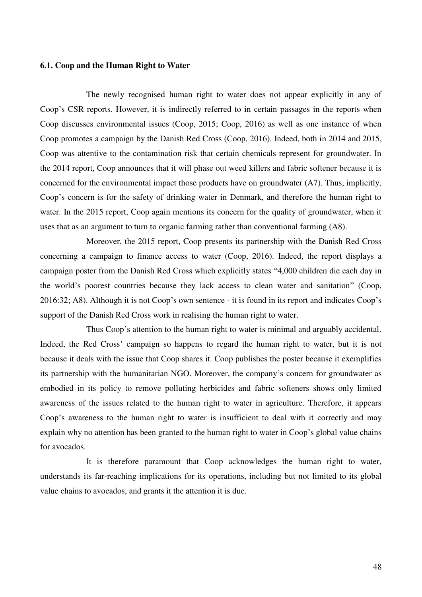#### **6.1. Coop and the Human Right to Water**

 The newly recognised human right to water does not appear explicitly in any of Coop's CSR reports. However, it is indirectly referred to in certain passages in the reports when Coop discusses environmental issues (Coop, 2015; Coop, 2016) as well as one instance of when Coop promotes a campaign by the Danish Red Cross (Coop, 2016). Indeed, both in 2014 and 2015, Coop was attentive to the contamination risk that certain chemicals represent for groundwater. In the 2014 report, Coop announces that it will phase out weed killers and fabric softener because it is concerned for the environmental impact those products have on groundwater (A7). Thus, implicitly, Coop's concern is for the safety of drinking water in Denmark, and therefore the human right to water. In the 2015 report, Coop again mentions its concern for the quality of groundwater, when it uses that as an argument to turn to organic farming rather than conventional farming (A8).

 Moreover, the 2015 report, Coop presents its partnership with the Danish Red Cross concerning a campaign to finance access to water (Coop, 2016). Indeed, the report displays a campaign poster from the Danish Red Cross which explicitly states "4,000 children die each day in the world's poorest countries because they lack access to clean water and sanitation" (Coop, 2016:32; A8). Although it is not Coop's own sentence - it is found in its report and indicates Coop's support of the Danish Red Cross work in realising the human right to water.

 Thus Coop's attention to the human right to water is minimal and arguably accidental. Indeed, the Red Cross' campaign so happens to regard the human right to water, but it is not because it deals with the issue that Coop shares it. Coop publishes the poster because it exemplifies its partnership with the humanitarian NGO. Moreover, the company's concern for groundwater as embodied in its policy to remove polluting herbicides and fabric softeners shows only limited awareness of the issues related to the human right to water in agriculture. Therefore, it appears Coop's awareness to the human right to water is insufficient to deal with it correctly and may explain why no attention has been granted to the human right to water in Coop's global value chains for avocados.

 It is therefore paramount that Coop acknowledges the human right to water, understands its far-reaching implications for its operations, including but not limited to its global value chains to avocados, and grants it the attention it is due.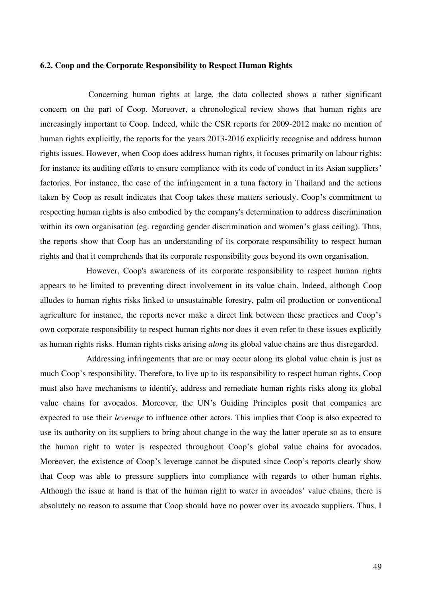#### **6.2. Coop and the Corporate Responsibility to Respect Human Rights**

 Concerning human rights at large, the data collected shows a rather significant concern on the part of Coop. Moreover, a chronological review shows that human rights are increasingly important to Coop. Indeed, while the CSR reports for 2009-2012 make no mention of human rights explicitly, the reports for the years 2013-2016 explicitly recognise and address human rights issues. However, when Coop does address human rights, it focuses primarily on labour rights: for instance its auditing efforts to ensure compliance with its code of conduct in its Asian suppliers' factories. For instance, the case of the infringement in a tuna factory in Thailand and the actions taken by Coop as result indicates that Coop takes these matters seriously. Coop's commitment to respecting human rights is also embodied by the company's determination to address discrimination within its own organisation (eg. regarding gender discrimination and women's glass ceiling). Thus, the reports show that Coop has an understanding of its corporate responsibility to respect human rights and that it comprehends that its corporate responsibility goes beyond its own organisation.

 However, Coop's awareness of its corporate responsibility to respect human rights appears to be limited to preventing direct involvement in its value chain. Indeed, although Coop alludes to human rights risks linked to unsustainable forestry, palm oil production or conventional agriculture for instance, the reports never make a direct link between these practices and Coop's own corporate responsibility to respect human rights nor does it even refer to these issues explicitly as human rights risks. Human rights risks arising *along* its global value chains are thus disregarded.

 Addressing infringements that are or may occur along its global value chain is just as much Coop's responsibility. Therefore, to live up to its responsibility to respect human rights, Coop must also have mechanisms to identify, address and remediate human rights risks along its global value chains for avocados. Moreover, the UN's Guiding Principles posit that companies are expected to use their *leverage* to influence other actors. This implies that Coop is also expected to use its authority on its suppliers to bring about change in the way the latter operate so as to ensure the human right to water is respected throughout Coop's global value chains for avocados. Moreover, the existence of Coop's leverage cannot be disputed since Coop's reports clearly show that Coop was able to pressure suppliers into compliance with regards to other human rights. Although the issue at hand is that of the human right to water in avocados' value chains, there is absolutely no reason to assume that Coop should have no power over its avocado suppliers. Thus, I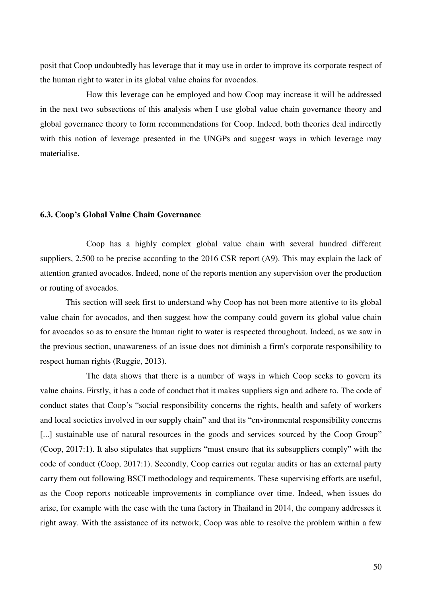posit that Coop undoubtedly has leverage that it may use in order to improve its corporate respect of the human right to water in its global value chains for avocados.

 How this leverage can be employed and how Coop may increase it will be addressed in the next two subsections of this analysis when I use global value chain governance theory and global governance theory to form recommendations for Coop. Indeed, both theories deal indirectly with this notion of leverage presented in the UNGPs and suggest ways in which leverage may materialise.

#### **6.3. Coop's Global Value Chain Governance**

Coop has a highly complex global value chain with several hundred different suppliers, 2,500 to be precise according to the 2016 CSR report (A9). This may explain the lack of attention granted avocados. Indeed, none of the reports mention any supervision over the production or routing of avocados.

This section will seek first to understand why Coop has not been more attentive to its global value chain for avocados, and then suggest how the company could govern its global value chain for avocados so as to ensure the human right to water is respected throughout. Indeed, as we saw in the previous section, unawareness of an issue does not diminish a firm's corporate responsibility to respect human rights (Ruggie, 2013).

 The data shows that there is a number of ways in which Coop seeks to govern its value chains. Firstly, it has a code of conduct that it makes suppliers sign and adhere to. The code of conduct states that Coop's "social responsibility concerns the rights, health and safety of workers and local societies involved in our supply chain" and that its "environmental responsibility concerns [...] sustainable use of natural resources in the goods and services sourced by the Coop Group" (Coop, 2017:1). It also stipulates that suppliers "must ensure that its subsuppliers comply" with the code of conduct (Coop, 2017:1). Secondly, Coop carries out regular audits or has an external party carry them out following BSCI methodology and requirements. These supervising efforts are useful, as the Coop reports noticeable improvements in compliance over time. Indeed, when issues do arise, for example with the case with the tuna factory in Thailand in 2014, the company addresses it right away. With the assistance of its network, Coop was able to resolve the problem within a few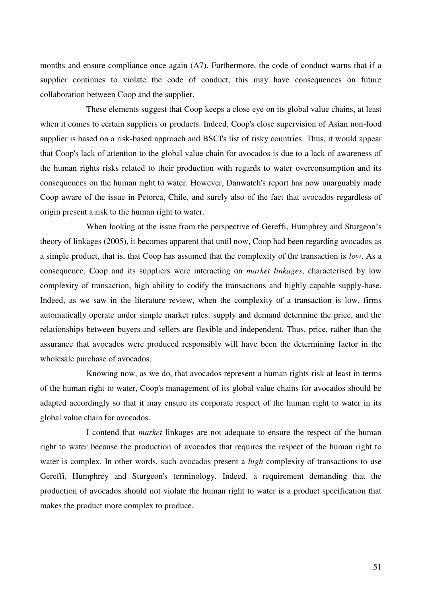months and ensure compliance once again (A7). Furthermore, the code of conduct warns that if a supplier continues to violate the code of conduct, this may have consequences on future collaboration between Coop and the supplier.

 These elements suggest that Coop keeps a close eye on its global value chains, at least when it comes to certain suppliers or products. Indeed, Coop's close supervision of Asian non-food supplier is based on a risk-based approach and BSCI's list of risky countries. Thus, it would appear that Coop's lack of attention to the global value chain for avocados is due to a lack of awareness of the human rights risks related to their production with regards to water overconsumption and its consequences on the human right to water. However, Danwatch's report has now unarguably made Coop aware of the issue in Petorca, Chile, and surely also of the fact that avocados regardless of origin present a risk to the human right to water.

 When looking at the issue from the perspective of Gereffi, Humphrey and Sturgeon's theory of linkages (2005), it becomes apparent that until now, Coop had been regarding avocados as a simple product, that is, that Coop has assumed that the complexity of the transaction is *low*. As a consequence, Coop and its suppliers were interacting on *market linkages*, characterised by low complexity of transaction, high ability to codify the transactions and highly capable supply-base. Indeed, as we saw in the literature review, when the complexity of a transaction is low, firms automatically operate under simple market rules: supply and demand determine the price, and the relationships between buyers and sellers are flexible and independent. Thus, price, rather than the assurance that avocados were produced responsibly will have been the determining factor in the wholesale purchase of avocados.

 Knowing now, as we do, that avocados represent a human rights risk at least in terms of the human right to water, Coop's management of its global value chains for avocados should be adapted accordingly so that it may ensure its corporate respect of the human right to water in its global value chain for avocados.

 I contend that *market* linkages are not adequate to ensure the respect of the human right to water because the production of avocados that requires the respect of the human right to water is complex. In other words, such avocados present a *high* complexity of transactions to use Gereffi, Humphrey and Sturgeon's terminology. Indeed, a requirement demanding that the production of avocados should not violate the human right to water is a product specification that makes the product more complex to produce.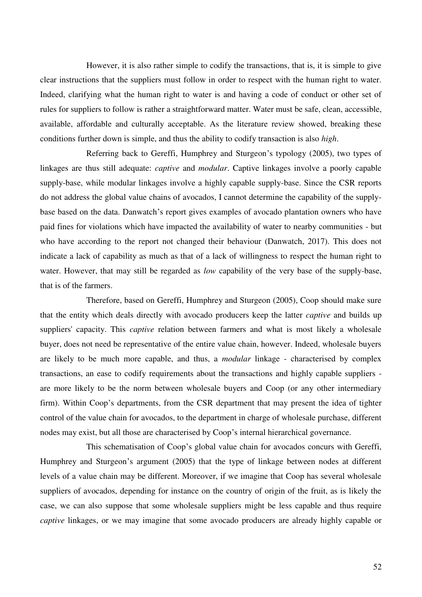However, it is also rather simple to codify the transactions, that is, it is simple to give clear instructions that the suppliers must follow in order to respect with the human right to water. Indeed, clarifying what the human right to water is and having a code of conduct or other set of rules for suppliers to follow is rather a straightforward matter. Water must be safe, clean, accessible, available, affordable and culturally acceptable. As the literature review showed, breaking these conditions further down is simple, and thus the ability to codify transaction is also *high*.

 Referring back to Gereffi, Humphrey and Sturgeon's typology (2005), two types of linkages are thus still adequate: *captive* and *modular*. Captive linkages involve a poorly capable supply-base, while modular linkages involve a highly capable supply-base. Since the CSR reports do not address the global value chains of avocados, I cannot determine the capability of the supplybase based on the data. Danwatch's report gives examples of avocado plantation owners who have paid fines for violations which have impacted the availability of water to nearby communities - but who have according to the report not changed their behaviour (Danwatch, 2017). This does not indicate a lack of capability as much as that of a lack of willingness to respect the human right to water. However, that may still be regarded as *low* capability of the very base of the supply-base, that is of the farmers.

 Therefore, based on Gereffi, Humphrey and Sturgeon (2005), Coop should make sure that the entity which deals directly with avocado producers keep the latter *captive* and builds up suppliers' capacity. This *captive* relation between farmers and what is most likely a wholesale buyer, does not need be representative of the entire value chain, however. Indeed, wholesale buyers are likely to be much more capable, and thus, a *modular* linkage - characterised by complex transactions, an ease to codify requirements about the transactions and highly capable suppliers are more likely to be the norm between wholesale buyers and Coop (or any other intermediary firm). Within Coop's departments, from the CSR department that may present the idea of tighter control of the value chain for avocados, to the department in charge of wholesale purchase, different nodes may exist, but all those are characterised by Coop's internal hierarchical governance.

 This schematisation of Coop's global value chain for avocados concurs with Gereffi, Humphrey and Sturgeon's argument (2005) that the type of linkage between nodes at different levels of a value chain may be different. Moreover, if we imagine that Coop has several wholesale suppliers of avocados, depending for instance on the country of origin of the fruit, as is likely the case, we can also suppose that some wholesale suppliers might be less capable and thus require *captive* linkages, or we may imagine that some avocado producers are already highly capable or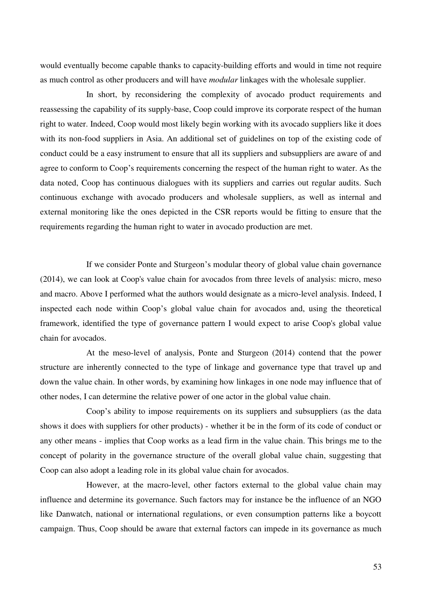would eventually become capable thanks to capacity-building efforts and would in time not require as much control as other producers and will have *modular* linkages with the wholesale supplier.

 In short, by reconsidering the complexity of avocado product requirements and reassessing the capability of its supply-base, Coop could improve its corporate respect of the human right to water. Indeed, Coop would most likely begin working with its avocado suppliers like it does with its non-food suppliers in Asia. An additional set of guidelines on top of the existing code of conduct could be a easy instrument to ensure that all its suppliers and subsuppliers are aware of and agree to conform to Coop's requirements concerning the respect of the human right to water. As the data noted, Coop has continuous dialogues with its suppliers and carries out regular audits. Such continuous exchange with avocado producers and wholesale suppliers, as well as internal and external monitoring like the ones depicted in the CSR reports would be fitting to ensure that the requirements regarding the human right to water in avocado production are met.

 If we consider Ponte and Sturgeon's modular theory of global value chain governance (2014), we can look at Coop's value chain for avocados from three levels of analysis: micro, meso and macro. Above I performed what the authors would designate as a micro-level analysis. Indeed, I inspected each node within Coop's global value chain for avocados and, using the theoretical framework, identified the type of governance pattern I would expect to arise Coop's global value chain for avocados.

 At the meso-level of analysis, Ponte and Sturgeon (2014) contend that the power structure are inherently connected to the type of linkage and governance type that travel up and down the value chain. In other words, by examining how linkages in one node may influence that of other nodes, I can determine the relative power of one actor in the global value chain.

 Coop's ability to impose requirements on its suppliers and subsuppliers (as the data shows it does with suppliers for other products) - whether it be in the form of its code of conduct or any other means - implies that Coop works as a lead firm in the value chain. This brings me to the concept of polarity in the governance structure of the overall global value chain, suggesting that Coop can also adopt a leading role in its global value chain for avocados.

 However, at the macro-level, other factors external to the global value chain may influence and determine its governance. Such factors may for instance be the influence of an NGO like Danwatch, national or international regulations, or even consumption patterns like a boycott campaign. Thus, Coop should be aware that external factors can impede in its governance as much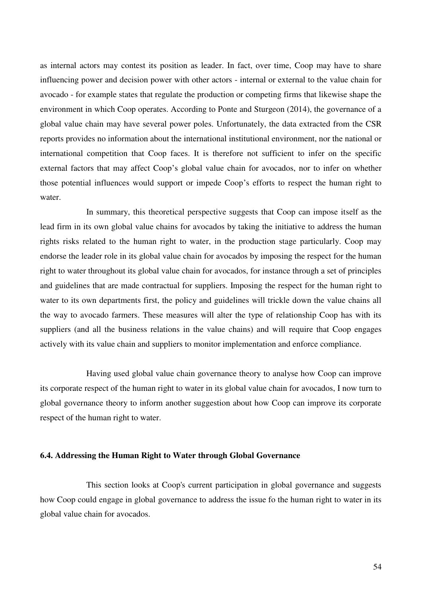as internal actors may contest its position as leader. In fact, over time, Coop may have to share influencing power and decision power with other actors - internal or external to the value chain for avocado - for example states that regulate the production or competing firms that likewise shape the environment in which Coop operates. According to Ponte and Sturgeon (2014), the governance of a global value chain may have several power poles. Unfortunately, the data extracted from the CSR reports provides no information about the international institutional environment, nor the national or international competition that Coop faces. It is therefore not sufficient to infer on the specific external factors that may affect Coop's global value chain for avocados, nor to infer on whether those potential influences would support or impede Coop's efforts to respect the human right to water.

 In summary, this theoretical perspective suggests that Coop can impose itself as the lead firm in its own global value chains for avocados by taking the initiative to address the human rights risks related to the human right to water, in the production stage particularly. Coop may endorse the leader role in its global value chain for avocados by imposing the respect for the human right to water throughout its global value chain for avocados, for instance through a set of principles and guidelines that are made contractual for suppliers. Imposing the respect for the human right to water to its own departments first, the policy and guidelines will trickle down the value chains all the way to avocado farmers. These measures will alter the type of relationship Coop has with its suppliers (and all the business relations in the value chains) and will require that Coop engages actively with its value chain and suppliers to monitor implementation and enforce compliance.

 Having used global value chain governance theory to analyse how Coop can improve its corporate respect of the human right to water in its global value chain for avocados, I now turn to global governance theory to inform another suggestion about how Coop can improve its corporate respect of the human right to water.

### **6.4. Addressing the Human Right to Water through Global Governance**

 This section looks at Coop's current participation in global governance and suggests how Coop could engage in global governance to address the issue fo the human right to water in its global value chain for avocados.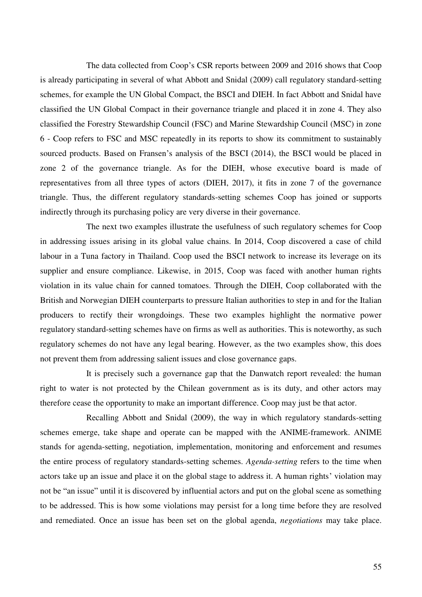The data collected from Coop's CSR reports between 2009 and 2016 shows that Coop is already participating in several of what Abbott and Snidal (2009) call regulatory standard-setting schemes, for example the UN Global Compact, the BSCI and DIEH. In fact Abbott and Snidal have classified the UN Global Compact in their governance triangle and placed it in zone 4. They also classified the Forestry Stewardship Council (FSC) and Marine Stewardship Council (MSC) in zone 6 - Coop refers to FSC and MSC repeatedly in its reports to show its commitment to sustainably sourced products. Based on Fransen's analysis of the BSCI (2014), the BSCI would be placed in zone 2 of the governance triangle. As for the DIEH, whose executive board is made of representatives from all three types of actors (DIEH, 2017), it fits in zone 7 of the governance triangle. Thus, the different regulatory standards-setting schemes Coop has joined or supports indirectly through its purchasing policy are very diverse in their governance.

 The next two examples illustrate the usefulness of such regulatory schemes for Coop in addressing issues arising in its global value chains. In 2014, Coop discovered a case of child labour in a Tuna factory in Thailand. Coop used the BSCI network to increase its leverage on its supplier and ensure compliance. Likewise, in 2015, Coop was faced with another human rights violation in its value chain for canned tomatoes. Through the DIEH, Coop collaborated with the British and Norwegian DIEH counterparts to pressure Italian authorities to step in and for the Italian producers to rectify their wrongdoings. These two examples highlight the normative power regulatory standard-setting schemes have on firms as well as authorities. This is noteworthy, as such regulatory schemes do not have any legal bearing. However, as the two examples show, this does not prevent them from addressing salient issues and close governance gaps.

 It is precisely such a governance gap that the Danwatch report revealed: the human right to water is not protected by the Chilean government as is its duty, and other actors may therefore cease the opportunity to make an important difference. Coop may just be that actor.

 Recalling Abbott and Snidal (2009), the way in which regulatory standards-setting schemes emerge, take shape and operate can be mapped with the ANIME-framework. ANIME stands for agenda-setting, negotiation, implementation, monitoring and enforcement and resumes the entire process of regulatory standards-setting schemes. *Agenda-setting* refers to the time when actors take up an issue and place it on the global stage to address it. A human rights' violation may not be "an issue" until it is discovered by influential actors and put on the global scene as something to be addressed. This is how some violations may persist for a long time before they are resolved and remediated. Once an issue has been set on the global agenda, *negotiations* may take place.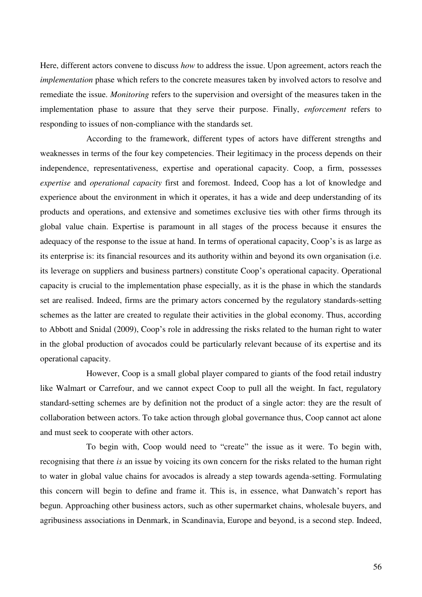Here, different actors convene to discuss *how* to address the issue. Upon agreement, actors reach the *implementation* phase which refers to the concrete measures taken by involved actors to resolve and remediate the issue. *Monitoring* refers to the supervision and oversight of the measures taken in the implementation phase to assure that they serve their purpose. Finally, *enforcement* refers to responding to issues of non-compliance with the standards set.

 According to the framework, different types of actors have different strengths and weaknesses in terms of the four key competencies. Their legitimacy in the process depends on their independence, representativeness, expertise and operational capacity. Coop, a firm, possesses *expertise* and *operational capacity* first and foremost. Indeed, Coop has a lot of knowledge and experience about the environment in which it operates, it has a wide and deep understanding of its products and operations, and extensive and sometimes exclusive ties with other firms through its global value chain. Expertise is paramount in all stages of the process because it ensures the adequacy of the response to the issue at hand. In terms of operational capacity, Coop's is as large as its enterprise is: its financial resources and its authority within and beyond its own organisation (i.e. its leverage on suppliers and business partners) constitute Coop's operational capacity. Operational capacity is crucial to the implementation phase especially, as it is the phase in which the standards set are realised. Indeed, firms are the primary actors concerned by the regulatory standards-setting schemes as the latter are created to regulate their activities in the global economy. Thus, according to Abbott and Snidal (2009), Coop's role in addressing the risks related to the human right to water in the global production of avocados could be particularly relevant because of its expertise and its operational capacity.

 However, Coop is a small global player compared to giants of the food retail industry like Walmart or Carrefour, and we cannot expect Coop to pull all the weight. In fact, regulatory standard-setting schemes are by definition not the product of a single actor: they are the result of collaboration between actors. To take action through global governance thus, Coop cannot act alone and must seek to cooperate with other actors.

 To begin with, Coop would need to "create" the issue as it were. To begin with, recognising that there *is* an issue by voicing its own concern for the risks related to the human right to water in global value chains for avocados is already a step towards agenda-setting. Formulating this concern will begin to define and frame it. This is, in essence, what Danwatch's report has begun. Approaching other business actors, such as other supermarket chains, wholesale buyers, and agribusiness associations in Denmark, in Scandinavia, Europe and beyond, is a second step. Indeed,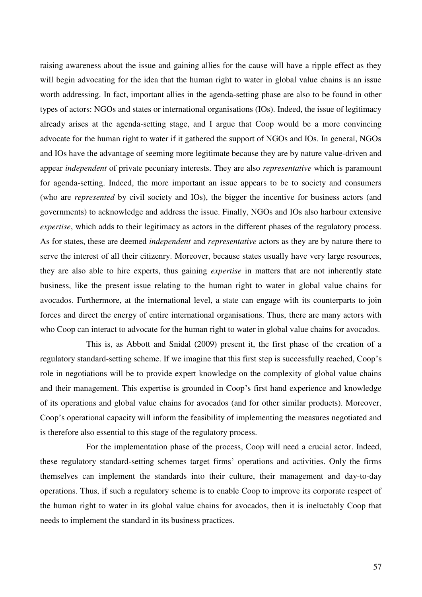raising awareness about the issue and gaining allies for the cause will have a ripple effect as they will begin advocating for the idea that the human right to water in global value chains is an issue worth addressing. In fact, important allies in the agenda-setting phase are also to be found in other types of actors: NGOs and states or international organisations (IOs). Indeed, the issue of legitimacy already arises at the agenda-setting stage, and I argue that Coop would be a more convincing advocate for the human right to water if it gathered the support of NGOs and IOs. In general, NGOs and IOs have the advantage of seeming more legitimate because they are by nature value-driven and appear *independent* of private pecuniary interests. They are also *representative* which is paramount for agenda-setting. Indeed, the more important an issue appears to be to society and consumers (who are *represented* by civil society and IOs), the bigger the incentive for business actors (and governments) to acknowledge and address the issue. Finally, NGOs and IOs also harbour extensive *expertise*, which adds to their legitimacy as actors in the different phases of the regulatory process. As for states, these are deemed *independent* and *representative* actors as they are by nature there to serve the interest of all their citizenry. Moreover, because states usually have very large resources, they are also able to hire experts, thus gaining *expertise* in matters that are not inherently state business, like the present issue relating to the human right to water in global value chains for avocados. Furthermore, at the international level, a state can engage with its counterparts to join forces and direct the energy of entire international organisations. Thus, there are many actors with who Coop can interact to advocate for the human right to water in global value chains for avocados.

 This is, as Abbott and Snidal (2009) present it, the first phase of the creation of a regulatory standard-setting scheme. If we imagine that this first step is successfully reached, Coop's role in negotiations will be to provide expert knowledge on the complexity of global value chains and their management. This expertise is grounded in Coop's first hand experience and knowledge of its operations and global value chains for avocados (and for other similar products). Moreover, Coop's operational capacity will inform the feasibility of implementing the measures negotiated and is therefore also essential to this stage of the regulatory process.

 For the implementation phase of the process, Coop will need a crucial actor. Indeed, these regulatory standard-setting schemes target firms' operations and activities. Only the firms themselves can implement the standards into their culture, their management and day-to-day operations. Thus, if such a regulatory scheme is to enable Coop to improve its corporate respect of the human right to water in its global value chains for avocados, then it is ineluctably Coop that needs to implement the standard in its business practices.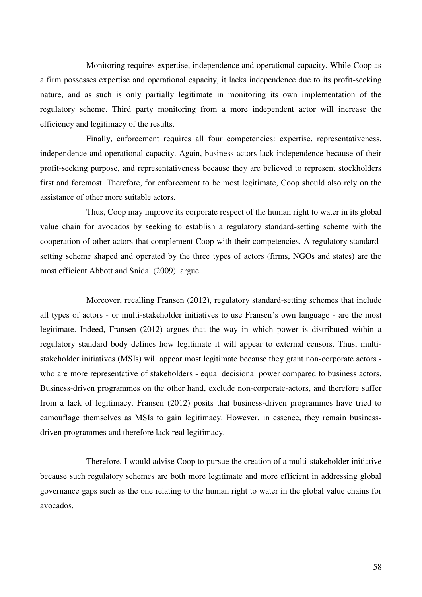Monitoring requires expertise, independence and operational capacity. While Coop as a firm possesses expertise and operational capacity, it lacks independence due to its profit-seeking nature, and as such is only partially legitimate in monitoring its own implementation of the regulatory scheme. Third party monitoring from a more independent actor will increase the efficiency and legitimacy of the results.

 Finally, enforcement requires all four competencies: expertise, representativeness, independence and operational capacity. Again, business actors lack independence because of their profit-seeking purpose, and representativeness because they are believed to represent stockholders first and foremost. Therefore, for enforcement to be most legitimate, Coop should also rely on the assistance of other more suitable actors.

 Thus, Coop may improve its corporate respect of the human right to water in its global value chain for avocados by seeking to establish a regulatory standard-setting scheme with the cooperation of other actors that complement Coop with their competencies. A regulatory standardsetting scheme shaped and operated by the three types of actors (firms, NGOs and states) are the most efficient Abbott and Snidal (2009) argue.

 Moreover, recalling Fransen (2012), regulatory standard-setting schemes that include all types of actors - or multi-stakeholder initiatives to use Fransen's own language - are the most legitimate. Indeed, Fransen (2012) argues that the way in which power is distributed within a regulatory standard body defines how legitimate it will appear to external censors. Thus, multistakeholder initiatives (MSIs) will appear most legitimate because they grant non-corporate actors who are more representative of stakeholders - equal decisional power compared to business actors. Business-driven programmes on the other hand, exclude non-corporate-actors, and therefore suffer from a lack of legitimacy. Fransen (2012) posits that business-driven programmes have tried to camouflage themselves as MSIs to gain legitimacy. However, in essence, they remain businessdriven programmes and therefore lack real legitimacy.

 Therefore, I would advise Coop to pursue the creation of a multi-stakeholder initiative because such regulatory schemes are both more legitimate and more efficient in addressing global governance gaps such as the one relating to the human right to water in the global value chains for avocados.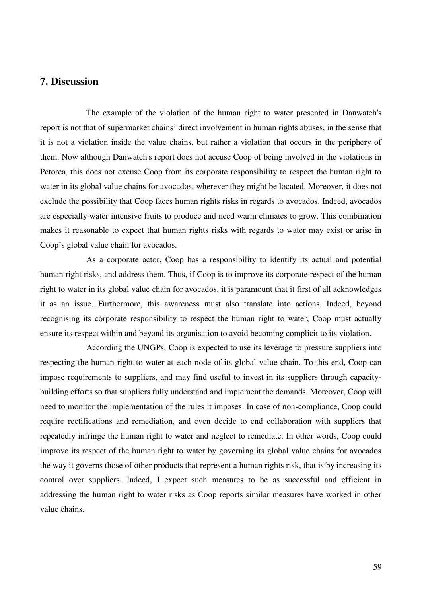## **7. Discussion**

The example of the violation of the human right to water presented in Danwatch's report is not that of supermarket chains' direct involvement in human rights abuses, in the sense that it is not a violation inside the value chains, but rather a violation that occurs in the periphery of them. Now although Danwatch's report does not accuse Coop of being involved in the violations in Petorca, this does not excuse Coop from its corporate responsibility to respect the human right to water in its global value chains for avocados, wherever they might be located. Moreover, it does not exclude the possibility that Coop faces human rights risks in regards to avocados. Indeed, avocados are especially water intensive fruits to produce and need warm climates to grow. This combination makes it reasonable to expect that human rights risks with regards to water may exist or arise in Coop's global value chain for avocados.

 As a corporate actor, Coop has a responsibility to identify its actual and potential human right risks, and address them. Thus, if Coop is to improve its corporate respect of the human right to water in its global value chain for avocados, it is paramount that it first of all acknowledges it as an issue. Furthermore, this awareness must also translate into actions. Indeed, beyond recognising its corporate responsibility to respect the human right to water, Coop must actually ensure its respect within and beyond its organisation to avoid becoming complicit to its violation.

 According the UNGPs, Coop is expected to use its leverage to pressure suppliers into respecting the human right to water at each node of its global value chain. To this end, Coop can impose requirements to suppliers, and may find useful to invest in its suppliers through capacitybuilding efforts so that suppliers fully understand and implement the demands. Moreover, Coop will need to monitor the implementation of the rules it imposes. In case of non-compliance, Coop could require rectifications and remediation, and even decide to end collaboration with suppliers that repeatedly infringe the human right to water and neglect to remediate. In other words, Coop could improve its respect of the human right to water by governing its global value chains for avocados the way it governs those of other products that represent a human rights risk, that is by increasing its control over suppliers. Indeed, I expect such measures to be as successful and efficient in addressing the human right to water risks as Coop reports similar measures have worked in other value chains.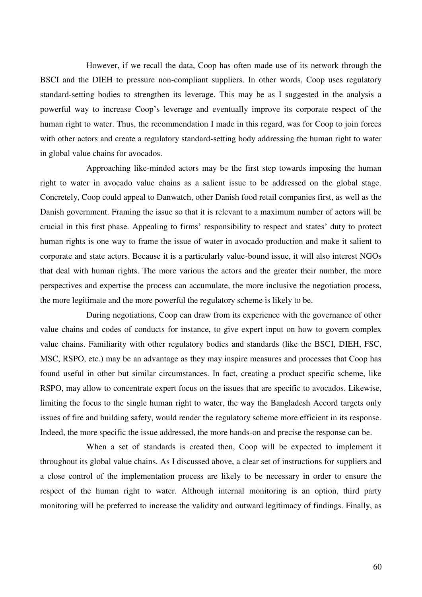However, if we recall the data, Coop has often made use of its network through the BSCI and the DIEH to pressure non-compliant suppliers. In other words, Coop uses regulatory standard-setting bodies to strengthen its leverage. This may be as I suggested in the analysis a powerful way to increase Coop's leverage and eventually improve its corporate respect of the human right to water. Thus, the recommendation I made in this regard, was for Coop to join forces with other actors and create a regulatory standard-setting body addressing the human right to water in global value chains for avocados.

 Approaching like-minded actors may be the first step towards imposing the human right to water in avocado value chains as a salient issue to be addressed on the global stage. Concretely, Coop could appeal to Danwatch, other Danish food retail companies first, as well as the Danish government. Framing the issue so that it is relevant to a maximum number of actors will be crucial in this first phase. Appealing to firms' responsibility to respect and states' duty to protect human rights is one way to frame the issue of water in avocado production and make it salient to corporate and state actors. Because it is a particularly value-bound issue, it will also interest NGOs that deal with human rights. The more various the actors and the greater their number, the more perspectives and expertise the process can accumulate, the more inclusive the negotiation process, the more legitimate and the more powerful the regulatory scheme is likely to be.

 During negotiations, Coop can draw from its experience with the governance of other value chains and codes of conducts for instance, to give expert input on how to govern complex value chains. Familiarity with other regulatory bodies and standards (like the BSCI, DIEH, FSC, MSC, RSPO, etc.) may be an advantage as they may inspire measures and processes that Coop has found useful in other but similar circumstances. In fact, creating a product specific scheme, like RSPO, may allow to concentrate expert focus on the issues that are specific to avocados. Likewise, limiting the focus to the single human right to water, the way the Bangladesh Accord targets only issues of fire and building safety, would render the regulatory scheme more efficient in its response. Indeed, the more specific the issue addressed, the more hands-on and precise the response can be.

 When a set of standards is created then, Coop will be expected to implement it throughout its global value chains. As I discussed above, a clear set of instructions for suppliers and a close control of the implementation process are likely to be necessary in order to ensure the respect of the human right to water. Although internal monitoring is an option, third party monitoring will be preferred to increase the validity and outward legitimacy of findings. Finally, as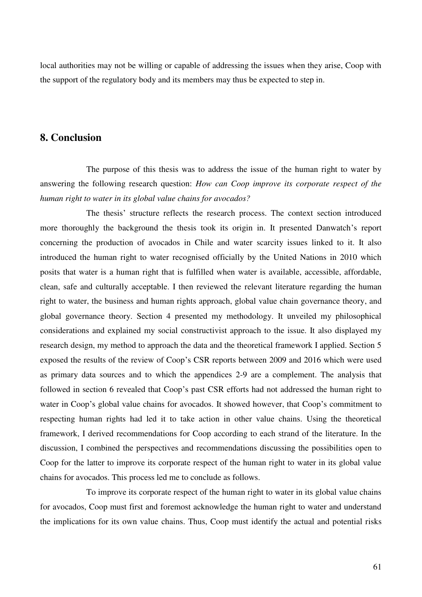local authorities may not be willing or capable of addressing the issues when they arise, Coop with the support of the regulatory body and its members may thus be expected to step in.

### **8. Conclusion**

The purpose of this thesis was to address the issue of the human right to water by answering the following research question: *How can Coop improve its corporate respect of the human right to water in its global value chains for avocados?*

 The thesis' structure reflects the research process. The context section introduced more thoroughly the background the thesis took its origin in. It presented Danwatch's report concerning the production of avocados in Chile and water scarcity issues linked to it. It also introduced the human right to water recognised officially by the United Nations in 2010 which posits that water is a human right that is fulfilled when water is available, accessible, affordable, clean, safe and culturally acceptable. I then reviewed the relevant literature regarding the human right to water, the business and human rights approach, global value chain governance theory, and global governance theory. Section 4 presented my methodology. It unveiled my philosophical considerations and explained my social constructivist approach to the issue. It also displayed my research design, my method to approach the data and the theoretical framework I applied. Section 5 exposed the results of the review of Coop's CSR reports between 2009 and 2016 which were used as primary data sources and to which the appendices 2-9 are a complement. The analysis that followed in section 6 revealed that Coop's past CSR efforts had not addressed the human right to water in Coop's global value chains for avocados. It showed however, that Coop's commitment to respecting human rights had led it to take action in other value chains. Using the theoretical framework, I derived recommendations for Coop according to each strand of the literature. In the discussion, I combined the perspectives and recommendations discussing the possibilities open to Coop for the latter to improve its corporate respect of the human right to water in its global value chains for avocados. This process led me to conclude as follows.

 To improve its corporate respect of the human right to water in its global value chains for avocados, Coop must first and foremost acknowledge the human right to water and understand the implications for its own value chains. Thus, Coop must identify the actual and potential risks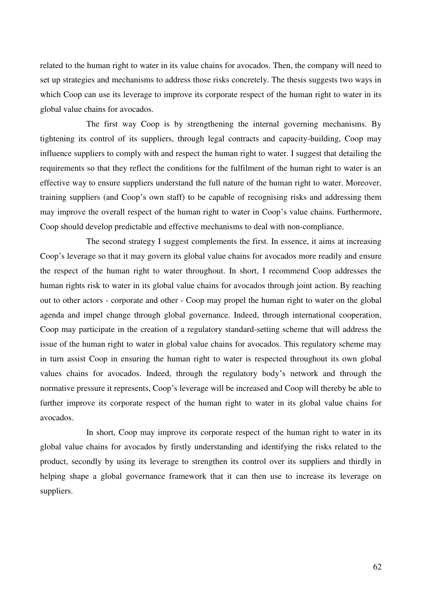related to the human right to water in its value chains for avocados. Then, the company will need to set up strategies and mechanisms to address those risks concretely. The thesis suggests two ways in which Coop can use its leverage to improve its corporate respect of the human right to water in its global value chains for avocados.

 The first way Coop is by strengthening the internal governing mechanisms. By tightening its control of its suppliers, through legal contracts and capacity-building, Coop may influence suppliers to comply with and respect the human right to water. I suggest that detailing the requirements so that they reflect the conditions for the fulfilment of the human right to water is an effective way to ensure suppliers understand the full nature of the human right to water. Moreover, training suppliers (and Coop's own staff) to be capable of recognising risks and addressing them may improve the overall respect of the human right to water in Coop's value chains. Furthermore, Coop should develop predictable and effective mechanisms to deal with non-compliance.

 The second strategy I suggest complements the first. In essence, it aims at increasing Coop's leverage so that it may govern its global value chains for avocados more readily and ensure the respect of the human right to water throughout. In short, I recommend Coop addresses the human rights risk to water in its global value chains for avocados through joint action. By reaching out to other actors - corporate and other - Coop may propel the human right to water on the global agenda and impel change through global governance. Indeed, through international cooperation, Coop may participate in the creation of a regulatory standard-setting scheme that will address the issue of the human right to water in global value chains for avocados. This regulatory scheme may in turn assist Coop in ensuring the human right to water is respected throughout its own global values chains for avocados. Indeed, through the regulatory body's network and through the normative pressure it represents, Coop's leverage will be increased and Coop will thereby be able to further improve its corporate respect of the human right to water in its global value chains for avocados.

 In short, Coop may improve its corporate respect of the human right to water in its global value chains for avocados by firstly understanding and identifying the risks related to the product, secondly by using its leverage to strengthen its control over its suppliers and thirdly in helping shape a global governance framework that it can then use to increase its leverage on suppliers.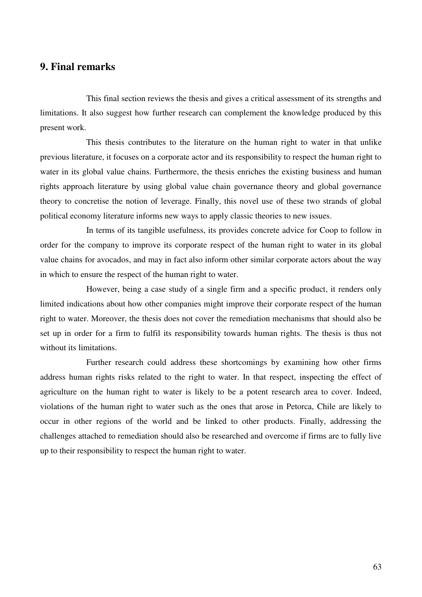## **9. Final remarks**

 This final section reviews the thesis and gives a critical assessment of its strengths and limitations. It also suggest how further research can complement the knowledge produced by this present work.

 This thesis contributes to the literature on the human right to water in that unlike previous literature, it focuses on a corporate actor and its responsibility to respect the human right to water in its global value chains. Furthermore, the thesis enriches the existing business and human rights approach literature by using global value chain governance theory and global governance theory to concretise the notion of leverage. Finally, this novel use of these two strands of global political economy literature informs new ways to apply classic theories to new issues.

 In terms of its tangible usefulness, its provides concrete advice for Coop to follow in order for the company to improve its corporate respect of the human right to water in its global value chains for avocados, and may in fact also inform other similar corporate actors about the way in which to ensure the respect of the human right to water.

 However, being a case study of a single firm and a specific product, it renders only limited indications about how other companies might improve their corporate respect of the human right to water. Moreover, the thesis does not cover the remediation mechanisms that should also be set up in order for a firm to fulfil its responsibility towards human rights. The thesis is thus not without its limitations.

 Further research could address these shortcomings by examining how other firms address human rights risks related to the right to water. In that respect, inspecting the effect of agriculture on the human right to water is likely to be a potent research area to cover. Indeed, violations of the human right to water such as the ones that arose in Petorca, Chile are likely to occur in other regions of the world and be linked to other products. Finally, addressing the challenges attached to remediation should also be researched and overcome if firms are to fully live up to their responsibility to respect the human right to water.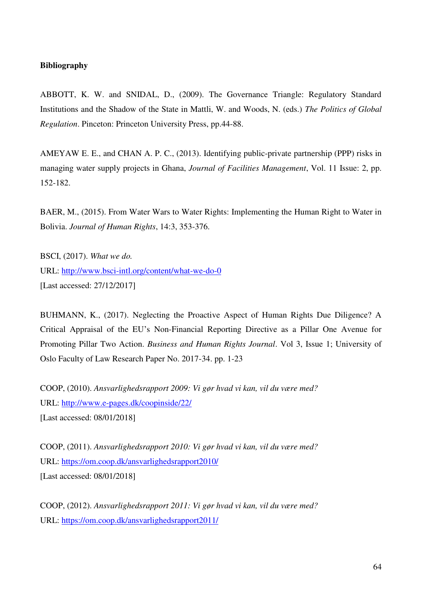### **Bibliography**

ABBOTT, K. W. and SNIDAL, D., (2009). The Governance Triangle: Regulatory Standard Institutions and the Shadow of the State in Mattli, W. and Woods, N. (eds.) *The Politics of Global Regulation*. Pinceton: Princeton University Press, pp.44-88.

AMEYAW E. E., and CHAN A. P. C., (2013). Identifying public-private partnership (PPP) risks in managing water supply projects in Ghana, *Journal of Facilities Management*, Vol. 11 Issue: 2, pp. 152-182.

BAER, M., (2015). From Water Wars to Water Rights: Implementing the Human Right to Water in Bolivia. *Journal of Human Rights*, 14:3, 353-376.

BSCI, (2017). *What we do.* URL:<http://www.bsci-intl.org/content/what-we-do-0> [Last accessed: 27/12/2017]

BUHMANN, K., (2017). Neglecting the Proactive Aspect of Human Rights Due Diligence? A Critical Appraisal of the EU's Non-Financial Reporting Directive as a Pillar One Avenue for Promoting Pillar Two Action. *Business and Human Rights Journal*. Vol 3, Issue 1; University of Oslo Faculty of Law Research Paper No. 2017-34. pp. 1-23

COOP, (2010). *Ansvarlighedsrapport 2009: Vi gør hvad vi kan, vil du være med?*  URL: http://www.e-pages.dk/coopinside/22/

[Last accessed: 08/01/2018]

COOP, (2011). *Ansvarlighedsrapport 2010: Vi gør hvad vi kan, vil du være med?* URL: https://om.coop.dk/ansvarlighedsrapport2010/ [Last accessed: 08/01/2018]

COOP, (2012). *Ansvarlighedsrapport 2011: Vi gør hvad vi kan, vil du være med?* URL: https://om.coop.dk/ansvarlighedsrapport2011/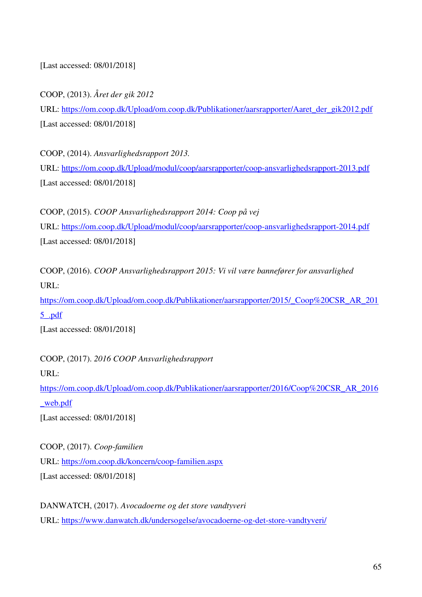[Last accessed: 08/01/2018]

COOP, (2013). *Året der gik 2012* 

URL: https://om.coop.dk/Upload/om.coop.dk/Publikationer/aarsrapporter/Aaret\_der\_gik2012.pdf [Last accessed: 08/01/2018]

COOP, (2014). *Ansvarlighedsrapport 2013.* URL: https://om.coop.dk/Upload/modul/coop/aarsrapporter/coop-ansvarlighedsrapport-2013.pdf [Last accessed: 08/01/2018]

COOP, (2015). *COOP Ansvarlighedsrapport 2014: Coop på vej*  URL: https://om.coop.dk/Upload/modul/coop/aarsrapporter/coop-ansvarlighedsrapport-2014.pdf [Last accessed: 08/01/2018]

COOP, (2016). *COOP Ansvarlighedsrapport 2015: Vi vil være bannefører for ansvarlighed* URL:

https://om.coop.dk/Upload/om.coop.dk/Publikationer/aarsrapporter/2015/\_Coop%20CSR\_AR\_201 5\_.pdf

[Last accessed: 08/01/2018]

COOP, (2017). *2016 COOP Ansvarlighedsrapport* 

URL:

https://om.coop.dk/Upload/om.coop.dk/Publikationer/aarsrapporter/2016/Coop%20CSR\_AR\_2016 \_web.pdf

[Last accessed: 08/01/2018]

COOP, (2017). *Coop-familien*  URL:<https://om.coop.dk/koncern/coop-familien.aspx> [Last accessed: 08/01/2018]

DANWATCH, (2017). *Avocadoerne og det store vandtyveri*  URL:<https://www.danwatch.dk/undersogelse/avocadoerne-og-det-store-vandtyveri/>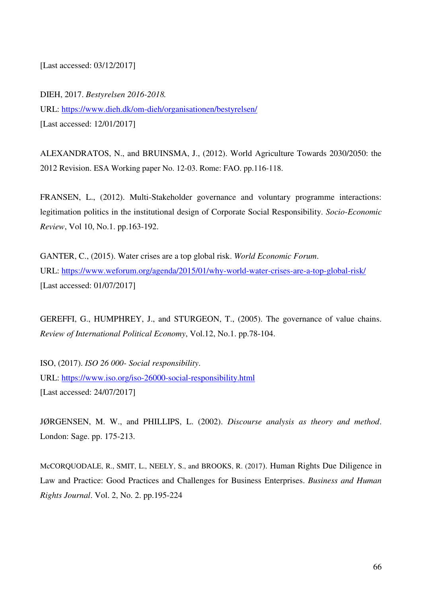[Last accessed: 03/12/2017]

DIEH, 2017. *Bestyrelsen 2016-2018.* URL: https://www.dieh.dk/om-dieh/organisationen/bestyrelsen/ [Last accessed: 12/01/2017]

ALEXANDRATOS, N., and BRUINSMA, J., (2012). World Agriculture Towards 2030/2050: the 2012 Revision. ESA Working paper No. 12-03. Rome: FAO. pp.116-118.

FRANSEN, L., (2012). Multi-Stakeholder governance and voluntary programme interactions: legitimation politics in the institutional design of Corporate Social Responsibility. *Socio-Economic Review*, Vol 10, No.1. pp.163-192.

GANTER, C., (2015). Water crises are a top global risk. *World Economic Forum*. URL:<https://www.weforum.org/agenda/2015/01/why-world-water-crises-are-a-top-global-risk/> [Last accessed: 01/07/2017]

GEREFFI, G., HUMPHREY, J., and STURGEON, T., (2005). The governance of value chains. *Review of International Political Economy*, Vol.12, No.1. pp.78-104.

ISO, (2017). *ISO 26 000- Social responsibility*. URL:<https://www.iso.org/iso-26000-social-responsibility.html> [Last accessed: 24/07/2017]

JØRGENSEN, M. W., and PHILLIPS, L. (2002). *Discourse analysis as theory and method*. London: Sage. pp. 175-213.

McCORQUODALE, R., SMIT, L., NEELY, S., and BROOKS, R. (2017). Human Rights Due Diligence in Law and Practice: Good Practices and Challenges for Business Enterprises. *Business and Human Rights Journal*. Vol. 2, No. 2. pp.195-224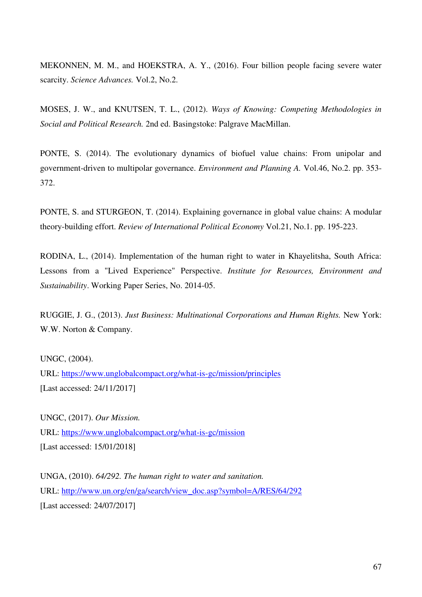MEKONNEN, M. M., and HOEKSTRA, A. Y., (2016). Four billion people facing severe water scarcity. *Science Advances.* Vol.2, No.2.

MOSES, J. W., and KNUTSEN, T. L., (2012). *Ways of Knowing: Competing Methodologies in Social and Political Research.* 2nd ed. Basingstoke: Palgrave MacMillan.

PONTE, S. (2014). The evolutionary dynamics of biofuel value chains: From unipolar and government-driven to multipolar governance. *Environment and Planning A.* Vol.46, No.2. pp. 353- 372.

PONTE, S. and STURGEON, T. (2014). Explaining governance in global value chains: A modular theory-building effort. *Review of International Political Economy* Vol.21, No.1. pp. 195-223.

RODINA, L., (2014). Implementation of the human right to water in Khayelitsha, South Africa: Lessons from a "Lived Experience" Perspective. *Institute for Resources, Environment and Sustainability*. Working Paper Series, No. 2014-05.

RUGGIE, J. G., (2013). *Just Business: Multinational Corporations and Human Rights.* New York: W.W. Norton & Company.

UNGC, (2004).

URL:<https://www.unglobalcompact.org/what-is-gc/mission/principles> [Last accessed: 24/11/2017]

UNGC, (2017). *Our Mission.* URL: https://www.unglobalcompact.org/what-is-gc/mission [Last accessed: 15/01/2018]

UNGA, (2010). *64/292. The human right to water and sanitation.* URL: [http://www.un.org/en/ga/search/view\\_doc.asp?symbol=A/RES/64/292](http://www.un.org/en/ga/search/view_doc.asp?symbol=A/RES/64/292) [Last accessed: 24/07/2017]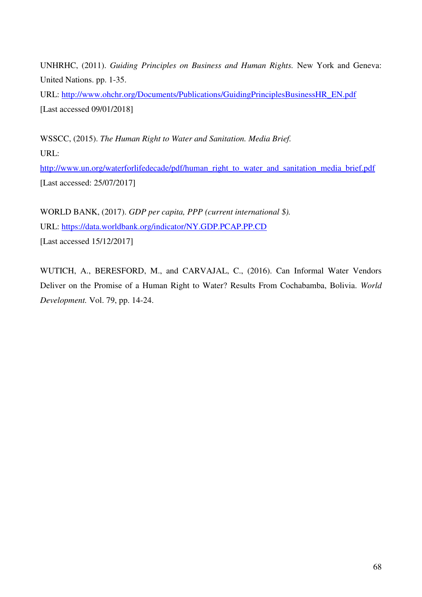UNHRHC, (2011). *Guiding Principles on Business and Human Rights.* New York and Geneva: United Nations. pp. 1-35.

URL: [http://www.ohchr.org/Documents/Publications/GuidingPrinciplesBusinessHR\\_EN.pdf](http://www.ohchr.org/Documents/Publications/GuidingPrinciplesBusinessHR_EN.pdf) [Last accessed 09/01/2018]

WSSCC, (2015). *The Human Right to Water and Sanitation. Media Brief.* URL:

[http://www.un.org/waterforlifedecade/pdf/human\\_right\\_to\\_water\\_and\\_sanitation\\_media\\_brief.pdf](http://www.un.org/waterforlifedecade/pdf/human_right_to_water_and_sanitation_media_brief.pdf) [Last accessed: 25/07/2017]

WORLD BANK, (2017). *GDP per capita, PPP (current international \$).*  URL: https://data.worldbank.org/indicator/NY.GDP.PCAP.PP.CD [Last accessed 15/12/2017]

WUTICH, A., BERESFORD, M., and CARVAJAL, C., (2016). Can Informal Water Vendors Deliver on the Promise of a Human Right to Water? Results From Cochabamba, Bolivia. *World Development.* Vol. 79, pp. 14-24.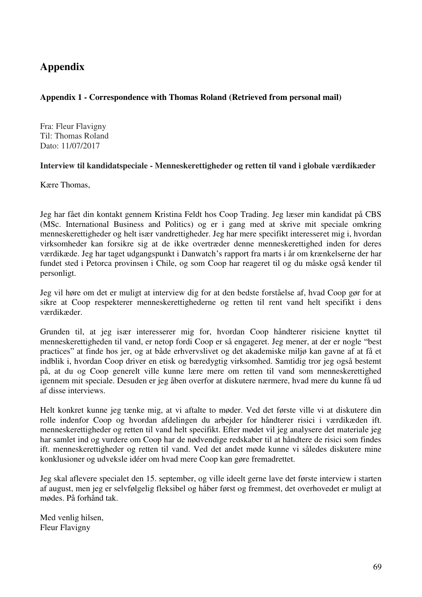## **Appendix**

#### **Appendix 1 - Correspondence with Thomas Roland (Retrieved from personal mail)**

Fra: Fleur Flavigny Til: Thomas Roland Dato: 11/07/2017

#### **Interview til kandidatspeciale - Menneskerettigheder og retten til vand i globale værdikæder**

Kære Thomas,

Jeg har fået din kontakt gennem Kristina Feldt hos Coop Trading. Jeg læser min kandidat på CBS (MSc. International Business and Politics) og er i gang med at skrive mit speciale omkring menneskerettigheder og helt især vandrettigheder. Jeg har mere specifikt interesseret mig i, hvordan virksomheder kan forsikre sig at de ikke overtræder denne menneskerettighed inden for deres værdikæde. Jeg har taget udgangspunkt i Danwatch's rapport fra marts i år om krænkelserne der har fundet sted i Petorca provinsen i Chile, og som Coop har reageret til og du måske også kender til personligt.

Jeg vil høre om det er muligt at interview dig for at den bedste forståelse af, hvad Coop gør for at sikre at Coop respekterer menneskerettighederne og retten til rent vand helt specifikt i dens værdikæder.

Grunden til, at jeg især interesserer mig for, hvordan Coop håndterer risiciene knyttet til menneskerettigheden til vand, er netop fordi Coop er så engageret. Jeg mener, at der er nogle "best practices" at finde hos jer, og at både erhvervslivet og det akademiske miljø kan gavne af at få et indblik i, hvordan Coop driver en etisk og bæredygtig virksomhed. Samtidig tror jeg også bestemt på, at du og Coop generelt ville kunne lære mere om retten til vand som menneskerettighed igennem mit speciale. Desuden er jeg åben overfor at diskutere nærmere, hvad mere du kunne få ud af disse interviews.

Helt konkret kunne jeg tænke mig, at vi aftalte to møder. Ved det første ville vi at diskutere din rolle indenfor Coop og hvordan afdelingen du arbejder for håndterer risici i værdikæden ift. menneskerettigheder og retten til vand helt specifikt. Efter mødet vil jeg analysere det materiale jeg har samlet ind og vurdere om Coop har de nødvendige redskaber til at håndtere de risici som findes ift. menneskerettigheder og retten til vand. Ved det andet møde kunne vi således diskutere mine konklusioner og udveksle idéer om hvad mere Coop kan gøre fremadrettet.

Jeg skal aflevere specialet den 15. september, og ville ideelt gerne lave det første interview i starten af august, men jeg er selvfølgelig fleksibel og håber først og fremmest, det overhovedet er muligt at mødes. På forhånd tak.

Med venlig hilsen, Fleur Flavigny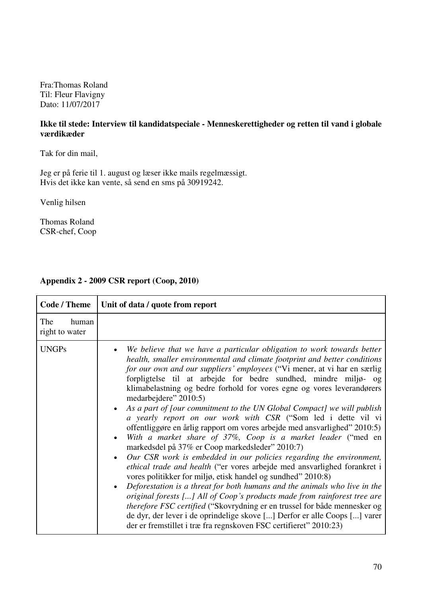Fra:Thomas Roland Til: Fleur Flavigny Dato: 11/07/2017

#### **Ikke til stede: Interview til kandidatspeciale - Menneskerettigheder og retten til vand i globale værdikæder**

Tak for din mail,

Jeg er på ferie til 1. august og læser ikke mails regelmæssigt. Hvis det ikke kan vente, så send en sms på 30919242.

Venlig hilsen

Thomas Roland CSR-chef, Coop

#### **Appendix 2 - 2009 CSR report (Coop, 2010)**

| <b>Code / Theme</b>            | Unit of data / quote from report                                                                                                                                                                                                                                                                                                                                                                                                                                                                                                                                                                                                                                                                                                                                                                                                                                                                                                                                                                                                                                                                                                                                                                                                                                                                                                                                         |
|--------------------------------|--------------------------------------------------------------------------------------------------------------------------------------------------------------------------------------------------------------------------------------------------------------------------------------------------------------------------------------------------------------------------------------------------------------------------------------------------------------------------------------------------------------------------------------------------------------------------------------------------------------------------------------------------------------------------------------------------------------------------------------------------------------------------------------------------------------------------------------------------------------------------------------------------------------------------------------------------------------------------------------------------------------------------------------------------------------------------------------------------------------------------------------------------------------------------------------------------------------------------------------------------------------------------------------------------------------------------------------------------------------------------|
| The<br>human<br>right to water |                                                                                                                                                                                                                                                                                                                                                                                                                                                                                                                                                                                                                                                                                                                                                                                                                                                                                                                                                                                                                                                                                                                                                                                                                                                                                                                                                                          |
| <b>UNGPs</b>                   | We believe that we have a particular obligation to work towards better<br>health, smaller environmental and climate footprint and better conditions<br>for our own and our suppliers' employees ("Vi mener, at vi har en særlig<br>forpligtelse til at arbejde for bedre sundhed, mindre miljø- og<br>klimabelastning og bedre forhold for vores egne og vores leverandørers<br>medarbejdere" 2010:5)<br>As a part of [our commitment to the UN Global Compact] we will publish<br>a yearly report on our work with CSR ("Som led i dette vil vi<br>offentliggøre en årlig rapport om vores arbejde med ansvarlighed" 2010:5)<br>With a market share of 37%, Coop is a market leader ("med en<br>markedsdel på 37% er Coop markedsleder" 2010:7)<br>Our CSR work is embedded in our policies regarding the environment,<br>ethical trade and health ("er vores arbejde med ansvarlighed forankret i<br>vores politikker for miljø, etisk handel og sundhed" 2010:8)<br>Deforestation is a threat for both humans and the animals who live in the<br>$\bullet$<br>original forests [] All of Coop's products made from rainforest tree are<br>therefore FSC certified ("Skovrydning er en trussel for både mennesker og<br>de dyr, der lever i de oprindelige skove [] Derfor er alle Coops [] varer<br>der er fremstillet i træ fra regnskoven FSC certifieret" 2010:23) |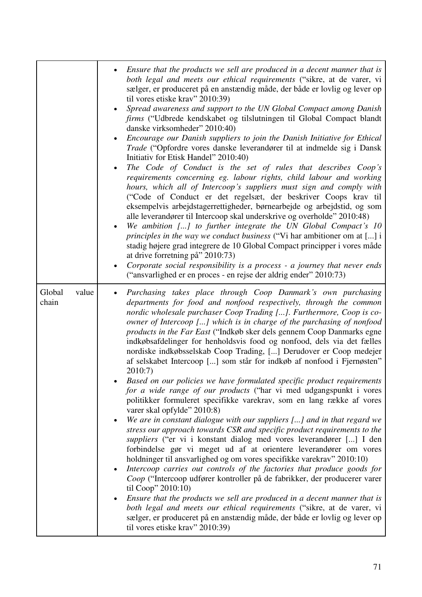|                          | Ensure that the products we sell are produced in a decent manner that is<br>both legal and meets our ethical requirements ("sikre, at de varer, vi<br>sælger, er produceret på en anstændig måde, der både er lovlig og lever op<br>til vores etiske krav" 2010:39)<br>Spread awareness and support to the UN Global Compact among Danish<br>$\bullet$<br>firms ("Udbrede kendskabet og tilslutningen til Global Compact blandt<br>danske virksomheder" 2010:40)<br>Encourage our Danish suppliers to join the Danish Initiative for Ethical<br>Trade ("Opfordre vores danske leverandører til at indmelde sig i Dansk<br>Initiativ for Etisk Handel" 2010:40)<br>The Code of Conduct is the set of rules that describes Coop's<br>requirements concerning eg. labour rights, child labour and working<br>hours, which all of Intercoop's suppliers must sign and comply with<br>("Code of Conduct er det regelsæt, der beskriver Coops krav til<br>eksempelvis arbejdstagerrettigheder, børnearbejde og arbejdstid, og som<br>alle leverandører til Intercoop skal underskrive og overholde" 2010:48)<br>We ambition [] to further integrate the UN Global Compact's 10<br>principles in the way we conduct business ("Vi har ambitioner om at [] i<br>stadig højere grad integrere de 10 Global Compact principper i vores måde<br>at drive forretning $p\hat{a}$ " 2010:73)<br>Corporate social responsibility is a process - a journey that never ends                                                                                                                                                                                                                                                                                                                                     |
|--------------------------|------------------------------------------------------------------------------------------------------------------------------------------------------------------------------------------------------------------------------------------------------------------------------------------------------------------------------------------------------------------------------------------------------------------------------------------------------------------------------------------------------------------------------------------------------------------------------------------------------------------------------------------------------------------------------------------------------------------------------------------------------------------------------------------------------------------------------------------------------------------------------------------------------------------------------------------------------------------------------------------------------------------------------------------------------------------------------------------------------------------------------------------------------------------------------------------------------------------------------------------------------------------------------------------------------------------------------------------------------------------------------------------------------------------------------------------------------------------------------------------------------------------------------------------------------------------------------------------------------------------------------------------------------------------------------------------------------------------------------------------------------------------------------------------------|
| Global<br>value<br>chain | ("ansvarlighed er en proces - en rejse der aldrig ender" 2010:73)<br>Purchasing takes place through Coop Danmark's own purchasing<br>departments for food and nonfood respectively, through the common<br>nordic wholesale purchaser Coop Trading []. Furthermore, Coop is co-<br>owner of Intercoop [] which is in charge of the purchasing of nonfood<br><i>products in the Far East</i> ("Indkøb sker dels gennem Coop Danmarks egne<br>indkøbsafdelinger for henholdsvis food og nonfood, dels via det fælles<br>nordiske indkøbsselskab Coop Trading, [] Derudover er Coop medejer<br>af selskabet Intercoop [] som står for indkøb af nonfood i Fjernøsten"<br>2010:7)<br>Based on our policies we have formulated specific product requirements<br>for a wide range of our products ("har vi med udgangspunkt i vores<br>politikker formuleret specifikke varekrav, som en lang række af vores<br>varer skal opfylde" 2010:8)<br>We are in constant dialogue with our suppliers [] and in that regard we<br>$\bullet$<br>stress our approach towards CSR and specific product requirements to the<br>suppliers ("er vi i konstant dialog med vores leverandører [] I den<br>forbindelse gør vi meget ud af at orientere leverandører om vores<br>holdninger til ansvarlighed og om vores specifikke varekrav" 2010:10)<br>Intercoop carries out controls of the factories that produce goods for<br>$\bullet$<br>Coop ("Intercoop udfører kontroller på de fabrikker, der producerer varer<br>til Coop" 2010:10)<br>Ensure that the products we sell are produced in a decent manner that is<br>both legal and meets our ethical requirements ("sikre, at de varer, vi<br>sælger, er produceret på en anstændig måde, der både er lovlig og lever op<br>til vores etiske krav" 2010:39) |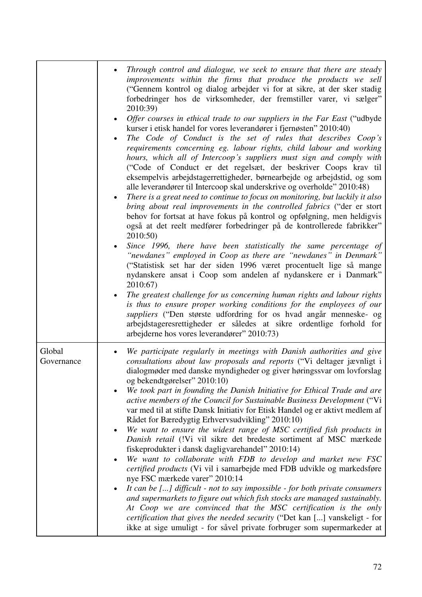|                      | Through control and dialogue, we seek to ensure that there are steady<br>improvements within the firms that produce the products we sell<br>("Gennem kontrol og dialog arbejder vi for at sikre, at der sker stadig<br>forbedringer hos de virksomheder, der fremstiller varer, vi sælger"<br>2010:39)<br>Offer courses in ethical trade to our suppliers in the Far East ("udbyde<br>kurser i etisk handel for vores leverandører i fjernøsten" 2010:40)<br>The Code of Conduct is the set of rules that describes Coop's<br>requirements concerning eg. labour rights, child labour and working<br>hours, which all of Intercoop's suppliers must sign and comply with<br>("Code of Conduct er det regelsæt, der beskriver Coops krav til<br>eksempelvis arbejdstagerrettigheder, børnearbejde og arbejdstid, og som<br>alle leverandører til Intercoop skal underskrive og overholde" 2010:48)<br>There is a great need to continue to focus on monitoring, but luckily it also<br>bring about real improvements in the controlled fabrics ("der er stort<br>behov for fortsat at have fokus på kontrol og opfølgning, men heldigvis<br>også at det reelt medfører forbedringer på de kontrollerede fabrikker"<br>2010:50)<br>Since 1996, there have been statistically the same percentage of<br>"newdanes" employed in Coop as there are "newdanes" in Denmark"<br>("Statistisk set har der siden 1996 været procentuelt lige så mange<br>nydanskere ansat i Coop som andelen af nydanskere er i Danmark"<br>2010:67)<br>The greatest challenge for us concerning human rights and labour rights<br>is thus to ensure proper working conditions for the employees of our<br>suppliers ("Den største udfordring for os hvad angår menneske- og<br>arbejdstageresrettigheder er således at sikre ordentlige forhold for<br>arbejderne hos vores leverandører" 2010:73) |
|----------------------|---------------------------------------------------------------------------------------------------------------------------------------------------------------------------------------------------------------------------------------------------------------------------------------------------------------------------------------------------------------------------------------------------------------------------------------------------------------------------------------------------------------------------------------------------------------------------------------------------------------------------------------------------------------------------------------------------------------------------------------------------------------------------------------------------------------------------------------------------------------------------------------------------------------------------------------------------------------------------------------------------------------------------------------------------------------------------------------------------------------------------------------------------------------------------------------------------------------------------------------------------------------------------------------------------------------------------------------------------------------------------------------------------------------------------------------------------------------------------------------------------------------------------------------------------------------------------------------------------------------------------------------------------------------------------------------------------------------------------------------------------------------------------------------------------------------------------------------------------------------------------|
| Global<br>Governance | We participate regularly in meetings with Danish authorities and give<br>$\bullet$<br>consultations about law proposals and reports ("Vi deltager jævnligt i<br>dialogmøder med danske myndigheder og giver høringssvar om lovforslag<br>og bekendtgørelser" 2010:10)<br>We took part in founding the Danish Initiative for Ethical Trade and are<br>active members of the Council for Sustainable Business Development ("Vi<br>var med til at stifte Dansk Initiativ for Etisk Handel og er aktivt medlem af<br>Rådet for Bæredygtig Erhvervsudvikling" 2010:10)<br>We want to ensure the widest range of MSC certified fish products in<br>$\bullet$<br>Danish retail (!Vi vil sikre det bredeste sortiment af MSC mærkede<br>fiskeprodukter i dansk dagligvarehandel" 2010:14)<br>We want to collaborate with FDB to develop and market new FSC<br>certified products (Vi vil i samarbejde med FDB udvikle og markedsføre<br>nye FSC mærkede varer" 2010:14<br>It can be [] difficult - not to say impossible - for both private consumers<br>and supermarkets to figure out which fish stocks are managed sustainably.<br>At Coop we are convinced that the MSC certification is the only<br>certification that gives the needed security ("Det kan [] vanskeligt - for<br>ikke at sige umuligt - for såvel private forbruger som supermarkeder at                                                                                                                                                                                                                                                                                                                                                                                                                                                                                                                    |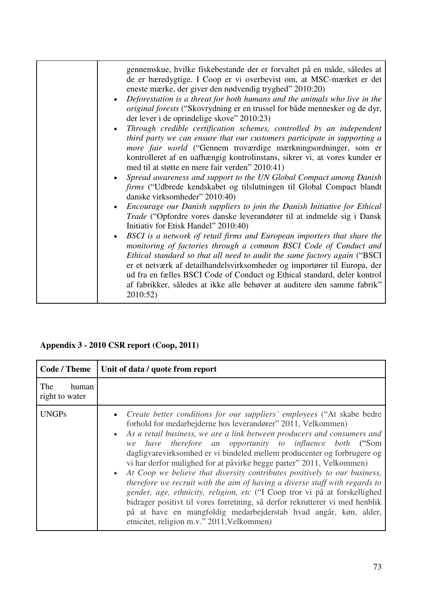| gennemskue, hvilke fiskebestande der er forvaltet på en måde, således at<br>de er bæredygtige. I Coop er vi overbevist om, at MSC-mærket er det<br>eneste mærke, der giver den nødvendig tryghed" 2010:20)<br>Deforestation is a threat for both humans and the animals who live in the<br>original forests ("Skovrydning er en trussel for både mennesker og de dyr,<br>der lever i de oprindelige skove" 2010:23)<br>Through credible certification schemes, controlled by an independent<br>third party we can ensure that our customers participate in supporting a<br>more fair world ("Gennem troværdige mærkningsordninger, som er<br>kontrolleret af en uafhængig kontrolinstans, sikrer vi, at vores kunder er<br>med til at støtte en mere fair verden" 2010:41)<br>Spread awareness and support to the UN Global Compact among Danish<br>firms ("Udbrede kendskabet og tilslutningen til Global Compact blandt<br>danske virksomheder" 2010:40)<br>Encourage our Danish suppliers to join the Danish Initiative for Ethical<br>Trade ("Opfordre vores danske leverandører til at indmelde sig i Dansk<br>Initiativ for Etisk Handel" 2010:40)<br>BSCI is a network of retail firms and European importers that share the<br>monitoring of factories through a common BSCI Code of Conduct and<br>Ethical standard so that all need to audit the same factory again ("BSCI<br>er et netværk af detailhandelsvirksomheder og importører til Europa, der<br>ud fra en fælles BSCI Code of Conduct og Ethical standard, deler kontrol<br>af fabrikker, således at ikke alle behøver at auditere den samme fabrik"<br>2010:52) |
|--------------------------------------------------------------------------------------------------------------------------------------------------------------------------------------------------------------------------------------------------------------------------------------------------------------------------------------------------------------------------------------------------------------------------------------------------------------------------------------------------------------------------------------------------------------------------------------------------------------------------------------------------------------------------------------------------------------------------------------------------------------------------------------------------------------------------------------------------------------------------------------------------------------------------------------------------------------------------------------------------------------------------------------------------------------------------------------------------------------------------------------------------------------------------------------------------------------------------------------------------------------------------------------------------------------------------------------------------------------------------------------------------------------------------------------------------------------------------------------------------------------------------------------------------------------------------------------------------------------------------------------|
|                                                                                                                                                                                                                                                                                                                                                                                                                                                                                                                                                                                                                                                                                                                                                                                                                                                                                                                                                                                                                                                                                                                                                                                                                                                                                                                                                                                                                                                                                                                                                                                                                                      |

## **Appendix 3 - 2010 CSR report (Coop, 2011)**

| <b>Code / Theme</b>            | Unit of data / quote from report                                                                                                                                                                                                                                                                                                                                                                                                                                                                                                                                                                                                                                                                                                                                                                                                                                                     |
|--------------------------------|--------------------------------------------------------------------------------------------------------------------------------------------------------------------------------------------------------------------------------------------------------------------------------------------------------------------------------------------------------------------------------------------------------------------------------------------------------------------------------------------------------------------------------------------------------------------------------------------------------------------------------------------------------------------------------------------------------------------------------------------------------------------------------------------------------------------------------------------------------------------------------------|
| The<br>human<br>right to water |                                                                                                                                                                                                                                                                                                                                                                                                                                                                                                                                                                                                                                                                                                                                                                                                                                                                                      |
| <b>UNGPs</b>                   | • Create better conditions for our suppliers' employees ("At skabe bedre"<br>forhold for medarbejderne hos leverandører" 2011, Velkommen)<br>• As a retail business, we are a link between producers and consumers and<br>we have therefore an opportunity to influence both ("Som<br>dagligvare virksomhed er vi bindeled mellem producenter og forbrugere og<br>vi har derfor mulighed for at påvirke begge parter" 2011, Velkommen)<br>• At Coop we believe that diversity contributes positively to our business,<br>therefore we recruit with the aim of having a diverse staff with regards to<br>gender, age, ethnicity, religion, etc ("I Coop tror vi på at forskellighed<br>bidrager positivt til vores forretning, så derfor rekrutterer vi med henblik<br>på at have en mangfoldig medarbejderstab hvad angår, køn, alder,<br>etnicitet, religion m.v." 2011, Velkommen) |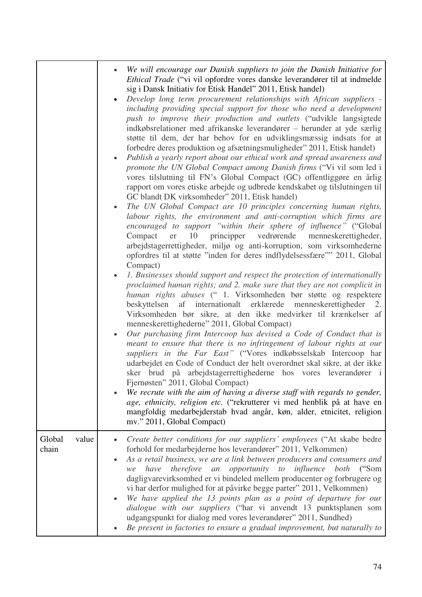|                          | We will encourage our Danish suppliers to join the Danish Initiative for<br><i>Ethical Trade</i> ("vi vil opfordre vores danske leverandører til at indmelde<br>sig i Dansk Initiativ for Etisk Handel" 2011, Etisk handel)<br>Develop long term procurement relationships with African suppliers -<br>including providing special support for those who need a development<br>push to improve their production and outlets ("udvikle langsigtede<br>indkøbsrelationer med afrikanske leverandører – herunder at yde særlig<br>støtte til dem, der har behov for en udviklingsmæssig indsats for at<br>forbedre deres produktion og afsætningsmuligheder" 2011, Etisk handel)<br>Publish a yearly report about our ethical work and spread awareness and<br>promote the UN Global Compact among Danish firms ("Vi vil som led i<br>vores tilslutning til FN's Global Compact (GC) offentliggøre en årlig<br>rapport om vores etiske arbejde og udbrede kendskabet og tilslutningen til<br>GC blandt DK virksomheder" 2011, Etisk handel)<br>The UN Global Compact are 10 principles concerning human rights,<br>labour rights, the environment and anti-corruption which firms are<br>encouraged to support "within their sphere of influence" ("Global<br>10<br>principper vedrørende menneskerettigheder,<br>Compact<br>er<br>arbejdstagerrettigheder, miljø og anti-korruption, som virksomhederne<br>opfordres til at støtte "inden for deres indflydelsessfære"" 2011, Global<br>Compact)<br>1. Businesses should support and respect the protection of internationally<br>proclaimed human rights; and 2. make sure that they are not complicit in<br>human rights abuses ("1. Virksomheden bør støtte og respektere<br>beskyttelsen af internationalt erklærede menneskerettigheder<br><sup>2.</sup><br>Virksomheden bør sikre, at den ikke medvirker til krænkelser af<br>menneskerettighederne" 2011, Global Compact)<br>Our purchasing firm Intercoop has devised a Code of Conduct that is<br>meant to ensure that there is no infringement of labour rights at our<br>suppliers in the Far East" ("Vores indkøbsselskab Intercoop har<br>udarbejdet en Code of Conduct der helt overordnet skal sikre, at der ikke<br>sker brud på arbejdstagerrettighederne hos vores leverandører i<br>Fjernøsten" 2011, Global Compact)<br>We recrute with the aim of having a diverse staff with regards to gender,<br>age, ethnicity, religion etc. ("rekrutterer vi med henblik på at have en<br>mangfoldig medarbejderstab hvad angår, køn, alder, etnicitet, religion<br>mv." 2011, Global Compact) |
|--------------------------|---------------------------------------------------------------------------------------------------------------------------------------------------------------------------------------------------------------------------------------------------------------------------------------------------------------------------------------------------------------------------------------------------------------------------------------------------------------------------------------------------------------------------------------------------------------------------------------------------------------------------------------------------------------------------------------------------------------------------------------------------------------------------------------------------------------------------------------------------------------------------------------------------------------------------------------------------------------------------------------------------------------------------------------------------------------------------------------------------------------------------------------------------------------------------------------------------------------------------------------------------------------------------------------------------------------------------------------------------------------------------------------------------------------------------------------------------------------------------------------------------------------------------------------------------------------------------------------------------------------------------------------------------------------------------------------------------------------------------------------------------------------------------------------------------------------------------------------------------------------------------------------------------------------------------------------------------------------------------------------------------------------------------------------------------------------------------------------------------------------------------------------------------------------------------------------------------------------------------------------------------------------------------------------------------------------------------------------------------------------------------------------------------------------------------------------------------------------------------------------------------------------------------------------------------------------------------------------------------------|
| Global<br>value<br>chain | Create better conditions for our suppliers' employees ("At skabe bedre<br>forhold for medarbejderne hos leverandører" 2011, Velkommen)<br>As a retail business, we are a link between producers and consumers and<br>therefore an opportunity to influence both ("Som<br>have<br>we<br>dagligvarevirksomhed er vi bindeled mellem producenter og forbrugere og<br>vi har derfor mulighed for at påvirke begge parter" 2011, Velkommen)<br>We have applied the 13 points plan as a point of departure for our<br>dialogue with our suppliers ("har vi anvendt 13 punktsplanen som<br>udgangspunkt for dialog med vores leverandører" 2011, Sundhed)<br>Be present in factories to ensure a gradual improvement, but naturally to                                                                                                                                                                                                                                                                                                                                                                                                                                                                                                                                                                                                                                                                                                                                                                                                                                                                                                                                                                                                                                                                                                                                                                                                                                                                                                                                                                                                                                                                                                                                                                                                                                                                                                                                                                                                                                                                         |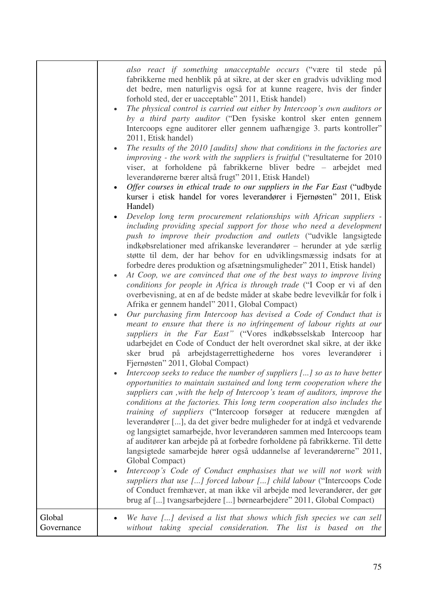|                      | also react if something unacceptable occurs ("være til stede på<br>fabrikkerne med henblik på at sikre, at der sker en gradvis udvikling mod<br>det bedre, men naturligvis også for at kunne reagere, hvis der finder<br>forhold sted, der er uacceptable" 2011, Etisk handel)<br>The physical control is carried out either by Intercoop's own auditors or<br>$\bullet$<br>by a third party auditor ("Den fysiske kontrol sker enten gennem<br>Intercoops egne auditorer eller gennem uafhængige 3. parts kontroller"<br>2011, Etisk handel)<br>The results of the 2010 [audits] show that conditions in the factories are<br>improving - the work with the suppliers is fruitful ("resultaterne for 2010<br>viser, at forholdene på fabrikkerne bliver bedre – arbejdet med<br>leverandørerne bærer altså frugt" 2011, Etisk Handel)<br>Offer courses in ethical trade to our suppliers in the Far East ("udbyde"<br>kurser i etisk handel for vores leverandører i Fjernøsten" 2011, Etisk<br>Handel)<br>Develop long term procurement relationships with African suppliers -<br>including providing special support for those who need a development<br>push to improve their production and outlets ("udvikle langsigtede<br>indkøbsrelationer med afrikanske leverandører – herunder at yde særlig<br>støtte til dem, der har behov for en udviklingsmæssig indsats for at<br>forbedre deres produktion og afsætningsmuligheder" 2011, Etisk handel)<br>At Coop, we are convinced that one of the best ways to improve living<br>conditions for people in Africa is through trade ("I Coop er vi af den<br>overbevisning, at en af de bedste måder at skabe bedre levevilkår for folk i<br>Afrika er gennem handel" 2011, Global Compact)<br>Our purchasing firm Intercoop has devised a Code of Conduct that is<br>meant to ensure that there is no infringement of labour rights at our<br>suppliers in the Far East" ("Vores indkøbsselskab Intercoop har<br>udarbejdet en Code of Conduct der helt overordnet skal sikre, at der ikke<br>sker brud på arbejdstagerrettighederne hos vores leverandører i<br>Fjernøsten" 2011, Global Compact)<br>Intercoop seeks to reduce the number of suppliers [] so as to have better<br>opportunities to maintain sustained and long term cooperation where the<br>suppliers can, with the help of Intercoop's team of auditors, improve the<br>conditions at the factories. This long term cooperation also includes the<br>training of suppliers ("Intercoop forsøger at reducere mængden af<br>leverandører [], da det giver bedre muligheder for at indgå et vedvarende<br>og langsigtet samarbejde, hvor leverandøren sammen med Intercoops team<br>af auditører kan arbejde på at forbedre forholdene på fabrikkerne. Til dette<br>langsigtede samarbejde hører også uddannelse af leverandørerne" 2011,<br>Global Compact)<br>Intercoop's Code of Conduct emphasises that we will not work with<br>suppliers that use [] forced labour [] child labour ("Intercoops Code<br>of Conduct fremhæver, at man ikke vil arbejde med leverandører, der gør<br>brug af [] tvangsarbejdere [] børnearbejdere" 2011, Global Compact) |
|----------------------|-----------------------------------------------------------------------------------------------------------------------------------------------------------------------------------------------------------------------------------------------------------------------------------------------------------------------------------------------------------------------------------------------------------------------------------------------------------------------------------------------------------------------------------------------------------------------------------------------------------------------------------------------------------------------------------------------------------------------------------------------------------------------------------------------------------------------------------------------------------------------------------------------------------------------------------------------------------------------------------------------------------------------------------------------------------------------------------------------------------------------------------------------------------------------------------------------------------------------------------------------------------------------------------------------------------------------------------------------------------------------------------------------------------------------------------------------------------------------------------------------------------------------------------------------------------------------------------------------------------------------------------------------------------------------------------------------------------------------------------------------------------------------------------------------------------------------------------------------------------------------------------------------------------------------------------------------------------------------------------------------------------------------------------------------------------------------------------------------------------------------------------------------------------------------------------------------------------------------------------------------------------------------------------------------------------------------------------------------------------------------------------------------------------------------------------------------------------------------------------------------------------------------------------------------------------------------------------------------------------------------------------------------------------------------------------------------------------------------------------------------------------------------------------------------------------------------------------------------------------------------------------------------------------------------------------------------------------------------------------------------------------------------------------------------------------------------------------------------------------------------------------------------------------------------------------|
| Global<br>Governance | We have [] devised a list that shows which fish species we can sell<br>without taking special consideration. The list is based on the                                                                                                                                                                                                                                                                                                                                                                                                                                                                                                                                                                                                                                                                                                                                                                                                                                                                                                                                                                                                                                                                                                                                                                                                                                                                                                                                                                                                                                                                                                                                                                                                                                                                                                                                                                                                                                                                                                                                                                                                                                                                                                                                                                                                                                                                                                                                                                                                                                                                                                                                                                                                                                                                                                                                                                                                                                                                                                                                                                                                                                             |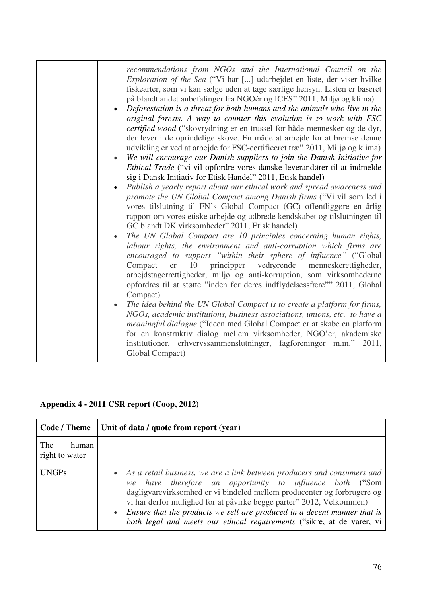| recommendations from NGOs and the International Council on the<br><i>Exploration of the Sea</i> ("Vi har [] udarbejdet en liste, der viser hvilke<br>fiskearter, som vi kan sælge uden at tage særlige hensyn. Listen er baseret<br>på blandt andet anbefalinger fra NGOér og ICES" 2011, Miljø og klima)<br>Deforestation is a threat for both humans and the animals who live in the<br>original forests. A way to counter this evolution is to work with FSC<br><i>certified wood</i> ("skovrydning er en trussel for både mennesker og de dyr,<br>der lever i de oprindelige skove. En måde at arbejde for at bremse denne<br>udvikling er ved at arbejde for FSC-certificeret træ" 2011, Miljø og klima)<br>We will encourage our Danish suppliers to join the Danish Initiative for<br>$\bullet$<br>Ethical Trade ("vi vil opfordre vores danske leverandører til at indmelde<br>sig i Dansk Initiativ for Etisk Handel" 2011, Etisk handel)<br>Publish a yearly report about our ethical work and spread awareness and<br>promote the UN Global Compact among Danish firms ("Vi vil som led i<br>vores tilslutning til FN's Global Compact (GC) offentliggøre en årlig<br>rapport om vores etiske arbejde og udbrede kendskabet og tilslutningen til<br>GC blandt DK virksomheder" 2011, Etisk handel)<br>The UN Global Compact are 10 principles concerning human rights,<br>labour rights, the environment and anti-corruption which firms are<br>encouraged to support "within their sphere of influence" ("Global<br>10<br>principper<br>vedrørende<br>Compact<br>er<br>menneskerettigheder,<br>arbejdstagerrettigheder, miljø og anti-korruption, som virksomhederne<br>opfordres til at støtte "inden for deres indflydelsessfære"" 2011, Global<br>Compact)<br>The idea behind the UN Global Compact is to create a platform for firms,<br>NGOs, academic institutions, business associations, unions, etc. to have a<br><i>meaningful dialogue</i> ("Ideen med Global Compact er at skabe en platform<br>for en konstruktiv dialog mellem virksomheder, NGO'er, akademiske<br>institutioner, erhvervssammenslutninger, fagforeninger m.m." 2011,<br>Global Compact) |  |
|------------------------------------------------------------------------------------------------------------------------------------------------------------------------------------------------------------------------------------------------------------------------------------------------------------------------------------------------------------------------------------------------------------------------------------------------------------------------------------------------------------------------------------------------------------------------------------------------------------------------------------------------------------------------------------------------------------------------------------------------------------------------------------------------------------------------------------------------------------------------------------------------------------------------------------------------------------------------------------------------------------------------------------------------------------------------------------------------------------------------------------------------------------------------------------------------------------------------------------------------------------------------------------------------------------------------------------------------------------------------------------------------------------------------------------------------------------------------------------------------------------------------------------------------------------------------------------------------------------------------------------------------------------------------------------------------------------------------------------------------------------------------------------------------------------------------------------------------------------------------------------------------------------------------------------------------------------------------------------------------------------------------------------------------------------------------------------------------------------------------------------------------------------------------------------|--|
|                                                                                                                                                                                                                                                                                                                                                                                                                                                                                                                                                                                                                                                                                                                                                                                                                                                                                                                                                                                                                                                                                                                                                                                                                                                                                                                                                                                                                                                                                                                                                                                                                                                                                                                                                                                                                                                                                                                                                                                                                                                                                                                                                                                    |  |

# **Appendix 4 - 2011 CSR report (Coop, 2012)**

| Code / Theme                   | Unit of data / quote from report (year)                                                                                                                                                                                                                                                                                                                                                                                                           |
|--------------------------------|---------------------------------------------------------------------------------------------------------------------------------------------------------------------------------------------------------------------------------------------------------------------------------------------------------------------------------------------------------------------------------------------------------------------------------------------------|
| The<br>human<br>right to water |                                                                                                                                                                                                                                                                                                                                                                                                                                                   |
| <b>UNGPs</b>                   | • As a retail business, we are a link between producers and consumers and<br>we have therefore an opportunity to influence both ("Som<br>dagligvare virksomhed er vi bindeled mellem producenter og forbrugere og<br>vi har derfor mulighed for at påvirke begge parter" 2012, Velkommen)<br>• Ensure that the products we sell are produced in a decent manner that is<br>both legal and meets our ethical requirements ("sikre, at de varer, vi |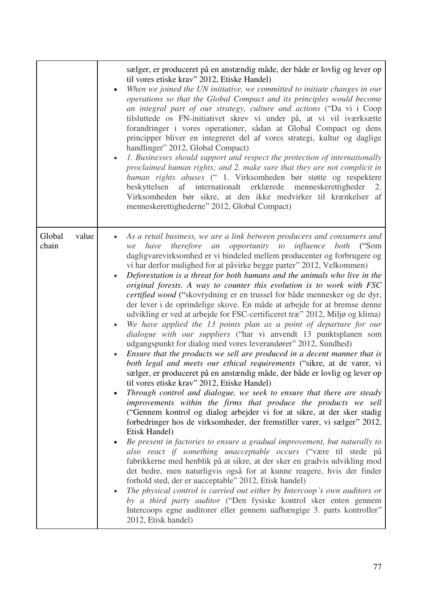|                          | sælger, er produceret på en anstændig måde, der både er lovlig og lever op<br>til vores etiske krav" 2012, Etiske Handel)<br>When we joined the UN initiative, we committed to initiate changes in our<br>operations so that the Global Compact and its principles would become<br>an integral part of our strategy, culture and actions ("Da vi i Coop<br>tilsluttede os FN-initiativet skrev vi under på, at vi vil iværksætte<br>forandringer i vores operationer, sådan at Global Compact og dens<br>principper bliver en integreret del af vores strategi, kultur og daglige<br>handlinger" 2012, Global Compact)<br>1. Businesses should support and respect the protection of internationally<br>proclaimed human rights; and 2. make sure that they are not complicit in<br>human rights abuses (" 1. Virksomheden bør støtte og respektere<br>af internationalt erklærede menneskerettigheder<br>beskyttelsen<br>2.<br>Virksomheden bør sikre, at den ikke medvirker til krænkelser af<br>menneskerettighederne" 2012, Global Compact)                                                                                                                                                                                                                                                                                                                                                                                                                                                                                                                                                                                                                                                                                                                                                                                                                                                                                                                                                                                                                                                                                                                                                  |
|--------------------------|--------------------------------------------------------------------------------------------------------------------------------------------------------------------------------------------------------------------------------------------------------------------------------------------------------------------------------------------------------------------------------------------------------------------------------------------------------------------------------------------------------------------------------------------------------------------------------------------------------------------------------------------------------------------------------------------------------------------------------------------------------------------------------------------------------------------------------------------------------------------------------------------------------------------------------------------------------------------------------------------------------------------------------------------------------------------------------------------------------------------------------------------------------------------------------------------------------------------------------------------------------------------------------------------------------------------------------------------------------------------------------------------------------------------------------------------------------------------------------------------------------------------------------------------------------------------------------------------------------------------------------------------------------------------------------------------------------------------------------------------------------------------------------------------------------------------------------------------------------------------------------------------------------------------------------------------------------------------------------------------------------------------------------------------------------------------------------------------------------------------------------------------------------------------------------------------------|
| Global<br>value<br>chain | As a retail business, we are a link between producers and consumers and<br>therefore an opportunity to influence<br>both<br>have<br>$\frac{\text{``Som}}{\text{``}}$<br>we<br>dagligvarevirksomhed er vi bindeled mellem producenter og forbrugere og<br>vi har derfor mulighed for at påvirke begge parter" 2012, Velkommen)<br>Deforestation is a threat for both humans and the animals who live in the<br>original forests. A way to counter this evolution is to work with FSC<br>certified wood ("skovrydning er en trussel for både mennesker og de dyr,<br>der lever i de oprindelige skove. En måde at arbejde for at bremse denne<br>udvikling er ved at arbejde for FSC-certificeret træ" 2012, Miljø og klima)<br>We have applied the 13 points plan as a point of departure for our<br><i>dialogue with our suppliers</i> ("har vi anvendt 13 punktsplanen som<br>udgangspunkt for dialog med vores leverandører" 2012, Sundhed)<br>Ensure that the products we sell are produced in a decent manner that is<br>both legal and meets our ethical requirements ("sikre, at de varer, vi<br>sælger, er produceret på en anstændig måde, der både er lovlig og lever op<br>til vores etiske krav" 2012, Etiske Handel)<br>Through control and dialogue, we seek to ensure that there are steady<br>$\bullet$<br>improvements within the firms that produce the products we sell<br>("Gennem kontrol og dialog arbejder vi for at sikre, at der sker stadig<br>forbedringer hos de virksomheder, der fremstiller varer, vi sælger" 2012,<br>Etisk Handel)<br>Be present in factories to ensure a gradual improvement, but naturally to<br>also react if something unacceptable occurs ("være til stede på<br>fabrikkerne med henblik på at sikre, at der sker en gradvis udvikling mod<br>det bedre, men naturligvis også for at kunne reagere, hvis der finder<br>forhold sted, der er uacceptable" 2012, Etisk handel)<br>The physical control is carried out either by Intercoop's own auditors or<br>$\bullet$<br>by a third party auditor ("Den fysiske kontrol sker enten gennem<br>Intercoops egne auditorer eller gennem uafhængige 3. parts kontroller"<br>2012, Etisk handel) |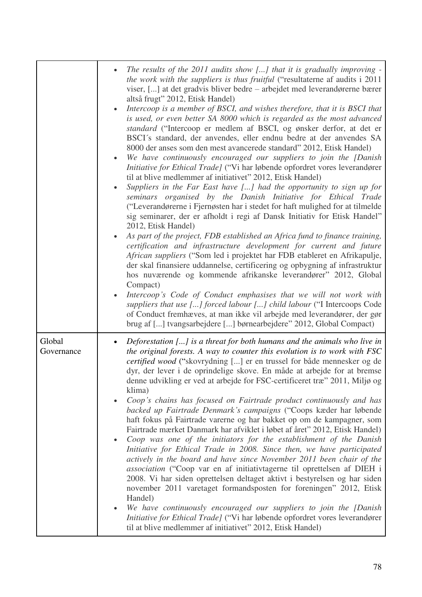|                      | The results of the 2011 audits show [] that it is gradually improving -<br><i>the work with the suppliers is thus fruitful</i> ("resultaterne af audits i 2011<br>viser, [] at det gradvis bliver bedre – arbejdet med leverandørerne bærer<br>altså frugt" 2012, Etisk Handel)<br>Intercoop is a member of BSCI, and wishes therefore, that it is BSCI that<br>$\bullet$<br>is used, or even better SA 8000 which is regarded as the most advanced<br>standard ("Intercoop er medlem af BSCI, og ønsker derfor, at det er<br>BSCI's standard, der anvendes, eller endnu bedre at der anvendes SA<br>8000 der anses som den mest avancerede standard" 2012, Etisk Handel)<br>We have continuously encouraged our suppliers to join the [Danish<br>Initiative for Ethical Trade] ("Vi har løbende opfordret vores leverandører<br>til at blive medlemmer af initiativet" 2012, Etisk Handel)<br>Suppliers in the Far East have [] had the opportunity to sign up for<br>seminars organised by the Danish Initiative for Ethical Trade<br>("Leverandørerne i Fjernøsten har i stedet for haft mulighed for at tilmelde<br>sig seminarer, der er afholdt i regi af Dansk Initiativ for Etisk Handel"<br>2012, Etisk Handel)<br>As part of the project, FDB established an Africa fund to finance training,<br>certification and infrastructure development for current and future<br>African suppliers ("Som led i projektet har FDB etableret en Afrikapulje,<br>der skal finansiere uddannelse, certificering og opbygning af infrastruktur<br>hos nuværende og kommende afrikanske leverandører" 2012, Global<br>Compact)<br>Intercoop's Code of Conduct emphasises that we will not work with<br>suppliers that use [] forced labour [] child labour ("I Intercoops Code<br>of Conduct fremhæves, at man ikke vil arbejde med leverandører, der gør |
|----------------------|------------------------------------------------------------------------------------------------------------------------------------------------------------------------------------------------------------------------------------------------------------------------------------------------------------------------------------------------------------------------------------------------------------------------------------------------------------------------------------------------------------------------------------------------------------------------------------------------------------------------------------------------------------------------------------------------------------------------------------------------------------------------------------------------------------------------------------------------------------------------------------------------------------------------------------------------------------------------------------------------------------------------------------------------------------------------------------------------------------------------------------------------------------------------------------------------------------------------------------------------------------------------------------------------------------------------------------------------------------------------------------------------------------------------------------------------------------------------------------------------------------------------------------------------------------------------------------------------------------------------------------------------------------------------------------------------------------------------------------------------------------------------------------------------------------------------------------------------------|
| Global<br>Governance | brug af [] tvangsarbejdere [] børnearbejdere" 2012, Global Compact)<br>Deforestation [] is a threat for both humans and the animals who live in<br>the original forests. A way to counter this evolution is to work with FSC<br><i>certified wood</i> ("skovrydning [] er en trussel for både mennesker og de<br>dyr, der lever i de oprindelige skove. En måde at arbejde for at bremse<br>denne udvikling er ved at arbejde for FSC-certificeret træ" 2011, Miljø og<br>klima)<br>Coop's chains has focused on Fairtrade product continuously and has<br>backed up Fairtrade Denmark's campaigns ("Coops kæder har løbende<br>haft fokus på Fairtrade varerne og har bakket op om de kampagner, som<br>Fairtrade mærket Danmark har afviklet i løbet af året" 2012, Etisk Handel)<br>Coop was one of the initiators for the establishment of the Danish<br>$\bullet$<br>Initiative for Ethical Trade in 2008. Since then, we have participated<br>actively in the board and have since November 2011 been chair of the<br><i>association</i> ("Coop var en af initiativtagerne til oprettelsen af DIEH i<br>2008. Vi har siden oprettelsen deltaget aktivt i bestyrelsen og har siden<br>november 2011 varetaget formandsposten for foreningen" 2012, Etisk<br>Handel)<br>We have continuously encouraged our suppliers to join the [Danish<br>$\bullet$<br>Initiative for Ethical Trade] ("Vi har løbende opfordret vores leverandører<br>til at blive medlemmer af initiativet" 2012, Etisk Handel)                                                                                                                                                                                                                                                                                                                                              |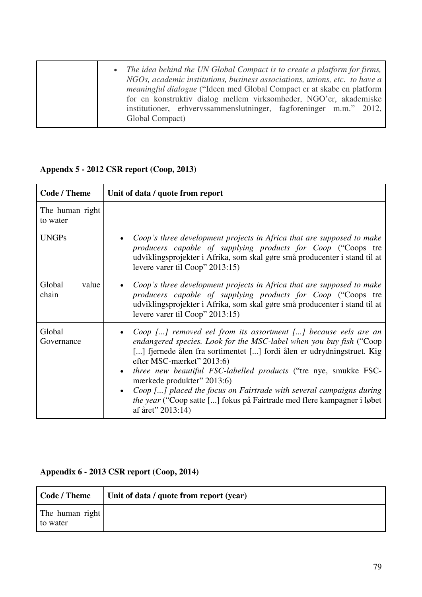| • The idea behind the UN Global Compact is to create a platform for firms,<br>NGOs, academic institutions, business associations, unions, etc. to have a<br><i>meaningful dialogue</i> ("Ideen med Global Compact er at skabe en platform")<br>for en konstruktiv dialog mellem virksomheder, NGO'er, akademiske<br>institutioner, erhvervssammenslutninger, fagforeninger m.m." 2012, |
|----------------------------------------------------------------------------------------------------------------------------------------------------------------------------------------------------------------------------------------------------------------------------------------------------------------------------------------------------------------------------------------|
| Global Compact)                                                                                                                                                                                                                                                                                                                                                                        |

#### **Code / Theme Unit of data / quote from report** The human right to water UNGPs **•** *Coop*'s three development projects in Africa that are supposed to make *producers capable of supplying products for Coop* ("Coops tre udviklingsprojekter i Afrika, som skal gøre små producenter i stand til at levere varer til Coop" 2013:15) Global value chain *Coop's three development projects in Africa that are supposed to make producers capable of supplying products for Coop* ("Coops tre udviklingsprojekter i Afrika, som skal gøre små producenter i stand til at levere varer til Coop" 2013:15) Global Governance *Coop [...] removed eel from its assortment [...] because eels are an endangered species. Look for the MSC-label when you buy fish* ("Coop [...] fjernede ålen fra sortimentet [...] fordi ålen er udrydningstruet. Kig efter MSC-mærket" 2013:6) *three new beautiful FSC-labelled products* ("tre nye, smukke FSCmærkede produkter" 2013:6) *Coop [...] placed the focus on Fairtrade with several campaigns during the year* ("Coop satte [...] fokus på Fairtrade med flere kampagner i løbet af året" 2013:14)

#### **Appendx 5 - 2012 CSR report (Coop, 2013)**

#### **Appendix 6 - 2013 CSR report (Coop, 2014)**

| <b>Code / Theme</b>         | Unit of data / quote from report (year) |
|-----------------------------|-----------------------------------------|
| The human right<br>to water |                                         |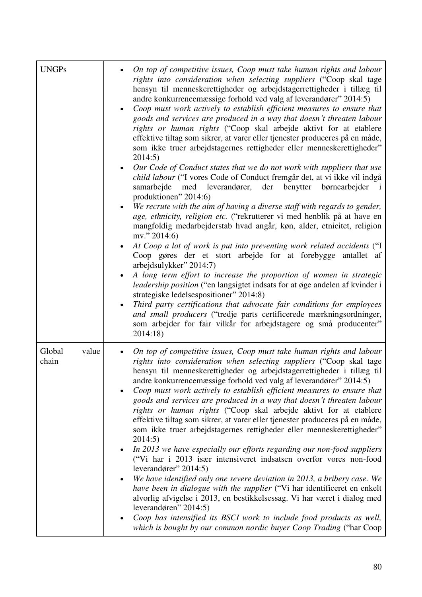| <b>UNGPs</b>             | On top of competitive issues, Coop must take human rights and labour<br>rights into consideration when selecting suppliers ("Coop skal tage<br>hensyn til menneskerettigheder og arbejdstagerrettigheder i tillæg til<br>andre konkurrencemæssige forhold ved valg af leverandører" 2014:5)<br>Coop must work actively to establish efficient measures to ensure that<br>$\bullet$<br>goods and services are produced in a way that doesn't threaten labour<br>rights or human rights ("Coop skal arbejde aktivt for at etablere<br>effektive tiltag som sikrer, at varer eller tjenester produceres på en måde,<br>som ikke truer arbejdstagernes rettigheder eller menneskerettigheder"<br>2014:5)<br>Our Code of Conduct states that we do not work with suppliers that use<br>$\bullet$<br>child labour ("I vores Code of Conduct fremgår det, at vi ikke vil indgå<br>med leverandører, der benytter børnearbejder<br>samarbejde<br>$\mathbf{i}$<br>produktionen" 2014:6)<br>We recrute with the aim of having a diverse staff with regards to gender,<br>$\bullet$<br>age, ethnicity, religion etc. ("rekrutterer vi med henblik på at have en<br>mangfoldig medarbejderstab hvad angår, køn, alder, etnicitet, religion<br>mv." $2014:6$<br>At Coop a lot of work is put into preventing work related accidents ("I<br>Coop gøres der et stort arbejde for at forebygge antallet af<br>arbejdsulykker" 2014:7)<br>A long term effort to increase the proportion of women in strategic<br>$\bullet$<br>leadership position ("en langsigtet indsats for at øge andelen af kvinder i<br>strategiske ledelsespositioner" 2014:8)<br>Third party certifications that advocate fair conditions for employees<br>$\bullet$<br>and small producers ("tredje parts certificerede mærkningsordninger,<br>som arbejder for fair vilkår for arbejdstagere og små producenter"<br>2014:18) |
|--------------------------|--------------------------------------------------------------------------------------------------------------------------------------------------------------------------------------------------------------------------------------------------------------------------------------------------------------------------------------------------------------------------------------------------------------------------------------------------------------------------------------------------------------------------------------------------------------------------------------------------------------------------------------------------------------------------------------------------------------------------------------------------------------------------------------------------------------------------------------------------------------------------------------------------------------------------------------------------------------------------------------------------------------------------------------------------------------------------------------------------------------------------------------------------------------------------------------------------------------------------------------------------------------------------------------------------------------------------------------------------------------------------------------------------------------------------------------------------------------------------------------------------------------------------------------------------------------------------------------------------------------------------------------------------------------------------------------------------------------------------------------------------------------------------------------------------------------------------------------------------------------------------------------|
| Global<br>value<br>chain | On top of competitive issues, Coop must take human rights and labour<br>$\bullet$<br>rights into consideration when selecting suppliers ("Coop skal tage<br>hensyn til menneskerettigheder og arbejdstagerrettigheder i tillæg til<br>andre konkurrencemæssige forhold ved valg af leverandører" 2014:5)<br>Coop must work actively to establish efficient measures to ensure that<br>goods and services are produced in a way that doesn't threaten labour<br>rights or human rights ("Coop skal arbejde aktivt for at etablere<br>effektive tiltag som sikrer, at varer eller tjenester produceres på en måde,<br>som ikke truer arbejdstagernes rettigheder eller menneskerettigheder"<br>2014:5)<br>In 2013 we have especially our efforts regarding our non-food suppliers<br>$\bullet$<br>("Vi har i 2013 især intensiveret indsatsen overfor vores non-food<br>leverandører" 2014:5)<br>We have identified only one severe deviation in 2013, a bribery case. We<br>have been in dialogue with the supplier ("Vi har identificeret en enkelt<br>alvorlig afvigelse i 2013, en bestikkelsessag. Vi har været i dialog med<br>leverandøren" $2014:5$ )<br>Coop has intensified its BSCI work to include food products as well,<br>$\bullet$<br>which is bought by our common nordic buyer Coop Trading ("har Coop                                                                                                                                                                                                                                                                                                                                                                                                                                                                                                                                                               |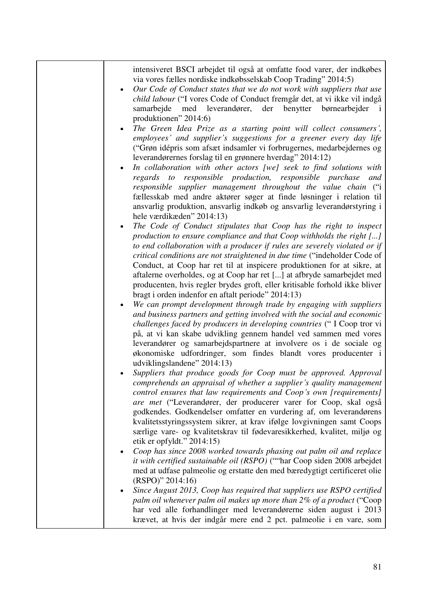| intensiveret BSCI arbejdet til også at omfatte food varer, der indkøbes<br>via vores fælles nordiske indkøbsselskab Coop Trading" 2014:5)<br>Our Code of Conduct states that we do not work with suppliers that use<br>child labour ("I vores Code of Conduct fremgår det, at vi ikke vil indgå<br>samarbejde med leverandører, der benytter børnearbejder<br>produktionen" 2014:6)<br>The Green Idea Prize as a starting point will collect consumers',<br>employees' and supplier's suggestions for a greener every day life<br>("Grøn idépris som afsæt indsamler vi forbrugernes, medarbejdernes og<br>leverandørernes forslag til en grønnere hverdag" 2014:12)<br>In collaboration with other actors [we] seek to find solutions with<br>$\bullet$<br>regards to responsible production, responsible purchase<br>and<br>responsible supplier management throughout the value chain ("i<br>fællesskab med andre aktører søger at finde løsninger i relation til<br>ansvarlig produktion, ansvarlig indkøb og ansvarlig leverandørstyring i<br>hele værdikæden" 2014:13)<br>The Code of Conduct stipulates that Coop has the right to inspect<br>production to ensure compliance and that Coop withholds the right []<br>to end collaboration with a producer if rules are severely violated or if<br>critical conditions are not straightened in due time ("indeholder Code of<br>Conduct, at Coop har ret til at inspicere produktionen for at sikre, at<br>aftalerne overholdes, og at Coop har ret [] at afbryde samarbejdet med<br>producenten, hvis regler brydes groft, eller kritisable forhold ikke bliver<br>bragt i orden indenfor en aftalt periode" 2014:13)<br>We can prompt development through trade by engaging with suppliers<br>and business partners and getting involved with the social and economic<br>challenges faced by producers in developing countries ("I Coop tror vi<br>på, at vi kan skabe udvikling gennem handel ved sammen med vores<br>leverandører og samarbejdspartnere at involvere os i de sociale og<br>økonomiske udfordringer, som findes blandt vores producenter i<br>udviklingslandene" 2014:13)<br>Suppliers that produce goods for Coop must be approved. Approval<br>comprehends an appraisal of whether a supplier's quality management<br>control ensures that law requirements and Coop's own [requirements]<br>are met ("Leverandører, der producerer varer for Coop, skal også<br>godkendes. Godkendelser omfatter en vurdering af, om leverandørens<br>kvalitetsstyringssystem sikrer, at krav ifølge lovgivningen samt Coops<br>særlige vare- og kvalitetskrav til fødevaresikkerhed, kvalitet, miljø og<br>etik er opfyldt." $2014:15$<br>Coop has since 2008 worked towards phasing out palm oil and replace<br>it with certified sustainable oil (RSPO) (""har Coop siden 2008 arbejdet |
|---------------------------------------------------------------------------------------------------------------------------------------------------------------------------------------------------------------------------------------------------------------------------------------------------------------------------------------------------------------------------------------------------------------------------------------------------------------------------------------------------------------------------------------------------------------------------------------------------------------------------------------------------------------------------------------------------------------------------------------------------------------------------------------------------------------------------------------------------------------------------------------------------------------------------------------------------------------------------------------------------------------------------------------------------------------------------------------------------------------------------------------------------------------------------------------------------------------------------------------------------------------------------------------------------------------------------------------------------------------------------------------------------------------------------------------------------------------------------------------------------------------------------------------------------------------------------------------------------------------------------------------------------------------------------------------------------------------------------------------------------------------------------------------------------------------------------------------------------------------------------------------------------------------------------------------------------------------------------------------------------------------------------------------------------------------------------------------------------------------------------------------------------------------------------------------------------------------------------------------------------------------------------------------------------------------------------------------------------------------------------------------------------------------------------------------------------------------------------------------------------------------------------------------------------------------------------------------------------------------------------------------------------------------------------------------------------------------------------------------------------------------------------------------------------------------------------------------------------------|
| med at udfase palmeolie og erstatte den med bæredygtigt certificeret olie<br>$(RSPO)$ " 2014:16)                                                                                                                                                                                                                                                                                                                                                                                                                                                                                                                                                                                                                                                                                                                                                                                                                                                                                                                                                                                                                                                                                                                                                                                                                                                                                                                                                                                                                                                                                                                                                                                                                                                                                                                                                                                                                                                                                                                                                                                                                                                                                                                                                                                                                                                                                                                                                                                                                                                                                                                                                                                                                                                                                                                                                        |
| Since August 2013, Coop has required that suppliers use RSPO certified<br>palm oil whenever palm oil makes up more than 2% of a product ("Coop"<br>har ved alle forhandlinger med leverandørerne siden august i 2013<br>krævet, at hvis der indgår mere end 2 pct. palmeolie i en vare, som                                                                                                                                                                                                                                                                                                                                                                                                                                                                                                                                                                                                                                                                                                                                                                                                                                                                                                                                                                                                                                                                                                                                                                                                                                                                                                                                                                                                                                                                                                                                                                                                                                                                                                                                                                                                                                                                                                                                                                                                                                                                                                                                                                                                                                                                                                                                                                                                                                                                                                                                                             |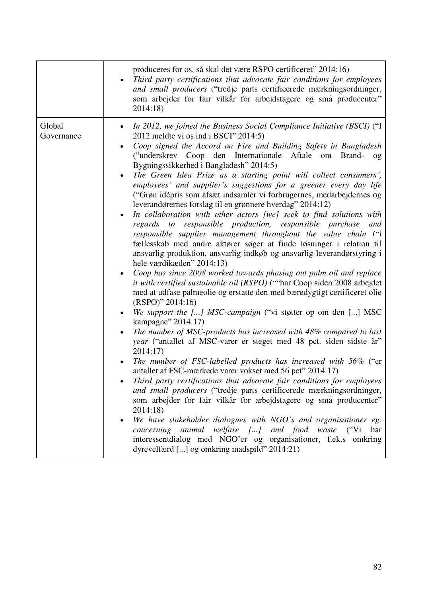|                      | produceres for os, så skal det være RSPO certificeret" 2014:16)<br>Third party certifications that advocate fair conditions for employees<br>$\bullet$<br>and small producers ("tredje parts certificerede mærkningsordninger,<br>som arbejder for fair vilkår for arbejdstagere og små producenter"<br>2014:18)                                                                                                                                                                                                                                                                                                                                                                                                                                                                                                                                                                                                                                                                                                                                                                                                                                                                                                                                                                                                                                                                                                                                                                                                                                                                                                                                                                                                                                                                                                                                                                                                                                                                                                                                                                                                                                                                      |
|----------------------|---------------------------------------------------------------------------------------------------------------------------------------------------------------------------------------------------------------------------------------------------------------------------------------------------------------------------------------------------------------------------------------------------------------------------------------------------------------------------------------------------------------------------------------------------------------------------------------------------------------------------------------------------------------------------------------------------------------------------------------------------------------------------------------------------------------------------------------------------------------------------------------------------------------------------------------------------------------------------------------------------------------------------------------------------------------------------------------------------------------------------------------------------------------------------------------------------------------------------------------------------------------------------------------------------------------------------------------------------------------------------------------------------------------------------------------------------------------------------------------------------------------------------------------------------------------------------------------------------------------------------------------------------------------------------------------------------------------------------------------------------------------------------------------------------------------------------------------------------------------------------------------------------------------------------------------------------------------------------------------------------------------------------------------------------------------------------------------------------------------------------------------------------------------------------------------|
| Global<br>Governance | In 2012, we joined the Business Social Compliance Initiative (BSCI) ("I<br>$\bullet$<br>2012 meldte vi os ind i BSCI" 2014:5)<br>Coop signed the Accord on Fire and Building Safety in Bangladesh<br>$\bullet$<br>("underskrev Coop den Internationale Aftale om Brand-<br>$^{0}$<br>Bygningssikkerhed i Bangladesh" 2014:5)<br>The Green Idea Prize as a starting point will collect consumers',<br>$\bullet$<br>employees' and supplier's suggestions for a greener every day life<br>("Grøn idépris som afsæt indsamler vi forbrugernes, medarbejdernes og<br>leverandørernes forslag til en grønnere hverdag" 2014:12)<br>In collaboration with other actors [we] seek to find solutions with<br>regards to responsible production, responsible purchase<br>and<br>responsible supplier management throughout the value chain ("i<br>fællesskab med andre aktører søger at finde løsninger i relation til<br>ansvarlig produktion, ansvarlig indkøb og ansvarlig leverandørstyring i<br>hele værdikæden" 2014:13)<br>Coop has since 2008 worked towards phasing out palm oil and replace<br>$\bullet$<br>it with certified sustainable oil (RSPO) (""har Coop siden 2008 arbejdet<br>med at udfase palmeolie og erstatte den med bæredygtigt certificeret olie<br>$(RSPO)$ " 2014:16)<br>We support the [] MSC-campaign ("vi støtter op om den [] MSC<br>kampagne" 2014:17)<br>The number of MSC-products has increased with 48% compared to last<br>$\bullet$<br>year ("antallet af MSC-varer er steget med 48 pct. siden sidste år"<br>2014:17<br>The number of FSC-labelled products has increased with 56% ("er<br>$\bullet$<br>antallet af FSC-mærkede varer vokset med 56 pct" 2014:17)<br>Third party certifications that advocate fair conditions for employees<br>and small producers ("tredje parts certificerede mærkningsordninger,<br>som arbejder for fair vilkår for arbejdstagere og små producenter"<br>2014:18)<br>We have stakeholder dialogues with NGO's and organisationer eg.<br>concerning animal welfare [] and food waste ("Vi<br>har<br>interessentdialog med NGO'er og organisationer, f.ek.s omkring<br>dyrevelfærd [] og omkring madspild" 2014:21) |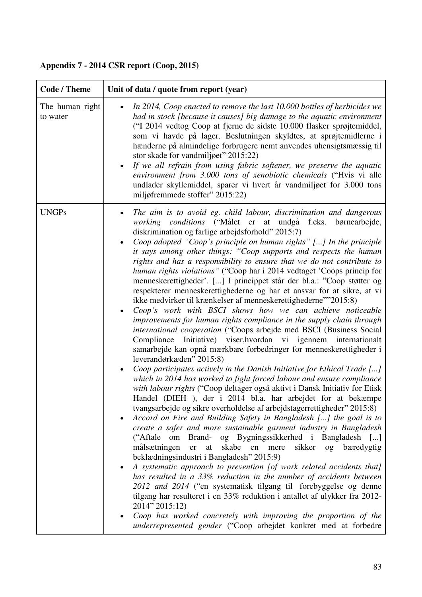| <b>Code / Theme</b>         | Unit of data / quote from report (year)                                                                                                                                                                                                                                                                                                                                                                                                                                                                                                                                                                                                                                                                                                                                                                                                                                                                                                                                                                                                                                                                                                                                                                                                                                                                                                                                                                                                                                                                                                                                                                                                                                                                                                                                                                                                                                                                                                                                                                                                                                                                                                                                                                                                                                                |
|-----------------------------|----------------------------------------------------------------------------------------------------------------------------------------------------------------------------------------------------------------------------------------------------------------------------------------------------------------------------------------------------------------------------------------------------------------------------------------------------------------------------------------------------------------------------------------------------------------------------------------------------------------------------------------------------------------------------------------------------------------------------------------------------------------------------------------------------------------------------------------------------------------------------------------------------------------------------------------------------------------------------------------------------------------------------------------------------------------------------------------------------------------------------------------------------------------------------------------------------------------------------------------------------------------------------------------------------------------------------------------------------------------------------------------------------------------------------------------------------------------------------------------------------------------------------------------------------------------------------------------------------------------------------------------------------------------------------------------------------------------------------------------------------------------------------------------------------------------------------------------------------------------------------------------------------------------------------------------------------------------------------------------------------------------------------------------------------------------------------------------------------------------------------------------------------------------------------------------------------------------------------------------------------------------------------------------|
| The human right<br>to water | In 2014, Coop enacted to remove the last 10.000 bottles of herbicides we<br>had in stock [because it causes] big damage to the aquatic environment<br>("I 2014 vedtog Coop at fjerne de sidste 10.000 flasker sprøjtemiddel,<br>som vi havde på lager. Beslutningen skyldtes, at sprøjtemidlerne i<br>hænderne på almindelige forbrugere nemt anvendes uhensigtsmæssig til<br>stor skade for vandmiljøet" 2015:22)<br>If we all refrain from using fabric softener, we preserve the aquatic<br>environment from 3.000 tons of xenobiotic chemicals ("Hvis vi alle<br>undlader skyllemiddel, sparer vi hvert år vandmiljøet for 3.000 tons<br>miljøfremmede stoffer" 2015:22)                                                                                                                                                                                                                                                                                                                                                                                                                                                                                                                                                                                                                                                                                                                                                                                                                                                                                                                                                                                                                                                                                                                                                                                                                                                                                                                                                                                                                                                                                                                                                                                                           |
| <b>UNGPs</b>                | The aim is to avoid eg. child labour, discrimination and dangerous<br>working conditions ("Målet er at undgå f.eks. børnearbejde,<br>diskrimination og farlige arbejdsforhold" 2015:7)<br>Coop adopted "Coop's principle on human rights" [] In the principle<br>it says among other things: "Coop supports and respects the human<br>rights and has a responsibility to ensure that we do not contribute to<br>human rights violations" ("Coop har i 2014 vedtaget 'Coops princip for<br>menneskerettigheder'. [] I princippet står der bl.a.: "Coop støtter og<br>respekterer menneskerettighederne og har et ansvar for at sikre, at vi<br>ikke medvirker til krænkelser af menneskerettighederne""2015:8)<br>Coop's work with BSCI shows how we can achieve noticeable<br>$\bullet$<br>improvements for human rights compliance in the supply chain through<br>international cooperation ("Coops arbejde med BSCI (Business Social<br>Compliance Initiative) viser, hvordan vi igennem internationalt<br>samarbejde kan opnå mærkbare forbedringer for menneskerettigheder i<br>leverandørkæden" 2015:8)<br>Coop participates actively in the Danish Initiative for Ethical Trade []<br>which in 2014 has worked to fight forced labour and ensure compliance<br>with labour rights ("Coop deltager også aktivt i Dansk Initiativ for Etisk<br>Handel (DIEH), der i 2014 bl.a. har arbejdet for at bekæmpe<br>tvangsarbejde og sikre overholdelse af arbejdstagerrettigheder" 2015:8)<br>Accord on Fire and Building Safety in Bangladesh [] the goal is to<br>create a safer and more sustainable garment industry in Bangladesh<br>("Aftale om Brand- og Bygningssikkerhed i Bangladesh []<br>målsætningen<br>at<br>skabe<br>en mere<br>sikker<br>er<br>$\log$<br>bæredygtig<br>beklædningsindustri i Bangladesh" 2015:9)<br>A systematic approach to prevention [of work related accidents that]<br>has resulted in a 33% reduction in the number of accidents between<br>2012 and 2014 ("en systematisk tilgang til forebyggelse og denne<br>tilgang har resulteret i en 33% reduktion i antallet af ulykker fra 2012-<br>2014" 2015:12)<br>Coop has worked concretely with improving the proportion of the<br>underrepresented gender ("Coop arbejdet konkret med at forbedre |

## **Appendix 7 - 2014 CSR report (Coop, 2015)**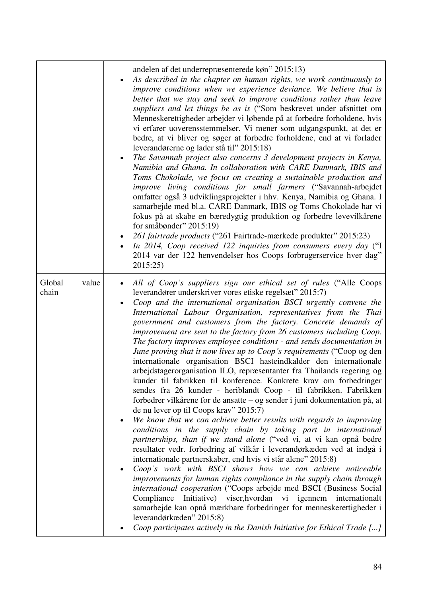|                          | andelen af det underrepræsenterede køn" 2015:13)<br>As described in the chapter on human rights, we work continuously to<br>improve conditions when we experience deviance. We believe that is<br>better that we stay and seek to improve conditions rather than leave<br>suppliers and let things be as is ("Som beskrevet under afsnittet om<br>Menneskerettigheder arbejder vi løbende på at forbedre forholdene, hvis<br>vi erfarer uoverensstemmelser. Vi mener som udgangspunkt, at det er<br>bedre, at vi bliver og søger at forbedre forholdene, end at vi forlader<br>leverandørerne og lader stå til" 2015:18)<br>The Savannah project also concerns 3 development projects in Kenya,<br>Namibia and Ghana. In collaboration with CARE Danmark, IBIS and<br>Toms Chokolade, we focus on creating a sustainable production and<br>improve living conditions for small farmers ("Savannah-arbejdet<br>omfatter også 3 udviklingsprojekter i hhv. Kenya, Namibia og Ghana. I<br>samarbejde med bl.a. CARE Danmark, IBIS og Toms Chokolade har vi<br>fokus på at skabe en bæredygtig produktion og forbedre levevilkårene<br>for småbønder" 2015:19)<br>261 fairtrade products ("261 Fairtrade-mærkede produkter" 2015:23)<br>In 2014, Coop received 122 inquiries from consumers every day ("I<br>2014 var der 122 henvendelser hos Coops forbrugerservice hver dag"<br>2015:25)                                                                                                                                                                                                                                                                                                                                                                                                                                             |
|--------------------------|-------------------------------------------------------------------------------------------------------------------------------------------------------------------------------------------------------------------------------------------------------------------------------------------------------------------------------------------------------------------------------------------------------------------------------------------------------------------------------------------------------------------------------------------------------------------------------------------------------------------------------------------------------------------------------------------------------------------------------------------------------------------------------------------------------------------------------------------------------------------------------------------------------------------------------------------------------------------------------------------------------------------------------------------------------------------------------------------------------------------------------------------------------------------------------------------------------------------------------------------------------------------------------------------------------------------------------------------------------------------------------------------------------------------------------------------------------------------------------------------------------------------------------------------------------------------------------------------------------------------------------------------------------------------------------------------------------------------------------------------------------------------------------------------------------------------------------------|
| Global<br>value<br>chain | All of Coop's suppliers sign our ethical set of rules ("Alle Coops<br>leverandører underskriver vores etiske regelsæt" 2015:7)<br>Coop and the international organisation BSCI urgently convene the<br>International Labour Organisation, representatives from the Thai<br>government and customers from the factory. Concrete demands of<br>improvement are sent to the factory from 26 customers including Coop.<br>The factory improves employee conditions - and sends documentation in<br>June proving that it now lives up to Coop's requirements ("Coop og den<br>internationale organisation BSCI hasteindkalder den internationale<br>arbejdstagerorganisation ILO, repræsentanter fra Thailands regering og<br>kunder til fabrikken til konference. Konkrete krav om forbedringer<br>sendes fra 26 kunder - heriblandt Coop - til fabrikken. Fabrikken<br>forbedrer vilkårene for de ansatte – og sender i juni dokumentation på, at<br>de nu lever op til Coops krav" 2015:7)<br>We know that we can achieve better results with regards to improving<br>conditions in the supply chain by taking part in international<br>partnerships, than if we stand alone ("ved vi, at vi kan opnå bedre<br>resultater vedr. forbedring af vilkår i leverandørkæden ved at indgå i<br>internationale partnerskaber, end hvis vi står alene" 2015:8)<br>Coop's work with BSCI shows how we can achieve noticeable<br>٠<br>improvements for human rights compliance in the supply chain through<br>international cooperation ("Coops arbejde med BSCI (Business Social<br>viser, hvordan vi<br>Compliance<br>Initiative)<br>igennem<br>internationalt<br>samarbejde kan opnå mærkbare forbedringer for menneskerettigheder i<br>leverandørkæden" 2015:8)<br>Coop participates actively in the Danish Initiative for Ethical Trade [] |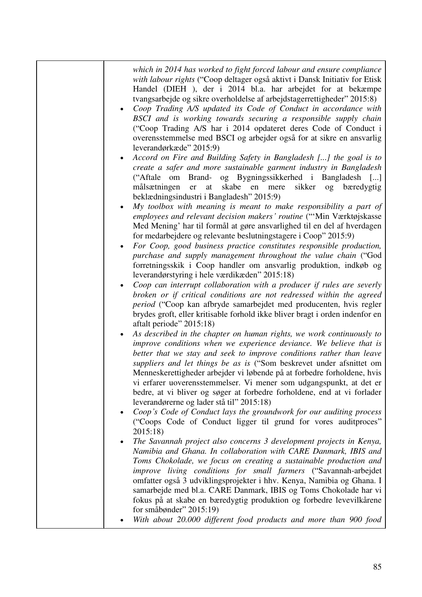| which in 2014 has worked to fight forced labour and ensure compliance<br>with labour rights ("Coop deltager også aktivt i Dansk Initiativ for Etisk<br>Handel (DIEH), der i 2014 bl.a. har arbejdet for at bekæmpe<br>tvangsarbejde og sikre overholdelse af arbejdstagerrettigheder" 2015:8)<br>Coop Trading A/S updated its Code of Conduct in accordance with<br>BSCI and is working towards securing a responsible supply chain<br>("Coop Trading A/S har i 2014 opdateret deres Code of Conduct i<br>overensstemmelse med BSCI og arbejder også for at sikre en ansvarlig<br>leverandørkæde" 2015:9)<br>Accord on Fire and Building Safety in Bangladesh [] the goal is to<br>create a safer and more sustainable garment industry in Bangladesh<br>("Aftale om Brand- og Bygningssikkerhed i Bangladesh []<br>målsætningen<br>at skabe en mere<br>sikker og<br>er<br>bæredygtig<br>beklædningsindustri i Bangladesh" 2015:9)<br>My toolbox with meaning is meant to make responsibility a part of<br>employees and relevant decision makers' routine ("'Min Værktøjskasse<br>Med Mening' har til formål at gøre ansvarlighed til en del af hverdagen<br>for medarbejdere og relevante beslutningstagere i Coop" 2015:9)<br>For Coop, good business practice constitutes responsible production,<br>purchase and supply management throughout the value chain ("God<br>forretningsskik i Coop handler om ansvarlig produktion, indkøb og<br>leverandørstyring i hele værdikæden" 2015:18)<br>Coop can interrupt collaboration with a producer if rules are severly<br>broken or if critical conditions are not redressed within the agreed<br><i>period</i> ("Coop kan afbryde samarbejdet med producenten, hvis regler<br>brydes groft, eller kritisable forhold ikke bliver bragt i orden indenfor en<br>aftalt periode" 2015:18)<br>As described in the chapter on human rights, we work continuously to<br>improve conditions when we experience deviance. We believe that is<br>better that we stay and seek to improve conditions rather than leave<br>suppliers and let things be as is ("Som beskrevet under afsnittet om<br>Menneskerettigheder arbejder vi løbende på at forbedre forholdene, hvis<br>vi erfarer uoverensstemmelser. Vi mener som udgangspunkt, at det er<br>bedre, at vi bliver og søger at forbedre forholdene, end at vi forlader<br>leverandørerne og lader stå til" 2015:18)<br>Coop's Code of Conduct lays the groundwork for our auditing process<br>٠<br>("Coops Code of Conduct ligger til grund for vores auditproces"<br>2015:18<br>The Savannah project also concerns 3 development projects in Kenya,<br>Namibia and Ghana. In collaboration with CARE Danmark, IBIS and<br>Toms Chokolade, we focus on creating a sustainable production and<br>improve living conditions for small farmers ("Savannah-arbejdet |
|--------------------------------------------------------------------------------------------------------------------------------------------------------------------------------------------------------------------------------------------------------------------------------------------------------------------------------------------------------------------------------------------------------------------------------------------------------------------------------------------------------------------------------------------------------------------------------------------------------------------------------------------------------------------------------------------------------------------------------------------------------------------------------------------------------------------------------------------------------------------------------------------------------------------------------------------------------------------------------------------------------------------------------------------------------------------------------------------------------------------------------------------------------------------------------------------------------------------------------------------------------------------------------------------------------------------------------------------------------------------------------------------------------------------------------------------------------------------------------------------------------------------------------------------------------------------------------------------------------------------------------------------------------------------------------------------------------------------------------------------------------------------------------------------------------------------------------------------------------------------------------------------------------------------------------------------------------------------------------------------------------------------------------------------------------------------------------------------------------------------------------------------------------------------------------------------------------------------------------------------------------------------------------------------------------------------------------------------------------------------------------------------------------------------------------------------------------------------------------------------------------------------------------------------------------------------------------------------------------------------------------------------------------------------------------------------------------------------------------------------------------------------------------------------------------------------------------------------------------------|
| omfatter også 3 udviklingsprojekter i hhv. Kenya, Namibia og Ghana. I<br>samarbejde med bl.a. CARE Danmark, IBIS og Toms Chokolade har vi<br>fokus på at skabe en bæredygtig produktion og forbedre levevilkårene<br>for småbønder" $2015:19$<br>With about 20.000 different food products and more than 900 food                                                                                                                                                                                                                                                                                                                                                                                                                                                                                                                                                                                                                                                                                                                                                                                                                                                                                                                                                                                                                                                                                                                                                                                                                                                                                                                                                                                                                                                                                                                                                                                                                                                                                                                                                                                                                                                                                                                                                                                                                                                                                                                                                                                                                                                                                                                                                                                                                                                                                                                                            |
|                                                                                                                                                                                                                                                                                                                                                                                                                                                                                                                                                                                                                                                                                                                                                                                                                                                                                                                                                                                                                                                                                                                                                                                                                                                                                                                                                                                                                                                                                                                                                                                                                                                                                                                                                                                                                                                                                                                                                                                                                                                                                                                                                                                                                                                                                                                                                                                                                                                                                                                                                                                                                                                                                                                                                                                                                                                              |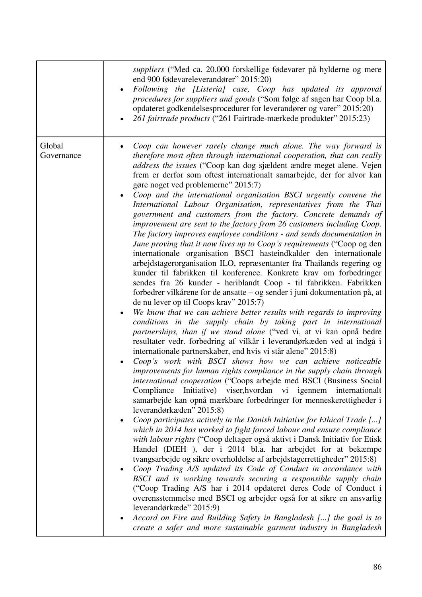|                      | suppliers ("Med ca. 20.000 forskellige fødevarer på hylderne og mere<br>end 900 fødevareleverandører" 2015:20)<br>Following the [Listeria] case, Coop has updated its approval<br>$\bullet$<br>procedures for suppliers and goods ("Som følge af sagen har Coop bl.a.<br>opdateret godkendelsesprocedurer for leverandører og varer" 2015:20)<br>261 fairtrade products ("261 Fairtrade-mærkede produkter" 2015:23)                                                                                                                                                                                                                                                                                                                                                                                                                                                                                                                                                                                                                                                                                                                                                                                                                                                                                                                                                                                                                                                                                                                                                                                                                                                                                                                                                                                                                                                                                                                                                                                                                                                                                                                                                                                                                                                                                                                                                                                                                                                                                                                                                                                                                                                                                                                                                                                                                 |
|----------------------|-------------------------------------------------------------------------------------------------------------------------------------------------------------------------------------------------------------------------------------------------------------------------------------------------------------------------------------------------------------------------------------------------------------------------------------------------------------------------------------------------------------------------------------------------------------------------------------------------------------------------------------------------------------------------------------------------------------------------------------------------------------------------------------------------------------------------------------------------------------------------------------------------------------------------------------------------------------------------------------------------------------------------------------------------------------------------------------------------------------------------------------------------------------------------------------------------------------------------------------------------------------------------------------------------------------------------------------------------------------------------------------------------------------------------------------------------------------------------------------------------------------------------------------------------------------------------------------------------------------------------------------------------------------------------------------------------------------------------------------------------------------------------------------------------------------------------------------------------------------------------------------------------------------------------------------------------------------------------------------------------------------------------------------------------------------------------------------------------------------------------------------------------------------------------------------------------------------------------------------------------------------------------------------------------------------------------------------------------------------------------------------------------------------------------------------------------------------------------------------------------------------------------------------------------------------------------------------------------------------------------------------------------------------------------------------------------------------------------------------------------------------------------------------------------------------------------------------|
| Global<br>Governance | Coop can however rarely change much alone. The way forward is<br>therefore most often through international cooperation, that can really<br><i>address the issues</i> ("Coop kan dog sjældent ændre meget alene. Vejen<br>frem er derfor som oftest internationalt samarbejde, der for alvor kan<br>gøre noget ved problemerne" 2015:7)<br>Coop and the international organisation BSCI urgently convene the<br>International Labour Organisation, representatives from the Thai<br>government and customers from the factory. Concrete demands of<br>improvement are sent to the factory from 26 customers including Coop.<br>The factory improves employee conditions - and sends documentation in<br>June proving that it now lives up to Coop's requirements ("Coop og den<br>internationale organisation BSCI hasteindkalder den internationale<br>arbejdstagerorganisation ILO, repræsentanter fra Thailands regering og<br>kunder til fabrikken til konference. Konkrete krav om forbedringer<br>sendes fra 26 kunder - heriblandt Coop - til fabrikken. Fabrikken<br>forbedrer vilkårene for de ansatte – og sender i juni dokumentation på, at<br>de nu lever op til Coops krav" 2015:7)<br>We know that we can achieve better results with regards to improving<br>$\bullet$<br>conditions in the supply chain by taking part in international<br>partnerships, than if we stand alone ("ved vi, at vi kan opnå bedre<br>resultater vedr. forbedring af vilkår i leverandørkæden ved at indgå i<br>internationale partnerskaber, end hvis vi står alene" 2015:8)<br>Coop's work with BSCI shows how we can achieve noticeable<br>improvements for human rights compliance in the supply chain through<br>international cooperation ("Coops arbejde med BSCI (Business Social<br>Initiative) viser, hvordan vi igennem internationalt<br>Compliance<br>samarbejde kan opnå mærkbare forbedringer for menneskerettigheder i<br>leverandørkæden" 2015:8)<br>Coop participates actively in the Danish Initiative for Ethical Trade []<br>$\bullet$<br>which in 2014 has worked to fight forced labour and ensure compliance<br>with labour rights ("Coop deltager også aktivt i Dansk Initiativ for Etisk<br>Handel (DIEH), der i 2014 bl.a. har arbejdet for at bekæmpe<br>tvangsarbejde og sikre overholdelse af arbejdstagerrettigheder" 2015:8)<br>Coop Trading A/S updated its Code of Conduct in accordance with<br>$\bullet$<br>BSCI and is working towards securing a responsible supply chain<br>("Coop Trading A/S har i 2014 opdateret deres Code of Conduct i<br>overensstemmelse med BSCI og arbejder også for at sikre en ansvarlig<br>leverandørkæde" 2015:9)<br>Accord on Fire and Building Safety in Bangladesh [] the goal is to<br>٠<br>create a safer and more sustainable garment industry in Bangladesh |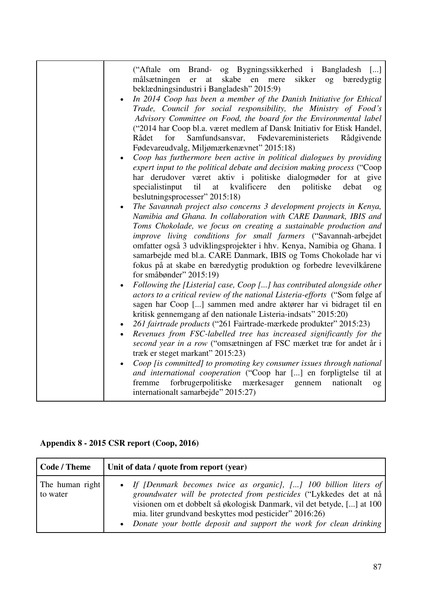| ("Aftale om Brand- og Bygningssikkerhed i Bangladesh []<br>sikker<br>målsætningen<br>skabe<br>bæredygtig<br>er<br>at<br>en<br>mere<br>$\log$ |
|----------------------------------------------------------------------------------------------------------------------------------------------|
| beklædningsindustri i Bangladesh" 2015:9)                                                                                                    |
| In 2014 Coop has been a member of the Danish Initiative for Ethical                                                                          |
| Trade, Council for social responsibility, the Ministry of Food's                                                                             |
| Advisory Committee on Food, the board for the Environmental label                                                                            |
| ("2014 har Coop bl.a. været medlem af Dansk Initiativ for Etisk Handel,                                                                      |
| Samfundsansvar,<br>Rådet<br>for<br>Fødevareministeriets<br>Rådgivende                                                                        |
| Fødevareudvalg, Miljømærkenævnet" 2015:18)                                                                                                   |
| Coop has furthermore been active in political dialogues by providing<br>$\bullet$                                                            |
| expert input to the political debate and decision making process ("Coop                                                                      |
| har derudover været aktiv i politiske dialogmøder for at give                                                                                |
| til<br>at kvalificere den politiske<br>specialistinput<br>debat<br>og                                                                        |
| beslutningsprocesser" 2015:18)                                                                                                               |
| The Savannah project also concerns 3 development projects in Kenya,<br>٠                                                                     |
| Namibia and Ghana. In collaboration with CARE Danmark, IBIS and                                                                              |
| Toms Chokolade, we focus on creating a sustainable production and<br>improve living conditions for small farmers ("Savannah-arbejdet         |
| omfatter også 3 udviklingsprojekter i hhv. Kenya, Namibia og Ghana. I                                                                        |
| samarbejde med bl.a. CARE Danmark, IBIS og Toms Chokolade har vi                                                                             |
| fokus på at skabe en bæredygtig produktion og forbedre levevilkårene                                                                         |
| for småbønder" $2015:19$                                                                                                                     |
| Following the [Listeria] case, Coop [] has contributed alongside other<br>$\bullet$                                                          |
| actors to a critical review of the national Listeria-efforts ("Som følge af                                                                  |
| sagen har Coop [] sammen med andre aktører har vi bidraget til en                                                                            |
| kritisk gennemgang af den nationale Listeria-indsats" 2015:20)                                                                               |
| 261 fairtrade products ("261 Fairtrade-mærkede produkter" 2015:23)                                                                           |
| Revenues from FSC-labelled tree has increased significantly for the<br>$\bullet$                                                             |
| second year in a row ("omsætningen af FSC mærket træ for andet år i<br>træk er steget markant" 2015:23)                                      |
| Coop [is committed] to promoting key consumer issues through national                                                                        |
| and international cooperation ("Coop har [] en forpligtelse til at                                                                           |
| forbrugerpolitiske mærkesager gennem<br>nationalt<br>fremme<br>og                                                                            |
| internationalt samarbejde" 2015:27)                                                                                                          |
|                                                                                                                                              |

## **Appendix 8 - 2015 CSR report (Coop, 2016)**

| Code / Theme                | Unit of data / quote from report (year)                                                                                                                                                                                                                                                                                                              |
|-----------------------------|------------------------------------------------------------------------------------------------------------------------------------------------------------------------------------------------------------------------------------------------------------------------------------------------------------------------------------------------------|
| The human right<br>to water | • If [Denmark becomes twice as organic], [] 100 billion liters of<br>groundwater will be protected from pesticides ("Lykkedes det at nå<br>visionen om et dobbelt så økologisk Danmark, vil det betyde, [] at 100<br>mia. liter grundvand beskyttes mod pesticider" 2016:26)<br>• Donate your bottle deposit and support the work for clean drinking |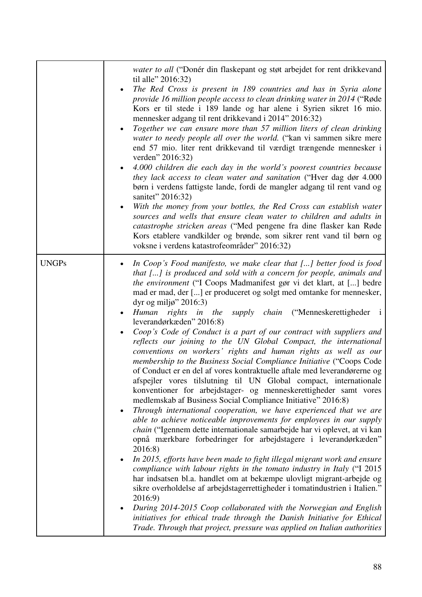|              | water to all ("Donér din flaskepant og støt arbejdet for rent drikkevand<br>til alle" 2016:32)<br>The Red Cross is present in 189 countries and has in Syria alone<br>provide 16 million people access to clean drinking water in 2014 ("Røde<br>Kors er til stede i 189 lande og har alene i Syrien sikret 16 mio.<br>mennesker adgang til rent drikkevand i 2014" 2016:32)<br>Together we can ensure more than 57 million liters of clean drinking<br>water to needy people all over the world. ("kan vi sammen sikre mere<br>end 57 mio. liter rent drikkevand til værdigt trængende mennesker i<br>verden" 2016:32)<br>4.000 children die each day in the world's poorest countries because<br>$\bullet$<br>they lack access to clean water and sanitation ("Hver dag dør 4.000<br>børn i verdens fattigste lande, fordi de mangler adgang til rent vand og<br>sanitet" 2016:32)<br>With the money from your bottles, the Red Cross can establish water<br>$\bullet$<br>sources and wells that ensure clean water to children and adults in<br>catastrophe stricken areas ("Med pengene fra dine flasker kan Røde<br>Kors etablere vandkilder og brønde, som sikrer rent vand til børn og<br>voksne i verdens katastrofeområder" 2016:32)                                                                                                                                                                                                                                                                                                                                                                                                                                                                                                                                                                                                                    |
|--------------|------------------------------------------------------------------------------------------------------------------------------------------------------------------------------------------------------------------------------------------------------------------------------------------------------------------------------------------------------------------------------------------------------------------------------------------------------------------------------------------------------------------------------------------------------------------------------------------------------------------------------------------------------------------------------------------------------------------------------------------------------------------------------------------------------------------------------------------------------------------------------------------------------------------------------------------------------------------------------------------------------------------------------------------------------------------------------------------------------------------------------------------------------------------------------------------------------------------------------------------------------------------------------------------------------------------------------------------------------------------------------------------------------------------------------------------------------------------------------------------------------------------------------------------------------------------------------------------------------------------------------------------------------------------------------------------------------------------------------------------------------------------------------------------------------------------------------------------------------------------|
| <b>UNGPs</b> | In Coop's Food manifesto, we make clear that [] better food is food<br>that [] is produced and sold with a concern for people, animals and<br><i>the environment</i> ("I Coops Madmanifest gør vi det klart, at [] bedre<br>mad er mad, der [] er produceret og solgt med omtanke for mennesker,<br>dyr og miljø" 2016:3)<br>supply chain ("Menneskerettigheder i<br>Human rights in the<br>leverandørkæden" 2016:8)<br>Coop's Code of Conduct is a part of our contract with suppliers and<br>reflects our joining to the UN Global Compact, the international<br>conventions on workers' rights and human rights as well as our<br>membership to the Business Social Compliance Initiative ("Coops Code<br>of Conduct er en del af vores kontraktuelle aftale med leverandørerne og<br>afspejler vores tilslutning til UN Global compact, internationale<br>konventioner for arbejdstager- og menneskerettigheder samt vores<br>medlemskab af Business Social Compliance Initiative" 2016:8)<br>Through international cooperation, we have experienced that we are<br>٠<br>able to achieve noticeable improvements for employees in our supply<br>chain ("Igennem dette internationale samarbejde har vi oplevet, at vi kan<br>opnå mærkbare forbedringer for arbejdstagere i leverandørkæden"<br>2016:8)<br>In 2015, efforts have been made to fight illegal migrant work and ensure<br>compliance with labour rights in the tomato industry in Italy ("I 2015<br>har indsatsen bl.a. handlet om at bekæmpe ulovligt migrant-arbejde og<br>sikre overholdelse af arbejdstagerrettigheder i tomatindustrien i Italien."<br>2016:9)<br>During 2014-2015 Coop collaborated with the Norwegian and English<br>initiatives for ethical trade through the Danish Initiative for Ethical<br>Trade. Through that project, pressure was applied on Italian authorities |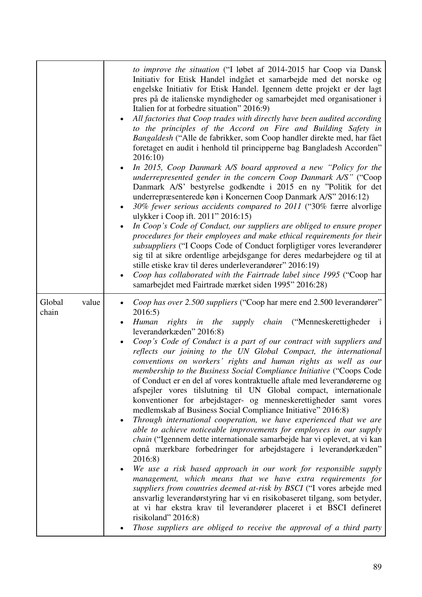|                          | to improve the situation ("I løbet af 2014-2015 har Coop via Dansk<br>Initiativ for Etisk Handel indgået et samarbejde med det norske og<br>engelske Initiativ for Etisk Handel. Igennem dette projekt er der lagt<br>pres på de italienske myndigheder og samarbejdet med organisationer i<br>Italien for at forbedre situation" 2016:9)<br>All factories that Coop trades with directly have been audited according<br>to the principles of the Accord on Fire and Building Safety in<br>Bangaldesh ("Alle de fabrikker, som Coop handler direkte med, har fået<br>foretaget en audit i henhold til principperne bag Bangladesh Accorden"<br>2016:10)<br>In 2015, Coop Danmark A/S board approved a new "Policy for the<br>$\bullet$<br>underrepresented gender in the concern Coop Danmark A/S" ("Coop<br>Danmark A/S' bestyrelse godkendte i 2015 en ny "Politik for det<br>underrepræsenterede køn i Koncernen Coop Danmark A/S" 2016:12)<br>30% fewer serious accidents compared to 2011 ("30% færre alvorlige<br>$\bullet$<br>ulykker i Coop ift. 2011" 2016:15)<br>In Coop's Code of Conduct, our suppliers are obliged to ensure proper<br>procedures for their employees and make ethical requirements for their<br>subsuppliers ("I Coops Code of Conduct forpligtiger vores leverandører<br>sig til at sikre ordentlige arbejdsgange for deres medarbejdere og til at<br>stille etiske krav til deres underleverandører" 2016:19)<br>Coop has collaborated with the Fairtrade label since 1995 ("Coop har<br>$\bullet$<br>samarbejdet med Fairtrade mærket siden 1995" 2016:28) |
|--------------------------|---------------------------------------------------------------------------------------------------------------------------------------------------------------------------------------------------------------------------------------------------------------------------------------------------------------------------------------------------------------------------------------------------------------------------------------------------------------------------------------------------------------------------------------------------------------------------------------------------------------------------------------------------------------------------------------------------------------------------------------------------------------------------------------------------------------------------------------------------------------------------------------------------------------------------------------------------------------------------------------------------------------------------------------------------------------------------------------------------------------------------------------------------------------------------------------------------------------------------------------------------------------------------------------------------------------------------------------------------------------------------------------------------------------------------------------------------------------------------------------------------------------------------------------------------------------------------------------------|
| Global<br>value<br>chain | Coop has over 2.500 suppliers ("Coop har mere end 2.500 leverandører"<br>2016:5)<br>supply chain ("Menneskerettigheder i<br>Human<br>rights in the<br>leverandørkæden" 2016:8)<br>Coop's Code of Conduct is a part of our contract with suppliers and<br>reflects our joining to the UN Global Compact, the international<br>conventions on workers' rights and human rights as well as our<br>membership to the Business Social Compliance Initiative ("Coops Code<br>of Conduct er en del af vores kontraktuelle aftale med leverandørerne og<br>afspejler vores tilslutning til UN Global compact, internationale<br>konventioner for arbejdstager- og menneskerettigheder samt vores<br>medlemskab af Business Social Compliance Initiative" 2016:8)<br>Through international cooperation, we have experienced that we are<br>$\bullet$<br>able to achieve noticeable improvements for employees in our supply<br><i>chain</i> ("Igennem dette internationale samarbejde har vi oplevet, at vi kan<br>opnå mærkbare forbedringer for arbejdstagere i leverandørkæden"<br>2016:8)<br>We use a risk based approach in our work for responsible supply<br>management, which means that we have extra requirements for<br>suppliers from countries deemed at-risk by BSCI ("I vores arbejde med<br>ansvarlig leverandørstyring har vi en risikobaseret tilgang, som betyder,<br>at vi har ekstra krav til leverandører placeret i et BSCI defineret<br>risikoland" 2016:8)<br>Those suppliers are obliged to receive the approval of a third party                                          |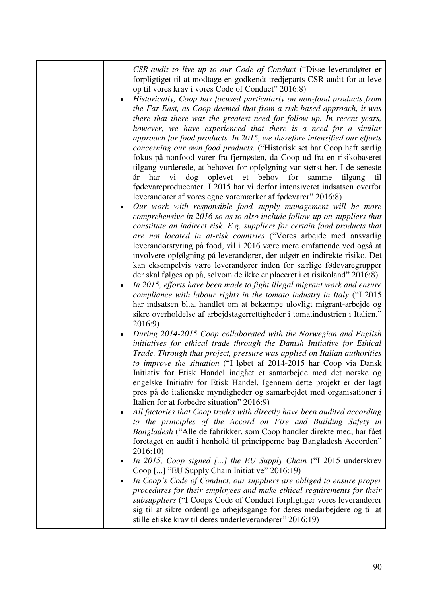*CSR-audit to live up to our Code of Conduct* ("Disse leverandører er forpligtiget til at modtage en godkendt tredjeparts CSR-audit for at leve op til vores krav i vores Code of Conduct" 2016:8)

 *Historically, Coop has focused particularly on non-food products from the Far East, as Coop deemed that from a risk-based approach, it was there that there was the greatest need for follow-up. In recent years, however, we have experienced that there is a need for a similar approach for food products. In 2015, we therefore intensified our efforts concerning our own food products.* ("Historisk set har Coop haft særlig fokus på nonfood-varer fra fjernøsten, da Coop ud fra en risikobaseret tilgang vurderede, at behovet for opfølgning var størst her. I de seneste år har vi dog oplevet et behov for samme tilgang til fødevareproducenter. I 2015 har vi derfor intensiveret indsatsen overfor leverandører af vores egne varemærker af fødevarer" 2016:8)

 *Our work with responsible food supply management will be more comprehensive in 2016 so as to also include follow-up on suppliers that constitute an indirect risk. E.g. suppliers for certain food products that are not located in at-risk countries* ("Vores arbejde med ansvarlig leverandørstyring på food, vil i 2016 være mere omfattende ved også at involvere opfølgning på leverandører, der udgør en indirekte risiko. Det kan eksempelvis være leverandører inden for særlige fødevaregrupper der skal følges op på, selvom de ikke er placeret i et risikoland" 2016:8)

- *In 2015, efforts have been made to fight illegal migrant work and ensure compliance with labour rights in the tomato industry in Italy* ("I 2015 har indsatsen bl.a. handlet om at bekæmpe ulovligt migrant-arbejde og sikre overholdelse af arbejdstagerrettigheder i tomatindustrien i Italien." 2016:9)
- *During 2014-2015 Coop collaborated with the Norwegian and English initiatives for ethical trade through the Danish Initiative for Ethical Trade. Through that project, pressure was applied on Italian authorities to improve the situation* ("I løbet af 2014-2015 har Coop via Dansk Initiativ for Etisk Handel indgået et samarbejde med det norske og engelske Initiativ for Etisk Handel. Igennem dette projekt er der lagt pres på de italienske myndigheder og samarbejdet med organisationer i Italien for at forbedre situation" 2016:9)
- *All factories that Coop trades with directly have been audited according to the principles of the Accord on Fire and Building Safety in Bangladesh* ("Alle de fabrikker, som Coop handler direkte med, har fået foretaget en audit i henhold til principperne bag Bangladesh Accorden" 2016:10)
- *In 2015, Coop signed [...] the EU Supply Chain* ("I 2015 underskrev Coop [...] "EU Supply Chain Initiative" 2016:19)
- *In Coop's Code of Conduct, our suppliers are obliged to ensure proper procedures for their employees and make ethical requirements for their subsuppliers* ("I Coops Code of Conduct forpligtiger vores leverandører sig til at sikre ordentlige arbejdsgange for deres medarbejdere og til at stille etiske krav til deres underleverandører" 2016:19)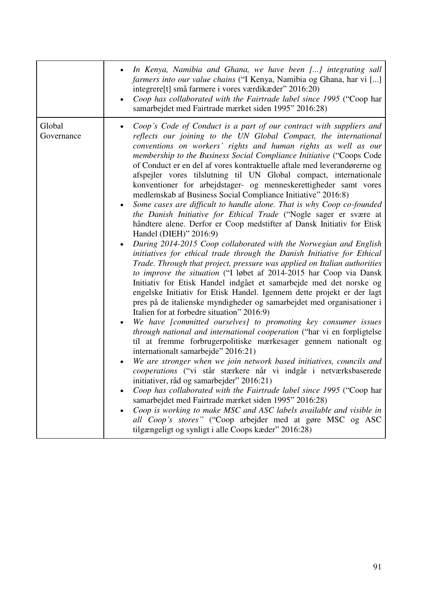|                      | In Kenya, Namibia and Ghana, we have been [] integrating sall<br>$\bullet$<br>farmers into our value chains ("I Kenya, Namibia og Ghana, har vi []<br>integrere <sup>[t]</sup> små farmere i vores værdikæder" 2016:20)<br>Coop has collaborated with the Fairtrade label since 1995 ("Coop har<br>$\bullet$<br>samarbejdet med Fairtrade mærket siden 1995" 2016:28)                                                                                                                                                                                                                                                                                                                                                                                                                                                                                                                                                                                                                                                                                                                                                                                                                                                                                                                                                                                                                                                                                                                                                                                                                                                                                                                                                                                                                                                                                                                                                                                                                                                                                                                                                                                                                                    |
|----------------------|----------------------------------------------------------------------------------------------------------------------------------------------------------------------------------------------------------------------------------------------------------------------------------------------------------------------------------------------------------------------------------------------------------------------------------------------------------------------------------------------------------------------------------------------------------------------------------------------------------------------------------------------------------------------------------------------------------------------------------------------------------------------------------------------------------------------------------------------------------------------------------------------------------------------------------------------------------------------------------------------------------------------------------------------------------------------------------------------------------------------------------------------------------------------------------------------------------------------------------------------------------------------------------------------------------------------------------------------------------------------------------------------------------------------------------------------------------------------------------------------------------------------------------------------------------------------------------------------------------------------------------------------------------------------------------------------------------------------------------------------------------------------------------------------------------------------------------------------------------------------------------------------------------------------------------------------------------------------------------------------------------------------------------------------------------------------------------------------------------------------------------------------------------------------------------------------------------|
| Global<br>Governance | Coop's Code of Conduct is a part of our contract with suppliers and<br>reflects our joining to the UN Global Compact, the international<br>conventions on workers' rights and human rights as well as our<br>membership to the Business Social Compliance Initiative ("Coops Code<br>of Conduct er en del af vores kontraktuelle aftale med leverandørerne og<br>afspejler vores tilslutning til UN Global compact, internationale<br>konventioner for arbejdstager- og menneskerettigheder samt vores<br>medlemskab af Business Social Compliance Initiative" 2016:8)<br>Some cases are difficult to handle alone. That is why Coop co-founded<br>$\bullet$<br>the Danish Initiative for Ethical Trade ("Nogle sager er svære at<br>håndtere alene. Derfor er Coop medstifter af Dansk Initiativ for Etisk<br>Handel (DIEH)" 2016:9)<br>During 2014-2015 Coop collaborated with the Norwegian and English<br>$\bullet$<br>initiatives for ethical trade through the Danish Initiative for Ethical<br>Trade. Through that project, pressure was applied on Italian authorities<br>to improve the situation ("I løbet af 2014-2015 har Coop via Dansk<br>Initiativ for Etisk Handel indgået et samarbejde med det norske og<br>engelske Initiativ for Etisk Handel. Igennem dette projekt er der lagt<br>pres på de italienske myndigheder og samarbejdet med organisationer i<br>Italien for at forbedre situation" 2016:9)<br>We have [committed ourselves] to promoting key consumer issues<br>through national and international cooperation ("har vi en forpligtelse<br>til at fremme forbrugerpolitiske mærkesager gennem nationalt og<br>internationalt samarbejde" 2016:21)<br>We are stronger when we join network based initiatives, councils and<br>cooperations ("vi står stærkere når vi indgår i netværksbaserede<br>initiativer, råd og samarbejder" 2016:21)<br>Coop has collaborated with the Fairtrade label since 1995 ("Coop har<br>samarbejdet med Fairtrade mærket siden 1995" 2016:28)<br>Coop is working to make MSC and ASC labels available and visible in<br>all Coop's stores" ("Coop arbejder med at gøre MSC og ASC<br>tilgængeligt og synligt i alle Coops kæder" 2016:28) |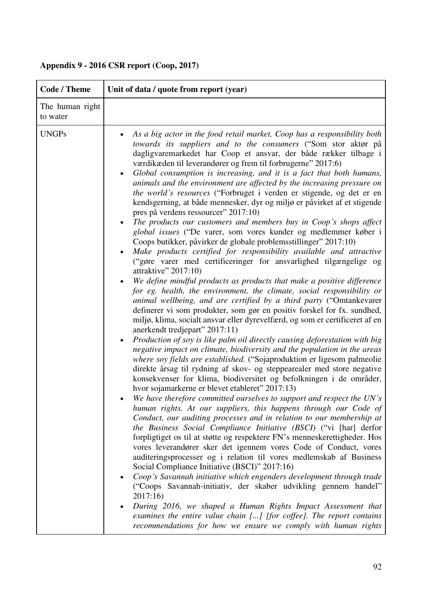| <b>Code / Theme</b>         | Unit of data / quote from report (year)                                                                                                                                                                                                                                                                                                                                                                                                                                                                                                                                                                                                                                                                                                                                                                                                                                                                                                                                                                                                                                                                                                                                                                                                                                                                                                                                                                                                                                                                                                                                                                                                                                                                                                                                                                                                                                                                                                                                                                                                                                                                                                                                                                                                                                                                                                                                                                                                                                                                                                                                                                                                                                                                                                                                                                                                                          |
|-----------------------------|------------------------------------------------------------------------------------------------------------------------------------------------------------------------------------------------------------------------------------------------------------------------------------------------------------------------------------------------------------------------------------------------------------------------------------------------------------------------------------------------------------------------------------------------------------------------------------------------------------------------------------------------------------------------------------------------------------------------------------------------------------------------------------------------------------------------------------------------------------------------------------------------------------------------------------------------------------------------------------------------------------------------------------------------------------------------------------------------------------------------------------------------------------------------------------------------------------------------------------------------------------------------------------------------------------------------------------------------------------------------------------------------------------------------------------------------------------------------------------------------------------------------------------------------------------------------------------------------------------------------------------------------------------------------------------------------------------------------------------------------------------------------------------------------------------------------------------------------------------------------------------------------------------------------------------------------------------------------------------------------------------------------------------------------------------------------------------------------------------------------------------------------------------------------------------------------------------------------------------------------------------------------------------------------------------------------------------------------------------------------------------------------------------------------------------------------------------------------------------------------------------------------------------------------------------------------------------------------------------------------------------------------------------------------------------------------------------------------------------------------------------------------------------------------------------------------------------------------------------------|
| The human right<br>to water |                                                                                                                                                                                                                                                                                                                                                                                                                                                                                                                                                                                                                                                                                                                                                                                                                                                                                                                                                                                                                                                                                                                                                                                                                                                                                                                                                                                                                                                                                                                                                                                                                                                                                                                                                                                                                                                                                                                                                                                                                                                                                                                                                                                                                                                                                                                                                                                                                                                                                                                                                                                                                                                                                                                                                                                                                                                                  |
| <b>UNGPs</b>                | As a big actor in the food retail market, Coop has a responsibility both<br>٠<br>towards its suppliers and to the consumers ("Som stor aktør på<br>dagligvaremarkedet har Coop et ansvar, der både rækker tilbage i<br>værdikæden til leverandører og frem til forbrugerne" 2017:6)<br>Global consumption is increasing, and it is a fact that both humans,<br>$\bullet$<br>animals and the environment are affected by the increasing pressure on<br>the world's resources ("Forbruget i verden er stigende, og det er en<br>kendsgerning, at både mennesker, dyr og miljø er påvirket af et stigende<br>pres på verdens ressourcer" 2017:10)<br>The products our customers and members buy in Coop's shops affect<br>$\bullet$<br>global issues ("De varer, som vores kunder og medlemmer køber i<br>Coops butikker, påvirker de globale problemsstillinger" 2017:10)<br>Make products certified for responsibility available and attractive<br>("gøre varer med certificeringer for ansvarlighed tilgængelige og<br>attraktive" $2017:10$ )<br>We define mindful products as products that make a positive difference<br>for eg. health, the environment, the climate, social responsibility or<br>animal wellbeing, and are certified by a third party ("Omtankevarer<br>definerer vi som produkter, som gør en positiv forskel for fx. sundhed,<br>miljø, klima, socialt ansvar eller dyrevelfærd, og som er certificeret af en<br>anerkendt tredjepart" 2017:11)<br>Production of soy is like palm oil directly causing deforestation with big<br>$\bullet$<br>negative impact on climate, biodiversity and the population in the areas<br>where soy fields are established. ("Sojaproduktion er ligesom palmeolie<br>direkte årsag til rydning af skov- og steppearealer med store negative<br>konsekvenser for klima, biodiversitet og befolkningen i de områder,<br>hvor sojamarkerne er blevet etableret" 2017:13)<br>We have therefore committed ourselves to support and respect the UN's<br>human rights. At our suppliers, this happens through our Code of<br>Conduct, our auditing processes and in relation to our membership at<br>the Business Social Compliance Initiative (BSCI) ("vi [har] derfor<br>forpligtiget os til at støtte og respektere FN's menneskerettigheder. Hos<br>vores leverandører sker det igennem vores Code of Conduct, vores<br>auditeringsprocesser og i relation til vores medlemskab af Business<br>Social Compliance Initiative (BSCI)" 2017:16)<br>Coop's Savannah initiative which engenders development through trade<br>("Coops Savannah-initiativ, der skaber udvikling gennem handel"<br>2017:16)<br>During 2016, we shaped a Human Rights Impact Assessment that<br>examines the entire value chain [] [for coffee]. The report contains<br>recommendations for how we ensure we comply with human rights |

## **Appendix 9 - 2016 CSR report (Coop, 2017)**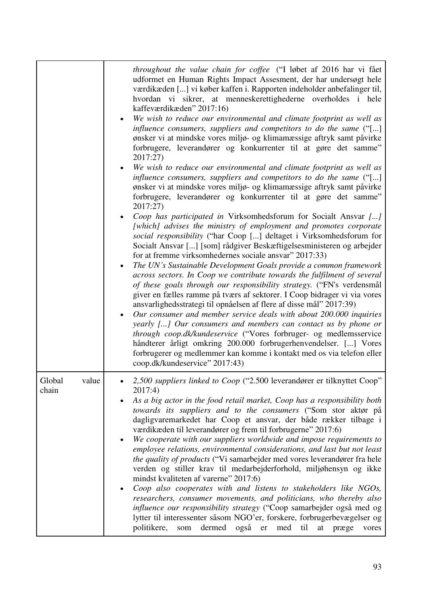|                          | throughout the value chain for coffee ("I løbet af 2016 har vi fået<br>udformet en Human Rights Impact Assesment, der har undersøgt hele<br>værdikæden [] vi køber kaffen i. Rapporten indeholder anbefalinger til,<br>hvordan vi sikrer, at menneskerettighederne overholdes i hele<br>kaffeværdikæden" 2017:16)<br>We wish to reduce our environmental and climate footprint as well as<br>influence consumers, suppliers and competitors to do the same ("[]<br>ønsker vi at mindske vores miljø- og klimamæssige aftryk samt påvirke<br>forbrugere, leverandører og konkurrenter til at gøre det samme"<br>2017:27)<br>We wish to reduce our environmental and climate footprint as well as<br>influence consumers, suppliers and competitors to do the same ("[]<br>ønsker vi at mindske vores miljø- og klimamæssige aftryk samt påvirke<br>forbrugere, leverandører og konkurrenter til at gøre det samme"<br>2017:27)<br>Coop has participated in Virksomhedsforum for Socialt Ansvar []<br>[which] advises the ministry of employment and promotes corporate<br>social responsibility ("har Coop [] deltaget i Virksomhedsforum for<br>Socialt Ansvar [] [som] rådgiver Beskæftigelsesministeren og arbejder<br>for at fremme virksomhedernes sociale ansvar" 2017:33)<br>The UN's Sustainable Development Goals provide a common framework<br>$\bullet$<br>across sectors. In Coop we contribute towards the fulfilment of several<br>of these goals through our responsibility strategy. ("FN's verdensmål<br>giver en fælles ramme på tværs af sektorer. I Coop bidrager vi via vores<br>ansvarlighedsstrategi til opnåelsen af flere af disse mål" 2017:39)<br>Our consumer and member service deals with about 200.000 inquiries<br>yearly [] Our consumers and members can contact us by phone or<br>through coop.dk/kundeservice ("Vores forbruger- og medlemsservice<br>håndterer årligt omkring 200.000 forbrugerhenvendelser. [] Vores<br>forbrugerer og medlemmer kan komme i kontakt med os via telefon eller<br>coop.dk/kundeservice" 2017:43) |
|--------------------------|----------------------------------------------------------------------------------------------------------------------------------------------------------------------------------------------------------------------------------------------------------------------------------------------------------------------------------------------------------------------------------------------------------------------------------------------------------------------------------------------------------------------------------------------------------------------------------------------------------------------------------------------------------------------------------------------------------------------------------------------------------------------------------------------------------------------------------------------------------------------------------------------------------------------------------------------------------------------------------------------------------------------------------------------------------------------------------------------------------------------------------------------------------------------------------------------------------------------------------------------------------------------------------------------------------------------------------------------------------------------------------------------------------------------------------------------------------------------------------------------------------------------------------------------------------------------------------------------------------------------------------------------------------------------------------------------------------------------------------------------------------------------------------------------------------------------------------------------------------------------------------------------------------------------------------------------------------------------------------------------------------------------------------------------------------------------|
| Global<br>value<br>chain | 2,500 suppliers linked to Coop ("2.500 leverandører er tilknyttet Coop"<br>2017:4)<br>As a big actor in the food retail market, Coop has a responsibility both<br>towards its suppliers and to the consumers ("Som stor aktør på<br>dagligvaremarkedet har Coop et ansvar, der både rækker tilbage i<br>værdikæden til leverandører og frem til forbrugerne" 2017:6)<br>We cooperate with our suppliers worldwide and impose requirements to<br>$\bullet$<br>employee relations, environmental considerations, and last but not least<br><i>the quality of products</i> ("Vi samarbejder med vores leverandører fra hele<br>verden og stiller krav til medarbejderforhold, miljøhensyn og ikke<br>mindst kvaliteten af varerne" 2017:6)<br>Coop also cooperates with and listens to stakeholders like NGOs,<br>٠<br>researchers, consumer movements, and politicians, who thereby also<br>influence our responsibility strategy ("Coop samarbejder også med og<br>lytter til interessenter såsom NGO'er, forskere, forbrugerbevægelser og<br>politikere,<br>dermed<br>også<br>som<br>er<br>med<br>til<br>at<br>præge<br>vores                                                                                                                                                                                                                                                                                                                                                                                                                                                                                                                                                                                                                                                                                                                                                                                                                                                                                                                                        |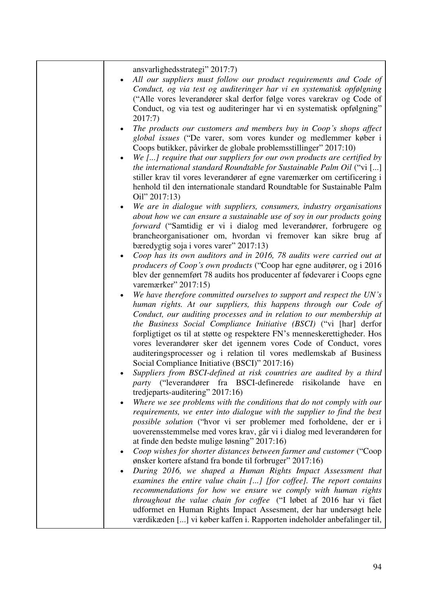| ansvarlighedsstrategi" 2017:7)<br>All our suppliers must follow our product requirements and Code of<br>Conduct, og via test og auditeringer har vi en systematisk opfølgning<br>("Alle vores leverandører skal derfor følge vores varekrav og Code of<br>Conduct, og via test og auditeringer har vi en systematisk opfølgning"<br>2017:7)                                                                                                                                                                                                                      |
|------------------------------------------------------------------------------------------------------------------------------------------------------------------------------------------------------------------------------------------------------------------------------------------------------------------------------------------------------------------------------------------------------------------------------------------------------------------------------------------------------------------------------------------------------------------|
| The products our customers and members buy in Coop's shops affect<br>global issues ("De varer, som vores kunder og medlemmer køber i<br>Coops butikker, påvirker de globale problemsstillinger" 2017:10)<br>We [] require that our suppliers for our own products are certified by<br>the international standard Roundtable for Sustainable Palm Oil ("vi []<br>stiller krav til vores leverandører af egne varemærker om certificering i<br>henhold til den internationale standard Roundtable for Sustainable Palm<br>Oil" 2017:13)                            |
| We are in dialogue with suppliers, consumers, industry organisations<br>about how we can ensure a sustainable use of soy in our products going<br>forward ("Samtidig er vi i dialog med leverandører, forbrugere og<br>brancheorganisationer om, hvordan vi fremover kan sikre brug af<br>bæredygtig soja i vores varer" 2017:13)                                                                                                                                                                                                                                |
| Coop has its own auditors and in 2016, 78 audits were carried out at<br>producers of Coop's own products ("Coop har egne auditører, og i 2016<br>blev der gennemført 78 audits hos producenter af fødevarer i Coops egne<br>varemærker" 2017:15)                                                                                                                                                                                                                                                                                                                 |
| We have therefore committed ourselves to support and respect the UN's<br>human rights. At our suppliers, this happens through our Code of<br>Conduct, our auditing processes and in relation to our membership at<br>the Business Social Compliance Initiative (BSCI) ("vi [har] derfor<br>forpligtiget os til at støtte og respektere FN's menneskerettigheder. Hos<br>vores leverandører sker det igennem vores Code of Conduct, vores<br>auditeringsprocesser og i relation til vores medlemskab af Business<br>Social Compliance Initiative (BSCI)" 2017:16) |
| Suppliers from BSCI-defined at risk countries are audited by a third<br><i>party</i> ("leverandører fra BSCI-definerede risikolande<br>have<br>en<br>tredjeparts-auditering" 2017:16)                                                                                                                                                                                                                                                                                                                                                                            |
| Where we see problems with the conditions that do not comply with our<br>requirements, we enter into dialogue with the supplier to find the best<br>possible solution ("hvor vi ser problemer med forholdene, der er i<br>uoverensstemmelse med vores krav, går vi i dialog med leverandøren for<br>at finde den bedste mulige løsning" 2017:16)                                                                                                                                                                                                                 |
| Coop wishes for shorter distances between farmer and customer ("Coop<br>ønsker kortere afstand fra bonde til forbruger" 2017:16)<br>During 2016, we shaped a Human Rights Impact Assessment that<br>examines the entire value chain [] [for coffee]. The report contains<br>recommendations for how we ensure we comply with human rights<br>throughout the value chain for coffee ("I løbet af 2016 har vi fået<br>udformet en Human Rights Impact Assesment, der har undersøgt hele<br>værdikæden [] vi køber kaffen i. Rapporten indeholder anbefalinger til, |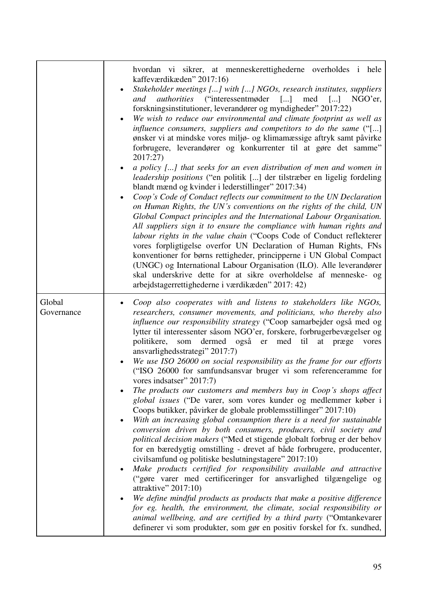|                      | hvordan vi sikrer, at menneskerettighederne overholdes i hele<br>kaffeværdikæden" 2017:16)<br>Stakeholder meetings [] with [] NGOs, research institutes, suppliers<br>and authorities ("interessentmøder [] med [] NGO'er,<br>forskningsinstitutioner, leverandører og myndigheder" 2017:22)<br>We wish to reduce our environmental and climate footprint as well as<br>influence consumers, suppliers and competitors to do the same ("[]<br>ønsker vi at mindske vores miljø- og klimamæssige aftryk samt påvirke<br>forbrugere, leverandører og konkurrenter til at gøre det samme"<br>2017:27)<br>a policy [] that seeks for an even distribution of men and women in<br><i>leadership positions</i> ("en politik [] der tilstræber en ligelig fordeling<br>blandt mænd og kvinder i lederstillinger" 2017:34)<br>Coop's Code of Conduct reflects our commitment to the UN Declaration<br>on Human Rights, the UN's conventions on the rights of the child, UN<br>Global Compact principles and the International Labour Organisation.<br>All suppliers sign it to ensure the compliance with human rights and<br>labour rights in the value chain ("Coops Code of Conduct reflekterer<br>vores forpligtigelse overfor UN Declaration of Human Rights, FNs<br>konventioner for børns rettigheder, principperne i UN Global Compact<br>(UNGC) og International Labour Organisation (ILO). Alle leverandører<br>skal underskrive dette for at sikre overholdelse af menneske- og<br>arbejdstagerrettighederne i værdikæden" 2017: 42)                                                                                                          |
|----------------------|--------------------------------------------------------------------------------------------------------------------------------------------------------------------------------------------------------------------------------------------------------------------------------------------------------------------------------------------------------------------------------------------------------------------------------------------------------------------------------------------------------------------------------------------------------------------------------------------------------------------------------------------------------------------------------------------------------------------------------------------------------------------------------------------------------------------------------------------------------------------------------------------------------------------------------------------------------------------------------------------------------------------------------------------------------------------------------------------------------------------------------------------------------------------------------------------------------------------------------------------------------------------------------------------------------------------------------------------------------------------------------------------------------------------------------------------------------------------------------------------------------------------------------------------------------------------------------------------------------------------------------------------------|
| Global<br>Governance | Coop also cooperates with and listens to stakeholders like NGOs,<br>researchers, consumer movements, and politicians, who thereby also<br>influence our responsibility strategy ("Coop samarbejder også med og<br>lytter til interessenter såsom NGO'er, forskere, forbrugerbevægelser og<br>politikere,<br>dermed også er med til<br>som<br>at<br>præge<br>vores<br>ansvarlighedsstrategi" 2017:7)<br>We use ISO 26000 on social responsibility as the frame for our efforts<br>("ISO 26000 for samfundsansvar bruger vi som referenceramme for<br>vores indsatser" 2017:7)<br>The products our customers and members buy in Coop's shops affect<br>global issues ("De varer, som vores kunder og medlemmer køber i<br>Coops butikker, påvirker de globale problemsstillinger" 2017:10)<br>With an increasing global consumption there is a need for sustainable<br>$\bullet$<br>conversion driven by both consumers, producers, civil society and<br>political decision makers ("Med et stigende globalt forbrug er der behov<br>for en bæredygtig omstilling - drevet af både forbrugere, producenter,<br>civilsamfund og politiske beslutningstagere" 2017:10)<br>Make products certified for responsibility available and attractive<br>("gøre varer med certificeringer for ansvarlighed tilgængelige og<br>attraktive" $2017:10$ )<br>We define mindful products as products that make a positive difference<br>for eg. health, the environment, the climate, social responsibility or<br>animal wellbeing, and are certified by a third party ("Omtankevarer"<br>definerer vi som produkter, som gør en positiv forskel for fx. sundhed, |